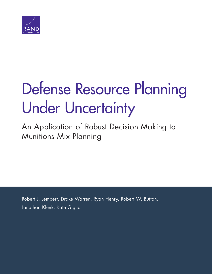

# [Defense Resource Planning](http://www.rand.org/pubs/research_reports/RR1112.html)  Under Uncertainty

An Application of Robust Decision Making to Munitions Mix Planning

Robert J. Lempert, Drake Warren, Ryan Henry, Robert W. Button, Jonathan Klenk, Kate Giglio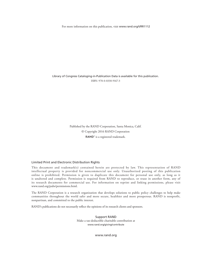For more information on this publication, visit [www.rand.org/t/RR1112](http://www.rand.org/t/RR1112)

Library of Congress Cataloging-in-Publication Data is available for this publication. ISBN: 978-0-8330-9167-3

> Published by the RAND Corporation, Santa Monica, Calif. © Copyright 2016 RAND Corporation RAND<sup>®</sup> is a registered trademark.

#### Limited Print and Electronic Distribution Rights

This document and trademark(s) contained herein are protected by law. This representation of RAND intellectual property is provided for noncommercial use only. Unauthorized posting of this publication online is prohibited. Permission is given to duplicate this document for personal use only, as long as it is unaltered and complete. Permission is required from RAND to reproduce, or reuse in another form, any of its research documents for commercial use. For information on reprint and linking permissions, please visit [www.rand.org/pubs/permissions.html.](http://www.rand.org/pubs/permissions.html)

The RAND Corporation is a research organization that develops solutions to public policy challenges to help make communities throughout the world safer and more secure, healthier and more prosperous. RAND is nonprofit, nonpartisan, and committed to the public interest.

RAND's publications do not necessarily reflect the opinions of its research clients and sponsors.

Support RAND Make a tax-deductible charitable contribution at [www.rand.org/giving/contribute](http://www.rand.org/giving/contribute)

[www.rand.org](http://www.rand.org)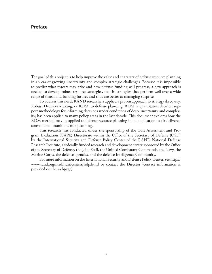# **Preface**

The goal of this project is to help improve the value and character of defense resource planning in an era of growing uncertainty and complex strategic challenges. Because it is impossible to predict what threats may arise and how defense funding will progress, a new approach is needed to develop robust resource strategies, that is, strategies that perform well over a wide range of threat and funding futures and thus are better at managing surprise.

To address this need, RAND researchers applied a proven approach to strategy discovery, Robust Decision Making, or RDM, to defense planning. RDM, a quantitative decision support methodology for informing decisions under conditions of deep uncertainty and complexity, has been applied to many policy areas in the last decade. This document explores how the RDM method may be applied to defense resource planning in an application to air-delivered conventional munitions mix planning.

This research was conducted under the sponsorship of the Cost Assessment and Program Evaluation (CAPE) Directorate within the Office of the Secretary of Defense (OSD) by the International Security and Defense Policy Center of the RAND National Defense Research Institute, a federally funded research and development center sponsored by the Office of the Secretary of Defense, the Joint Staff, the Unified Combatant Commands, the Navy, the Marine Corps, the defense agencies, and the defense Intelligence Community.

For more information on the International Security and Defense Policy Center, see [http://](http://www.rand.org/nsrd/ndri/centers/isdp.html) [www.rand.org/nsrd/ndri/centers/isdp.html](http://www.rand.org/nsrd/ndri/centers/isdp.html) or contact the Director (contact information is provided on the webpage).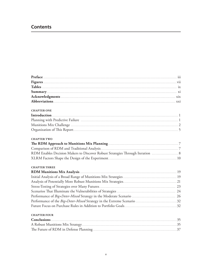# **Contents**

| <b>CHAPTER ONE</b>                                                             |  |
|--------------------------------------------------------------------------------|--|
|                                                                                |  |
|                                                                                |  |
|                                                                                |  |
|                                                                                |  |
|                                                                                |  |
| <b>CHAPTER TWO</b>                                                             |  |
|                                                                                |  |
|                                                                                |  |
| RDM Enables Decision Makers to Discover Robust Strategies Through Iteration  8 |  |
|                                                                                |  |
|                                                                                |  |
| <b>CHAPTER THREE</b>                                                           |  |
|                                                                                |  |
|                                                                                |  |
|                                                                                |  |
|                                                                                |  |
|                                                                                |  |
|                                                                                |  |
|                                                                                |  |
|                                                                                |  |
|                                                                                |  |
| <b>CHAPTER FOUR</b>                                                            |  |
|                                                                                |  |
|                                                                                |  |
|                                                                                |  |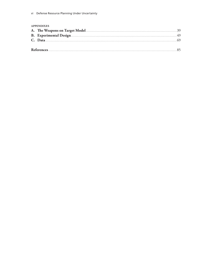#### **APPENDIXES**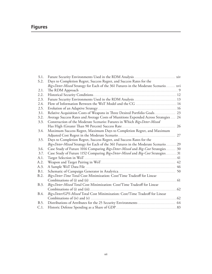# **Figures**

| S.1. |                                                                                     |    |
|------|-------------------------------------------------------------------------------------|----|
| S.2. | Days to Completion Regret, Success Regret, and Success Rates for the                |    |
|      | Big+Deter-Mixed Strategy for Each of the 361 Futures in the Moderate Scenario xvi   |    |
| 2.1. |                                                                                     |    |
| 2.2. |                                                                                     |    |
| 2.3. | Future Security Environments Used in the RDM Analysis  13                           |    |
| 2.4. | Flow of Information Between the WoT Model and the CG  14                            |    |
| 2.5. |                                                                                     |    |
| 3.1. | Relative Acquisition Costs of Weapons in Three Desired Portfolio Goals 23           |    |
| 3.2. | Average Success Rates and Average Costs of Munitions Expended Across Strategies  24 |    |
| 3.3. | Construction of the Moderate Scenario: Futures in Which Big+Deter-Mixed             |    |
|      |                                                                                     |    |
| 3.4. | Maximum Success Regret, Maximum Days to Completion Regret, and Maximum              |    |
|      |                                                                                     | 27 |
| 3.5. | Days to Completion Regret, Success Regret, and Success Rates for the                |    |
|      | Big+Deter-Mixed Strategy for Each of the 361 Futures in the Moderate Scenario 29    |    |
| 3.6. | Case Study of Future 1016 Comparing Big+Deter-Mixed and Big-Cost Strategies 30      |    |
| 3.7. | Case Study of Future 1152 Comparing Big+Deter-Mixed and Big-Cost Strategies31       |    |
| A.1. |                                                                                     |    |
| A.2. |                                                                                     |    |
| A.3. |                                                                                     |    |
| B.1. |                                                                                     |    |
| B.2. | Big+Deter-Time Total Cost Minimization: Cost/Time Tradeoff for Linear               |    |
|      |                                                                                     |    |
| B.3. | Big+Deter-Mixed Total Cost Minimization: Cost/Time Tradeoff for Linear              |    |
|      |                                                                                     |    |
| B.4. | Big+Deter/GPS-Mixed Total Cost Minimization: Cost/Time Tradeoff for Linear          |    |
|      |                                                                                     |    |
| B.5. |                                                                                     |    |
| C.1. |                                                                                     |    |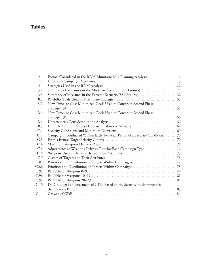# **Tables**

| 2.1.  | Factors Considered in the RDM Munitions Mix Planning Analysis 11          |  |
|-------|---------------------------------------------------------------------------|--|
| 2.2.  |                                                                           |  |
| 3.1.  |                                                                           |  |
| 3.2.  |                                                                           |  |
| 3.3.  |                                                                           |  |
| B.1.  |                                                                           |  |
| B.2.  | New Time- or Cost-Minimized Goals Used to Construct Second Phase          |  |
|       |                                                                           |  |
| B.3.  | New Time- or Cost-Minimized Goals Used to Construct Second Phase          |  |
|       |                                                                           |  |
| B.4.  |                                                                           |  |
| B.5.  |                                                                           |  |
| C.1.  |                                                                           |  |
| C.2.  | Campaigns Conducted Within Each Two-Year Period of a Security Condition70 |  |
| C.3.  |                                                                           |  |
| C.4.  |                                                                           |  |
| C.5.  |                                                                           |  |
| C.6.  |                                                                           |  |
| C.7.  |                                                                           |  |
| C.8a. |                                                                           |  |
| C.8b. |                                                                           |  |
| C.9a. |                                                                           |  |
| C.9b. |                                                                           |  |
| C.9c. |                                                                           |  |
| C.10. | DoD Budget as a Percentage of GDP, Based on the Security Environment in   |  |
|       |                                                                           |  |
| C.11. |                                                                           |  |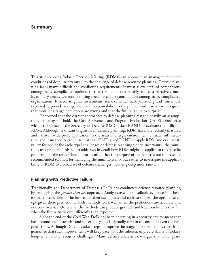This study applies Robust Decision Making (RDM)—an approach to management under conditions of deep uncertainty—to the challenge of defense resource planning. Defense planning faces many difficult and conflicting requirements. It must allow detailed comparisons among many complicated options, so that the nation can reliably and cost-effectively meet its military needs. Defense planning needs to enable coordination among large, complicated organizations. It needs to guide investments, some of which have years-long lead times. It is expected to provide transparency and accountability to the public. And it needs to recognize that most long-range predictions are wrong and that the future is sure to surprise.

Concerned that the current approaches to defense planning rest too heavily on assumptions that may not hold, the Cost Assessment and Program Evaluation (CAPE) Directorate within the Office of the Secretary of Defense (OSD) asked RAND to evaluate the utility of RDM. Although its distant origins lie in defense planning, RDM has more recently matured and has seen widespread application in the areas of energy, environment, climate, infrastructure, and insurance. As an initial test case, CAPE asked RAND to apply RDM and evaluate its utility for one of the archetypal challenges of defense planning under uncertainty: the munitions mix problem. This report addresses in detail how RDM might be applied to this specific problem, but the reader should bear in mind that the purpose of the report is not to present a recommended solution for managing the munitions mix but rather to investigate the applicability of RDM to a broad set of defense challenges involving deep uncertainty.

## **Planning with Predictive Failure**

Traditionally, the Department of Defense (DoD) has conducted defense resource planning by employing the *predict-then-act* approach. Analysts assemble available evidence into bestestimate predictions of the future and then use models and tools to suggest the optimal strategy given these predictions. Such methods work well when the predictions are accurate and not controversial. Otherwise, the methods can produce gridlock and lead to solutions that fail when the future turns out differently than expected.

Since the end of the Cold War, DoD has been operating in a security environment that has become one of surprise and uncertainty and is virtually certain to confound even the best predictions. Although DoD has taken steps to improve the range of its predictions, there is no guarantee that such improvements will keep pace with the inherent unpredictability of today's long-term national security challenges. Many defense analysts now argue that DoD plans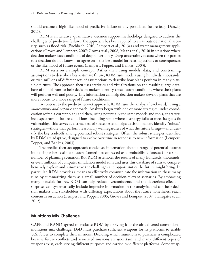should assume a high likelihood of predictive failure of any postulated future (e.g., Danzig, 2011).

RDM is an iterative, quantitative, decision support methodology designed to address the challenges of predictive failure. The approach has been applied to areas outside national security, such as flood risk (Fischbach, 2010; Lempert et al., 2013a) and water management applications (Groves and Lempert, 2007; Groves et al., 2008; Means et al., 2010) in situations where decision makers face conditions of deep uncertainty. Deep uncertainty occurs when the parties to a decision do not know—or agree on—the best model for relating actions to consequences or the likelihood of future events (Lempert, Popper, and Bankes, 2003).

RDM rests on a simple concept. Rather than using models, data, and constraining assumptions to describe a best-estimate future, RDM runs models using hundreds, thousands, or even millions of different sets of assumptions to describe how plans perform in many plausible futures. The approach then uses statistics and visualizations on the resulting large database of model runs to help decision makers identify those future conditions where their plans will perform well and poorly. This information can help decision makers develop plans that are more robust to a wide range of future conditions.

In contrast to the predict-then-act approach, RDM runs the analysis "backward," using a *vulnerability-and-response* approach. Analysts begin with one or more strategies under consideration (often a current plan) and then, using potentially the same models and tools, characterize a spectrum of future conditions, including some where a strategy fails to meet its goals (is vulnerable). This serves as a stress-test of strategies and helps decision makers identify "robust" strategies—those that perform reasonably well regardless of what the future brings—and identify the key tradeoffs among potential robust strategies. Often, the robust strategies identified by RDM are adaptive, designed to evolve over time in response to new information (Lempert, Popper, and Bankes, 2003).

The predict-then-act approach condenses information about a range of potential futures into a single best-estimate future (sometimes expressed as a probabilistic forecast) or a small number of planning scenarios. But RDM assembles the results of many hundreds, thousands, or even millions of computer simulation model runs and uses this database of runs to comprehensively explore and summarize the challenges and opportunities the future might bring. In particular, RDM provides a means to effectively communicate the information in these many runs by summarizing them as a small number of decision-relevant scenarios. By embracing many plausible futures, RDM can help reduce overconfidence and the deleterious effects of surprise, can systematically include imprecise information in the analysis, and can help decision makers and stakeholders with differing expectations about the future nonetheless reach consensus on action (Lempert and Popper, 2005; Groves and Lempert, 2007; Hallegatte et al., 2012).

# **Munitions Mix Challenge**

CAPE and RAND agreed to evaluate RDM by applying it to the air-delivered conventional munitions mix challenge. DoD must purchase sufficient weapons for its platforms to enable U.S. forces to complete their missions. Deciding which munitions to purchase is complicated because future conflicts and associated missions are uncertain, and many different types of weapons exist, each serving different purposes and carried by different platforms. Some weap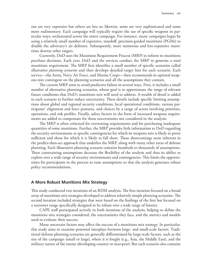ons are very expensive but others are less so; likewise, some are very sophisticated and some more rudimentary. Each campaign will typically require the use of specific weapons in particular ways, orchestrated across the entire campaign. For instance, many campaigns begin by using a relatively small number of expensive, standoff, precision-guided munitions (PGMs) to disable the adversary's air defenses. Subsequently, more numerous and less-expensive munitions destroy other targets.

Currently, DoD uses the Munitions Requirement Process (MRP) to inform its munitions purchase decisions. Each year, DoD and the services conduct the MRP to generate a total munitions requirement. The MRP first identifies a small number of specific scenarios called *illustrative planning scenarios* and then develops detailed target lists for each scenario. Each service—the Army, Navy, Air Force, and Marine Corps—then recommends its optimal weapons mix contingent on the planning scenarios and all the assumptions they contain.

The current MRP aims to avoid predictive failure in several ways. First, it includes a small number of alternative planning scenarios, whose goal is to approximate the range of relevant future conditions that DoD's munitions mix will need to address. A wealth of detail is added to each scenario to further reduce uncertainty. These details include specific limiting assumptions about global and regional security conditions, local operational conditions, various participants' alignment and force postures, and choices by a range of actors involving priorities, operations, and risk profiles. Finally, safety factors in the form of increased weapons requirements are added to compensate for those uncertainties not considered in the analysis.

The MRP is often criticized for overstating requirements and for purchasing inadequate quantities of some munitions. Further, the MRP provides little information to DoD regarding the security environments or specific contingencies for which its weapons mix is likely to prove sufficient and those for which it is likely to fall short. These shortcomings seem inherent in the predict-then-act approach that underlies the MRP, along with many other areas of defense planning. Each illustrative planning scenario contains hundreds to thousands of assumptions. These constraining assumptions decrease the flexibility of the analysis and thus its ability to explore over a wide range of security environments and contingencies. This limits the opportunities for participants in the process to tune assumptions so that the analysis generates robust policy recommendations.

### **A More Robust Munitions Mix Strategy**

This study conducted two iterations of an RDM analysis. The first iteration focused on a broad array of munitions mix strategies developed to address relatively simple planning scenarios. The second iteration included strategies that were based on the findings of the first but focused on a narrower range specifically designed to be robust over a wide range of futures.

CAPE staff participated actively in both iterations of the analysis, helping to define the munitions mix strategies considered, the uncertainties they face, and the metrics and models used to evaluate their success.

Many uncertain factors may affect the success of a munitions mix strategy. In particular, this study aims to examine potential interplays between large- and small-scale factors. Traditional defense planning scenarios are generally differentiated by large-scale factors, such as the size of the campaign (small or large), where it is fought (e.g., Asia, the Middle East), and the military nature of the enemy (developing country or near-peer). But each scenario also contains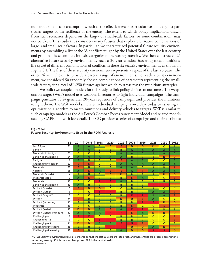numerous small-scale assumptions, such as the effectiveness of particular weapons against particular targets or the resilience of the enemy. The extent to which policy implications drawn from such scenarios depend on the large- or small-scale factors, or some combination, may not be clear. This study thus considers many futures that explore alternative combinations of large- and small-scale factors. In particular, we characterized potential future security environments by assembling a list of the 35 conflicts fought by the United States over the last century and grouped these conflicts into six categories of increasing intensity. We then constructed 25 alternative future security environments, each a 20-year window (covering most munitions' life cycle) of different combinations of conflicts in these six security environments, as shown in Figure S.1. The first of these security environments represents a repeat of the last 20 years. The other 24 were chosen to provide a diverse range of environments. For each security environment, we considered 50 randomly chosen combinations of parameters representing the smallscale factors, for a total of 1,250 futures against which to stress-test the munitions strategies.

We built two coupled models for this study to link policy choices to outcomes. The weapons on target (WoT) model uses weapons inventories to fight individual campaigns. The campaign generator (CG) generates 20-year sequences of campaigns and provides the munitions to fight them. The WoT model simulates individual campaigns on a day-to-day basis, using an optimization algorithm to match munitions and delivery vehicles to targets. WoT is similar to such campaign models as the Air Force's Combat Forces Assessment Model and related models used by CAPE, but with less detail. The CG provides a series of campaigns and their attributes

|                                | <b>SE</b>      | 2014           | 2016           | 2018         | 2020           | 2022           | 2024 | 2026           | 2028           | 2030           | 2032           |
|--------------------------------|----------------|----------------|----------------|--------------|----------------|----------------|------|----------------|----------------|----------------|----------------|
| Last 20 years                  | 21             | A              | A              | B            | D              | E              | D    | D              | D              | C              | B.             |
| Benign                         | 1              | A              | $\overline{A}$ | B            | B              | B              | A    | A              | A              | A              | A              |
| Moderate to benign             | 23             | Ċ              | Ċ              | $\mathsf{C}$ | Ċ              | A              | A    | A              | A              | A              | $\overline{A}$ |
| Benign to challenging          | 24             | $\overline{A}$ | $\overline{A}$ | A            | $\overline{A}$ | A              | B    | B              | B              | D              | D              |
| Benign+                        | $\overline{2}$ | $\overline{A}$ | B              | B            | B              | E              | A    | $\overline{A}$ | C              | $\mathsf{C}$   | $\overline{A}$ |
| Challenging to benign          | 22             | E              | E              | $\mathsf{C}$ | C              | $\overline{A}$ | A    | A              | A              | $\overline{A}$ | $\overline{A}$ |
| Moderate                       | 20             | Ē              | B              | B            | B              | A              | A    | B              | B              | В              | E              |
| Volatile                       | 25             | A              | E              | A            | E              | E              | A    | E              | A              | $\overline{A}$ | $\overline{A}$ |
| Moderate (steady)              | 4              | B              | B              | B            | D              | D              | B    | B              | B              | D              | D              |
| Moderate (spikes)              | 3              | A              | E              | B            | B              | B              | E    | A              | C              | $\mathsf{C}$   | E              |
| Moderate                       | 17             | Ċ              | Ċ              | F            | F              | A              | B    | B              | B              | B              | B.             |
| Benign to challenging          | 19             | A              | B              | B            | B              | B              | B    | B              | F              | F              | D              |
| Difficult (steady)             | 5              | E              | D              | D            | $\mathsf{C}$   | C              | B    | B              | B              | $\mathsf{C}$   | $\mathsf{C}$   |
| Difficult (surge)              | 6              | C              | C              | F            | F              | B              | B    | B              | A              | $\overline{A}$ | E              |
| Difficult (surge) 2            | 8              | C              | C              | B            | B              | B              | F    | F              | A              | $\overline{A}$ | E              |
| Difficult                      | 14             | E              | B              | B            | B              | D              | D    | E              | A              | C              | C              |
| Difficult (increasing          | 13             | B              | B              | B            | B              | B              | B    | F              | F              | D              | D              |
| Moderate                       | 16             | C              | C              | B            | B              | B              | E    | C              | C              | Е              | D              |
| Difficult (varied)             | 10             | D              | D              | A            | E              | A              | F    | F              | B              | B              | B.             |
| Difficult (varied, increasing) | 12             | $\overline{A}$ | $\overline{A}$ | A            | F              | F              | E    | $\overline{A}$ | D              | D              | D              |
| Challenging +                  | 7              | F              | F              | $\mathsf{C}$ | $\mathsf{C}$   | B              | B    | B              | $\overline{C}$ | $\mathsf{C}$   | E              |
| Challenging $+2$               | 9              | $\mathsf{C}$   | C              | F            | F              | B              | B    | B              | Ċ              | $\mathsf{C}$   | E              |
| Challenging $+3$               | 11             | D              | D              | A            | $\overline{A}$ | F              | G    | E              | Ċ              | $\mathsf{C}$   | B              |
| Challenging (increasing)       | 15             | B              | B              | в            | F              | F              | D    | D              | A              | D              | D              |
| Challenging (increasing)       | 18             | Ē              | B              | B            | B              | A              | D    | D              | F              | F              | D              |

#### **Figure S.1 Future Security Environments Used in the RDM Analysis**

NOTES: Security environments (SEs) are ordered so that the last 20 years are listed first, and then entries are ordered according to increasing severity. SE A is the most benign and SE F is the most stressful. **RAND** *RR1112-S.1*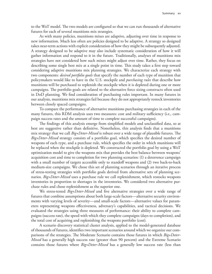to the WoT model. The two models are configured so that we can run thousands of alternative futures for each of several munitions mix strategies.

As with many policies, munitions mixes are adaptive, adjusting over time in response to new information. Much less often are policies designed to be adaptive. A strategy so designed takes near-term actions with explicit consideration of how they might be subsequently adjusted. A strategy designed to be adaptive may also include systematic consideration of how it will gather information and respond to it in the future. Traditionally, analyses of munitions mix strategies have not considered how such mixes might adjust over time. Rather, they focus on describing some single best mix at a single point in time. This study takes a first step toward considering adaptive munitions mix planning strategies. We characterize each strategy with two components: *desired portfolio goals* that specify the number of each type of munition that policymakers would like to have in the U.S. stockpile and *purchasing rules* that describe how munitions will be purchased to replenish the stockpile when it is depleted during one or more campaigns. The portfolio goals are related to the alternative force sizing constructs often used in DoD planning. We find consideration of purchasing rules important. In many futures in our analysis, munitions mix strategies fail because they do not appropriately restock inventories between closely spaced campaigns.

To compare the performance of alternative munitions purchasing strategies in each of the many futures, this RDM analysis uses two measures: cost and military sufficiency (i.e., campaign success rates and the amount of time to complete successful campaigns).

The findings of this analysis emerge from simplified models and unclassified data, so at best are suggestive rather than definitive. Nonetheless, this analysis finds that a munitions mix strategy that we call *Big+Deter-Mixed* is robust over a wide range of plausible futures. The *Big+Deter-Mixed* strategy consists of a portfolio goal, which specifies the desired number of weapons of each type, and a purchase rule, which specifies the order in which munitions will be replaced when the stockpile is depleted. We constructed the portfolio goal by using a WoT optimization model to give the weapons mix that provides the best balance between weapons' acquisition cost and time to completion for two planning scenarios: (1) a deterrence campaign with a small number of targets accessible only to standoff weapons and (2) two back-to-back medium-size campaigns. We chose this set of planning scenarios through an iterative process of stress-testing strategies with portfolio goals derived from alternative sets of planning scenarios. *Big+Deter-Mixed* uses a purchase rule we call replenishment, which restocks weapons inventories in proportion to shortages in the inventories. We considered two alternative purchase rules and chose replenishment as the superior one.

We stress-tested *Big+Deter-Mixed* and five alternative strategies over a wide range of futures that combine assumptions about both large-scale factors—alternative security environments with varying levels of severity—and small-scale factors—alternative values for parameters representing weapons effectiveness, adversary's capabilities, and tactical decisions. We evaluated the strategies using three measures of performance: their ability to complete campaigns (success rate), the speed with which they complete campaigns (days to completion), and the total cost of acquiring and replenishing the weapons portfolio (cost).

A scenario discovery statistical cluster analysis, applied to the model-generated database of thousands of futures, identifies two important scenarios around which we organize our comparisons of the strategies. The Moderate Scenario contains those futures in which *Big+Deter-Mixed* has a generally high success rate (greater than 90 percent) and the Extreme Scenario contains those futures where *Big+Deter-Mixed* has a generally low success rate (less than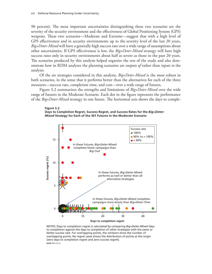90 percent). The most important uncertainties distinguishing these two scenarios are the severity of the security environment and the effectiveness of Global Positioning System (GPS) weapons. These two scenarios—Moderate and Extreme—suggest that with a high level of GPS effectiveness and in security environments up to the severity level of the last 20 years, *Big+Deter-Mixed* will have a generally high success rate over a wide range of assumptions about other uncertainties. If GPS effectiveness is low, the *Big+Deter-Mixed* strategy will have high success rates only in security environments about half as severe as those in the past 20 years. The scenarios produced by this analysis helped organize the rest of the study and also demonstrate how in RDM analyses the planning scenarios are *outputs of* rather than *inputs to* the analysis.

Of the six strategies considered in this analysis, *Big+Deter-Mixed* is the most robust in both scenarios, in the sense that it performs better than the alternatives for each of the three measures—success rate, completion time, and cost—over a wide range of futures.

Figure S.2 summarizes the strengths and limitations of *Big+Deter-Mixed* over the wide range of futures in the Moderate Scenario. Each dot in the figure represents the performance of the *Big+Deter-Mixed* strategy in one future. The horizontal axis shows the days to comple-

**Figure S.2 Days to Completion Regret, Success Regret, and Success Rates for the** *Big+Deter-Mixed* **Strategy for Each of the 361 Futures in the Moderate Scenario**



NOTES: Days to completion regret is calculated by comparing *Big+Deter-Mixed* days to completion against the days to completion of other strategies with the same or better success rate. For overlapping points, the whiskers show the number of overlapping points. No regret cases shows the distribution of points at the origin (zero days to completion regret and zero success regret). **RAND** *RR1112-S.2*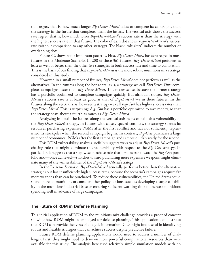tion regret, that is, how much longer *Big+Deter-Mixed* takes to complete its campaigns than the strategy in the future that completes them the fastest. The vertical axis shows the success rate regret, that is, how much lower *Big+Deter-Mixed*'s success rate is than the strategy with the highest success rate in that future. The color of each dot shows *Big+Deter-Mixed*'s success rate (without comparison to any other strategy). The black "whiskers" indicate the number of overlapping dots.

Figure S.2 shows some important patterns. First, *Big+Deter-Mixed* has zero regret in most futures in the Moderate Scenario. In 208 of these 361 futures, *Big+Deter-Mixed* performs as least as well or better than the other five strategies in both success rate and time to completion. This is the basis of our finding that *Big+Deter-Mixed* is the most robust munitions mix strategy considered in this study.

However, in a small number of futures, *Big+Deter-Mixed* does not perform as well as the alternatives. In the futures along the horizontal axis, a strategy we call *Big+Deter-Time* completes campaigns faster than *Big+Deter-Mixed*. This makes sense, because the former strategy has a portfolio optimized to complete campaigns quickly. But although slower, *Big+Deter-Mixed*'s success rate is at least as good as that of *Big+Deter-Time* in these futures. In the futures along the vertical axis, however, a strategy we call *Big-Cost* has higher success rates than *Big+Deter-Mixed*. This is surprising; *Big-Cost* has a portfolio optimized to save money, so that the strategy costs about a fourth as much as *Big+Deter-Mixed*.

Analyzing in detail the futures along the vertical axis helps explain this vulnerability of the *Big+Deter-Mixed* strategy. In futures with closely spaced conflicts, the strategy spends its resources purchasing expensive PGMs after the first conflict and has not sufficiently replenished its stockpiles when the second campaign begins. In contrast, *Big-Cost* purchases a large number of economical PGMs after the first campaign and is more quickly ready for the second.

This RDM vulnerability analysis usefully suggests ways to adjust *Big+Deter-Mixed*'s purchasing rule that might eliminate this vulnerability with respect to the *Big-Cost* strategy. In particular, it suggests that a step-wise purchase rule that first invests toward the *Big-Cost* portfolio and—once achieved—switches toward purchasing more expensive weapons might eliminate many of the vulnerabilities of the *Big+Deter-Mixed* strategy.

In the Extreme Scenario, *Big+Deter-Mixed* generally performs better than the alternative strategies but has insufficiently high success rates, because the scenario's campaigns require far more weapons than can be purchased. To reduce these vulnerabilities, the United States could spend more on munitions or consider other policy options, such as developing a surge capability in the munitions industrial base or ensuring sufficient warning time to increase munitions spending well in advance of large campaigns.

### **The Future of RDM in Defense Planning**

This initial application of RDM to the munitions mix challenge provides a proof of concept showing how RDM might be employed for defense planning. This application demonstrates that RDM can provide the types of analytic information DoD might find useful in identifying robust and flexible strategies that can achieve success despite predictive failure.

Future RDM defense planning applications would need to address a number of challenges. First, they might need to draw on more powerful computational resources than were available for this study. The analysis here used relatively simple simulation models with no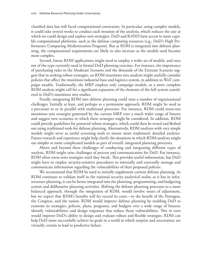classified data but still faced computational constraints. In particular, using complex models, it could take several weeks to conduct each iteration of the analysis, which reduces the rate at which we could design and explore new strategies. DoD and RAND have access to more capable computational platforms, such as the defense computing resources (e.g., DoD's High Performance Computing Modernization Program). But as RDM is integrated into defense planning, the computational requirements are likely to also increase as the models used become more complex.

Second, future RDM applications might need to employ a wider set of models, and ones not of the type currently used in formal DoD planning exercises. For instance, the importance of purchasing rules in the Moderate Scenario and the demands of the Extreme Scenario suggest that in seeking robust strategies, an RDM munitions mix analysis might usefully consider policies that affect the munitions industrial base and logistics system, in addition to WoT campaign models. Traditionally, the MRP employs only campaign models, so a more complete RDM analysis might call for a significant expansion of the elements of the full system considered in DoD's munitions mix studies.

Finally, integrating RDM into defense planning could raise a number of organizational challenges. Initially at least, and perhaps as a permanent approach, RDM might be used as a precursor to or in parallel with traditional processes. For instance, RDM could stress-test munitions mix strategies generated by the current MRP over a much wider range of futures and suggest new scenarios in which these strategies might be considered. In addition, RDM could provide guidelines for potential robust strategies, which could then be tested and fleshed out using traditional tools for defense planning. Alternatively, RDM analyses with very simple models might serve as useful screening tools to situate more traditional, detailed analyses. Future research and experience might help clarify the situations in which RDM analyses might use simpler or more complicated models as part of overall, integrated planning processes.

Above and beyond these challenges of conducting and integrating different types of analysis, RDM might raise challenges of process and communication for DoD. For instance, RDM often stress-tests strategies until they break. This provides useful information, but DoD might have to employ security-sensitive procedures to internally and externally manage and communicate information regarding the vulnerabilities of their proposed policies.

We recommend that RDM be used to initially supplement current defense planning. As RDM continues to validate itself in the national security analytical realm, as it has in infrastructure planning, it can be better integrated into the planning, programming, and budgeting system and deliberative planning activities. Shifting the defense planning processes to a more balanced approach, through the integration of RDM, would involve issues of adjustment, but we expect that RDM's benefits will far exceed its costs—to the benefit of the Pentagon, the Congress, and the nation. RDM would improve defense planning by enabling DoD to examine its strategies, policies, plans, programs, and budgets over a wide range of futures; identify vulnerabilities; and design responses that reduce those vulnerabilities. This in turn would improve DoD's ability to design and evaluate robust and flexible strategies. RDM can help DoD more successfully achieve its goals in a world in which surprise and uncertainty are virtually certain to lead to predictive failure.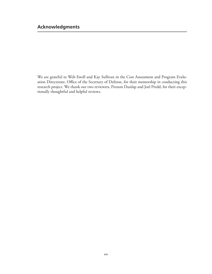# **Acknowledgments**

We are grateful to Web Ewell and Kay Sullivan in the Cost Assessment and Program Evaluation Directorate, Office of the Secretary of Defense, for their mentorship in conducting this research project. We thank our two reviewers, Preston Dunlap and Joel Predd, for their exceptionally thoughtful and helpful reviews.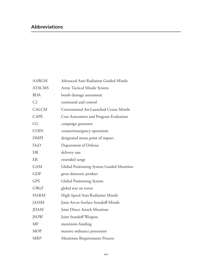# **Abbreviations**

| <b>AARGM</b>   | <b>Advanced Anti-Radiation Guided Missile</b> |
|----------------|-----------------------------------------------|
| <b>ATACMS</b>  | Army Tactical Missile System                  |
| <b>BDA</b>     | bomb damage assessment                        |
| C <sub>2</sub> | command and control                           |
| <b>CALCM</b>   | Conventional Air-Launched Cruise Missile      |
| <b>CAPE</b>    | Cost Assessment and Program Evaluation        |
| CG             | campaign generator                            |
| <b>COIN</b>    | counterinsurgency operations                  |
| <b>DMPI</b>    | designated mean point of impact               |
| DoD            | Department of Defense                         |
| DR             | delivery rate                                 |
| ER             | extended range                                |
| <b>GAM</b>     | Global Positioning System Guided Munition     |
| <b>GDP</b>     | gross domestic product                        |
| <b>GPS</b>     | Global Positioning System                     |
| <b>GWoT</b>    | global war on terror                          |
| <b>HARM</b>    | High-Speed Anti-Radiation Missile             |
| <b>JASSM</b>   | Joint Air-to-Surface Standoff Missile         |
| <b>JDAM</b>    | Joint Direct Attack Munition                  |
| <b>JSOW</b>    | Joint Standoff Weapon                         |
| <b>MF</b>      | munitions funding                             |
| <b>MOP</b>     | massive ordnance penetrator                   |
| <b>MRP</b>     | <b>Munitions Requirements Process</b>         |
|                |                                               |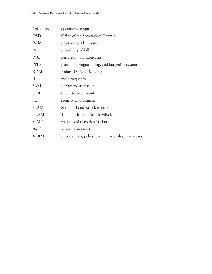| OpTempo     | operations tempo                                      |
|-------------|-------------------------------------------------------|
| <b>OSD</b>  | Office of the Secretary of Defense                    |
| <b>PGM</b>  | precision-guided munition                             |
| Pk          | probability of kill                                   |
| POL         | petroleum, oil, lubricants                            |
| <b>PPBS</b> | planning, programming, and budgeting system           |
| <b>RDM</b>  | <b>Robust Decision Making</b>                         |
| <b>RF</b>   | radio frequency                                       |
| <b>SAM</b>  | surface-to-air missile                                |
| <b>SDB</b>  | small diameter bomb                                   |
| <b>SE</b>   | security environment                                  |
| <b>SLAM</b> | Standoff Land-Attack Missile                          |
| <b>TLAM</b> | <b>Tomahawk Land Attack Missile</b>                   |
| <b>WMD</b>  | weapons of mass destruction                           |
| <b>WoT</b>  | weapons on target                                     |
| XLRM        | uncertainties, policy levers, relationships, measures |
|             |                                                       |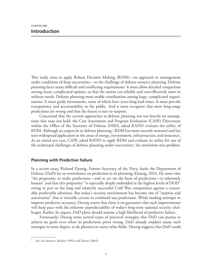This study aims to apply Robust Decision Making (RDM)—an approach to management under conditions of deep uncertainty—to the challenge of defense resource planning. Defense planning faces many difficult and conflicting requirements. It must allow detailed comparison among many complicated options, so that the nation can reliably and cost-effectively meet its military needs. Defense planning must enable coordination among large, complicated organizations. It must guide investments, some of which have years-long lead times. It must provide transparency and accountability to the public. And it must recognize that most long-range predictions are wrong and that the future is sure to surprise.

Concerned that the current approaches to defense planning rest too heavily on assumptions that may not hold, the Cost Assessment and Program Evaluation (CAPE) Directorate within the Office of the Secretary of Defense (OSD), asked RAND evaluate the utility of RDM. Although its origins lie in defense planning,<sup>1</sup> RDM has more recently matured and has seen widespread application in the areas of energy, environment, infrastructure, and insurance. As an initial test case, CAPE asked RAND to apply RDM and evaluate its utility for one of the archetypal challenges of defense planning under uncertainty: the munitions mix problem.

# **Planning with Predictive Failure**

In a recent essay, Richard Danzig, Former Secretary of the Navy, faults the Department of Defense (DoD) for an overreliance on prediction in its planning (Danzig, 2011). He notes that "the propensity to make predictions—and to act on the basis of predictions—is inherently human" and that this propensity "is especially deeply embedded at the highest levels of DOD" owing in part to the long and relatively successful Cold War competition against a reasonably predictable adversary. But today's security environment has become one of "surprise and uncertainty" that is virtually certain to confound any predictions. While lauding attempts to improve predictive accuracy, Danzig warns that there is no guarantee that such improvements will keep pace with the inherent unpredictability of today's long-term national security challenges. Rather, he argues, DoD plans should assume a high likelihood of predictive failure.

Fortunately, Danzig notes several types of practical strategies that DoD can pursue to achieve its goals even when its predictions prove wrong. DoD already employs many such strategies to some degree, as do planners in many other fields. Danzig suggests that DoD could

See, for instance, Bankes (1993) and Dewar (2002).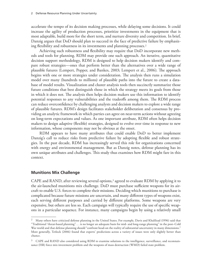accelerate the tempo of its decision making processes, while delaying some decisions. It could increase the agility of production processes, prioritize investments in the equipment that is most adaptable, build more for the short term, and nurture diversity and competition. In brief, Danzig argues that DoD should plan to succeed in the face of predictive failure by emphasizing flexibility and robustness in its investments and planning processes.<sup>2</sup>

Achieving such robustness and flexibility may require that DoD incorporate new methods and tools for planning. RDM may provide one such approach. An iterative, quantitative decision support methodology, RDM is designed to help decision makers identify and compare robust strategies—ones that perform better than the alternatives over a wide range of plausible futures (Lempert, Popper, and Bankes, 2003; Lempert et al., 2006). The approach begins with one or more strategies under consideration. The analysis then runs a simulation model over many (hundreds to millions) of plausible paths into the future to create a database of model results. Visualization and cluster analysis tools then succinctly summarize those future conditions that best distinguish those in which the strategy meets its goals from those in which it does not. The analysis then helps decision makers use this information to identify potential responses to any vulnerabilities and the tradeoffs among them. The RDM process can reduce overconfidence by challenging analysts and decision makers to explore a wide range of plausible futures. RDM's design facilitates stakeholder deliberation and consensus by providing an analytic framework in which parties can agree on near-term actions without agreeing on long-term expectations and values. As one important attribute, RDM often helps decision makers to design adaptive (flexible) strategies, designed to evolve over time in response to new information, whose components may not be obvious at the onset.

RDM appears to have many attributes that could enable DoD to better implement Danzig's call to reduce risks from predictive failure by adopting flexible and robust strategies. In the past decade, RDM has increasingly served this role for organizations concerned with energy and environmental management. But as Danzig notes, defense planning has its own unique attributes and challenges. This study thus examines how RDM might fare in this context.

## **Munitions Mix Challenge**

CAPE and RAND, after reviewing several options,<sup>3</sup> agreed to evaluate RDM by applying it to the air-launched munitions mix challenge. DoD must purchase sufficient weapons for its aircraft to enable U.S. forces to complete their missions. Deciding which munitions to purchase is complicated because future missions are uncertain, and many different types of weapons exist, each serving different purposes and carried by different platforms. Some weapons are very expensive, but others are less so. Each campaign will typically require the use of specific weapons in a particular sequence. For instance, many campaigns begin by using a relatively small

<sup>&</sup>lt;sup>2</sup> Many others have criticized defense planning in the United States. For example, Davis and Khalilzad (1996) said that "Traditional 'threat-based planning". . . is no longer an adequate basis for mid- and long-range planning" in the post–Cold War world and that defense planning should "confront head-on the reality of substantial uncertainty in many dimensions." More generally, Tetlock (2006) found that experts' predictions across a variety of issues were only slightly better than chance.

 $3$  CAPE and RAND also considered using RDM to examine solutions to the intelligence, surveillance, and reconnaissance (ISR) force mix investment problem and the weapons of mass destruction (WMD) failed state problem.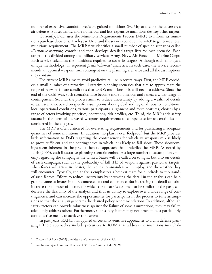number of expensive, standoff, precision-guided munitions (PGMs) to disable the adversary's air defenses. Subsequently, more numerous and less-expensive munitions destroy other targets.

Currently, DoD uses the Munitions Requirements Process (MRP) to inform its munitions purchase decisions.4 Each year, DoD and the services conduct the MRP to generate a total munitions requirement. The MRP first identifies a small number of specific scenarios called *illustrative planning scenarios* and then develops detailed target lists for each scenario. Each target list is divided among the military services: Army, Navy, Air Force, and Marine Corps. Each service calculates the munitions required to cover its targets. Although each employs a unique methodology, all represent *predict-then-act* analytics. In each case, the service recommends an optimal weapons mix contingent on the planning scenarios and all the assumptions they contain.

The current MRP aims to avoid predictive failure in several ways. First, the MRP considers a small number of alternative illustrative planning scenarios that aim to approximate the range of relevant future conditions that DoD's munitions mix will need to address. Since the end of the Cold War, such scenarios have become more numerous and reflect a wider range of contingencies. Second, the process aims to reduce uncertainty by adding a wealth of details to each scenario, based on specific assumptions about global and regional security conditions, local operational conditions, various participants' alignment and force postures, choices by a range of actors involving priorities, operations, risk profiles, etc. Third, the MRP adds safety factors in the form of increased weapons requirements to compensate for uncertainties not considered in the analysis.

The MRP is often criticized for overstating requirements and for purchasing inadequate quantities of some munitions. In addition, no plan is ever foolproof, but the MRP provides little information to DoD regarding the contingencies for which its weapons mix is likely to prove sufficient and the contingencies in which it is likely to fall short. These shortcomings seem inherent in the predict-then-act approach that underlies the MRP. As noted by Loeb (2005), each illustrative planning scenario embodies a large number of assumptions, not only regarding the campaigns the United States will be called on to fight, but also on details of each campaign, such as the probability of kill (Pk) of weapons against particular targets, when forces will arrive in theater, the tactics commanders will employ, and the weather they will encounter. Typically, the analysis emphasizes a best estimate for hundreds to thousands of such factors. Efforts to reduce uncertainty by increasing the detail in the analysis can help ground some estimates in more concrete data and experience. But increasing the detail can also increase the number of factors for which the future is assumed to be similar to the past, can decrease the flexibility of the analysis and thus its ability to explore over a wide range of contingencies, and can increase the opportunities for participants in the process to tune assumptions so that the analysis generates the desired policy recommendations. In addition, although safety factors can provide robustness against the failure of some assumptions, they may fail to adequately address others. Furthermore, such safety factors may not prove to be a particularly cost-effective means to achieve robustness.

In past years, RAND has applied uncertainty-sensitive approaches to aid in defense planning.5 These approaches include precursors to RDM that address the munitions mix chal-

<sup>4</sup> Chapter 2 of Loeb (2005) provides a useful overview of the MRP.

<sup>5</sup> See, for example, Davis and Khalizad (1996) and Camm et al. (2009).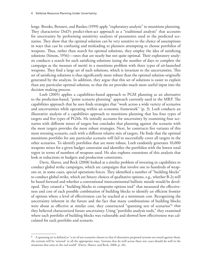lenge. Brooks, Bennett, and Bankes (1999) apply "exploratory analysis" to munitions planning. They characterize DoD's predict-then-act approach as a "traditional analysis" that accounts for uncertainty by performing sensitivity analyses of parameters used in the predicted scenarios. They show that the optimal solution can be very sensitive to the choice of assumptions in ways that can be confusing and misleading to planners attempting to choose portfolios of weapons. Thus, rather than search for optimal solutions, they employ the idea of satisficing solutions (Simon, 1956)—ones that are nearly but not quite optimal. Their exploratory analysis conducts a search for such satisficing solutions (using the number of days to complete the campaign as the measure of merit) in a munitions problem with three types of air-launched weapons. They find a large set of such solutions, which is invariant to the uncertainties. This set of satisficing solutions is thus significantly more robust than the optimal solution originally generated by the analysis. In addition, they argue that this set of solutions is easier to explain than any particular optimal solution, so that the set provides much more useful input into the decision making process.

Loeb (2005) applies a capabilities-based approach to PGM planning as an alternative to the prediction-based, "point scenario planning" approach currently used in the MRP. The capabilities approach that he uses finds strategies that "work across a wide variety of scenarios and uncertainties while operating within an economic framework" (p. 3). Loeb conducts an illustrative analysis of a capabilities approach to munitions planning that has four types of targets and five types of PGMs. He initially accounts for uncertainty by examining four scenarios with different mixes of targets but concludes that planning against the scenario with the most targets provides the most robust strategies. Next, he constructs five variants of this most stressing scenario, each with a different relative mix of targets. He finds that the optimal munitions portfolio for any particular scenario will fail to successfully cover all targets in the other scenarios. To identify portfolios that are more robust, Loeb randomly generates 10,000 weapons mixes for a given budget constraint and identifies the portfolios with the lowest total regret in terms of numbers of weapons used. He also explores extensions of this analysis that look at reductions in budgets and production constraints.

Davis, Shaver, and Beck (2008) looked at a similar problem of investing in capabilities to conduct global strike campaigns, which are campaigns that involve one to hundreds of weapons or, in some cases, special operations forces. They identified a number of "building blocks" to conduct global strike, which are binary choices of qualitative options, e.g., whether B-2s will be based forward and whether a conventional intercontinental ballistic missile would be developed. They created a "building blocks to composite options tool" that measured the effectiveness and cost of each possible combination of building blocks to identify an efficient frontier of options where a level of effectiveness can be reached at a minimum cost. Recognizing the uncertainty inherent in the future and the fact that many combinations of building blocks were about as effective at similar cost, they constructed "spanning sets of scenarios"<sup>6</sup> that they believed characterized future uncertainty. Using "portfolio analysis tools," they examined where each portfolio of building blocks was vulnerable and showed how effectiveness was calculated for each portfolio and scenario.

 $^6$  A spanning set is defined as "a set of test scenarios chosen so that if alternative proposed systems are tested against them, the systems will be 'stressed' in all the appropriate ways. Systems that do well across these test cases should do well in the situations that arise in the real world" (Davis, Shaver, and Beck, 2008, p. 26).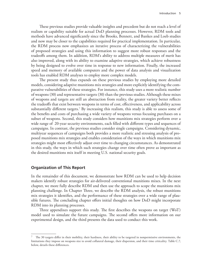These previous studies provide valuable insights and precedent but do not reach a level of realism or capability suitable for actual DoD planning processes. However, RDM tools and methods have advanced significantly since the Brooks, Bennett, and Bankes and Loeb studies and now may be closer to the capabilities required for practical implementation. In particular, the RDM process now emphasizes an iterative process of characterizing the vulnerabilities of proposed strategies and using this information to suggest more robust responses and the tradeoffs among them. In addition, RDM's ability to address multiple measures of merit has also improved, along with its ability to examine adaptive strategies, which achieve robustness by being designed to evolve over time in response to new information. Finally, the increased speed and memory of available computers and the power of data analysis and visualization tools has enabled RDM analyses to employ more complex models.

The present study thus expands on these previous studies by employing more detailed models, considering adaptive munitions mix strategies and more explicitly identifying the comparative vulnerabilities of these strategies. For instance, this study uses a more realistic number of weapons (30) and representative targets (30) than the previous studies. Although these mixes of weapons and targets are still an abstraction from reality, the greater variety better reflects the tradeoffs that exist between weapons in terms of cost, effectiveness, and applicability across substantially different targets.7 By increasing this realism, this study is able to assess some of the benefits and costs of purchasing a wide variety of weapons versus focusing purchases on a subset of weapons. Second, this study considers how munitions mix strategies perform over a wide range of 20-year security environments, each filled with different types and sequences of campaigns. In contrast, the previous studies consider single campaigns. Considering dynamic, multiyear sequences of campaigns both provides a more realistic and stressing analysis of proposed munitions mix strategies and enables consideration of the ways in which munitions mix strategies might most effectively adjust over time to changing circumstances. As demonstrated in this study, the ways in which such strategies change over time often prove as important as the desired munitions mix itself in meeting U.S. national security goals.

### **Organization of This Report**

In the remainder of this document, we demonstrate how RDM can be used to help decision makers identify robust strategies for air-delivered conventional munitions mixes. In the next chapter, we more fully describe RDM and then use the approach to scope the munitions mix planning challenge. In Chapter Three, we describe the RDM analysis, the robust munitions mix strategies it identifies, and the performance of these strategies over a wide range of plausible futures. The concluding chapter offers initial thoughts on how DoD might incorporate RDM into its planning processes.

Three appendixes support this study. The first describes the weapons on target (WoT) model used to simulate the future campaigns. The second offers more information on our experimental design, and the third presents the data used to conduct this work.

 $7$  The 30 targets differ in their mobility, their hardness, their ability to be targeted in nonpermissive environments, the limitations they impose on weapons size to avoid collateral damage, their dispersion, and their time criticality. Table C.7, below, details these differences.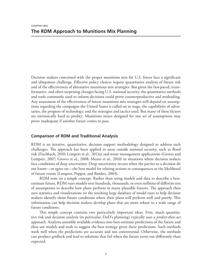Decision makers concerned with the proper munitions mix for U.S. forces face a significant and ubiquitous challenge. Effective policy choices require quantitative analysis of future risk and of the effectiveness of alternative munitions mix strategies. But given the fast-paced, transformative, and often surprising changes facing U.S. national security, the quantitative methods and tools commonly used to inform decisions could prove counterproductive and misleading. Any assessment of the effectiveness of future munitions mix strategies will depend on assumptions regarding the campaigns the United States is called on to wage, the capabilities of adversaries, the progress of technology, and the strategies and tactics used. But many of these factors are intrinsically hard to predict. Munitions mixes designed for one set of assumptions may prove inadequate if another future comes to pass.

# **Comparison of RDM and Traditional Analysis**

RDM is an iterative, quantitative, decision support methodology designed to address such challenges. The approach has been applied to areas outside national security, such as flood risk (Fischbach, 2010; Lempert et al., 2013a) and water management applications (Groves and Lempert, 2007; Groves et al., 2008; Means et al., 2010) in situations where decision makers face conditions of deep uncertainty. Deep uncertainty occurs when the parties to a decision do not know—or agree on—the best model for relating actions to consequences or the likelihood of future events (Lempert, Popper, and Bankes, 2003).

RDM rests on a simple concept. Rather than using models and data to describe a bestestimate future, RDM runs models over hundreds, thousands, or even millions of different sets of assumptions to describe how plans perform in many plausible futures. The approach then uses statistics and visualizations on the resulting large database of model runs to help decision makers identify those future conditions where their plans will perform well and poorly. This information can help decision makers develop plans that are more robust to a wide range of future conditions.

This simple concept contains two particularly important ideas. First, much quantitative risk and decision analysis (in particular, DoD's planning) typically uses a *predict-then-act* approach. Analysts assemble available evidence into best-estimate predictions of the future and then use models and tools to suggest the best strategy given these predictions. Such methods work well when the predictions are accurate and not controversial. Otherwise, the methods can produce gridlock and lead to solutions that fail when the future turns out differently than expected.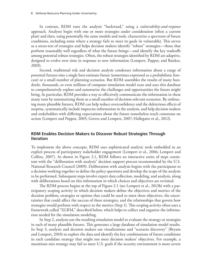In contrast, RDM runs the analysis "backward," using a *vulnerability-and-response* approach. Analysts begin with one or more strategies under consideration (often a current plan) and then, using potentially the same models and tools, characterize a spectrum of future conditions, including some where a strategy fails to meet its goals (is vulnerable). This serves as a stress-test of strategies and helps decision makers identify "robust" strategies—those that perform reasonably well regardless of what the future brings—and identify the key tradeoffs among potential robust strategies. Often, the robust strategies identified by RDM are adaptive, designed to evolve over time in response to new information (Lempert, Popper, and Bankes, 2003).

Second, traditional risk and decision analysis condenses information about a range of potential futures into a single best-estimate future (sometimes expressed as a probabilistic forecast) or a small number of planning scenarios. But RDM assembles the results of many hundreds, thousands, or even millions of computer simulation model runs and uses this database to comprehensively explore and summarize the challenges and opportunities the future might bring. In particular, RDM provides a way to effectively communicate the information in these many runs by summarizing them as a small number of decision-relevant scenarios. By embracing many plausible futures, RDM can help reduce overconfidence and the deleterious effects of surprise, systematically include imprecise information in the analysis, and help decision makers and stakeholders with differing expectations about the future nonetheless reach consensus on action (Lempert and Popper, 2005; Groves and Lempert, 2007; Hallegatte et al., 2012).

# **RDM Enables Decision Makers to Discover Robust Strategies Through Iteration**

To implement the above concepts, RDM uses sophisticated analytic tools embedded in an explicit process of participatory stakeholder engagement (Lempert et al., 2006; Lempert and Collins, 2007). As shown in Figure 2.1, RDM follows an interactive series of steps consistent with the "deliberation with analysis" decision support process recommended by the U.S. National Research Council (2009). Deliberation with analysis begins with the participants to a decision working together to define the policy questions and develop the scope of the analysis to be performed. Subsequent steps involve expert data collection, modeling, and analysis, along with deliberations based on this information in which choices and objectives are revisited.

The RDM process begins at the top of Figure 2.1 (see Lempert et al., 2013b) with a participatory scoping activity in which decision makers define the objectives and metrics of the decision problem, strategies or options that could be used to meet these objectives, the uncertainties that could affect the success of these strategies, and the relationships that govern how strategies would perform with respect to the metrics (Step 1). This scoping activity often uses a framework called "XLRM," described below, which helps to collect and organize the information needed for the simulation modeling.

In Step 2, analysts use the resulting simulation model to evaluate the strategy or strategies in each of many plausible futures. This generates a large database of simulation model results. In Step 3, analysts and decision makers use visualizations and "scenario discovery" (Bryant and Lempert, 2010) to explore the data and identify the key combinations of future conditions in each candidate strategy that might not meet decision makers' objectives. For example, a munitions mix strategy may fail to meet U.S. goals if the security environment is more severe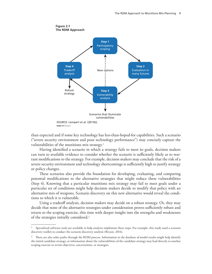

than expected and if some key technology has less-than-hoped-for capabilities. Such a scenario ("severe security environment and poor technology performance") may concisely capture the vulnerabilities of the munitions mix strategy.<sup>1</sup>

Having identified a scenario in which a strategy fails to meet its goals, decision makers can turn to available evidence to consider whether the scenario is sufficiently likely as to warrant modifications to the strategy. For example, decision makers may conclude that the risk of a severe security environment and technology shortcomings is sufficiently high to justify strategy or policy changes.

These scenarios also provide the foundation for developing, evaluating, and comparing potential modifications to the alternative strategies that might reduce these vulnerabilities (Step 4). Knowing that a particular munitions mix strategy may fail to meet goals under a particular set of conditions might help decision makers decide to modify that policy with an alternative mix of weapons. Scenario discovery on this new alternative would reveal the conditions to which it is vulnerable.

Using a tradeoff analysis, decision makers may decide on a robust strategy. Or, they may decide that none of the alternative strategies under consideration proves sufficiently robust and return to the scoping exercise, this time with deeper insight into the strengths and weaknesses of the strategies initially considered.2

Specialized software tools are available to help analysts implement these steps. For example, this study used a scenario discovery toolkit to conduct the scenario discovery analysis (Bryant, 2014).

There are also other paths through the RDM process. Information in the database of model results might help identify the initial candidate strategy, or information about the vulnerabilities of the candidate strategy may lead directly to another scoping exercise to revisit objectives, uncertainties, or strategies.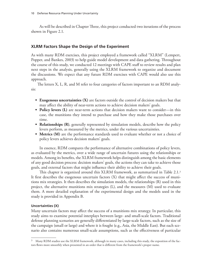As will be described in Chapter Three, this project conducted two iterations of the process shown in Figure 2.1.

# **XLRM Factors Shape the Design of the Experiment**

As with many RDM exercises, this project employed a framework called "XLRM" (Lempert, Popper, and Bankes, 2003) to help guide model development and data gathering. Throughout the course of this study, we conducted 12 meetings with CAPE staff to review results and plan next steps in the analysis, generally using the XLRM framework to organize and document the discussions. We expect that any future RDM exercises with CAPE would also use this approach.

The letters X, L, R, and M refer to four categories of factors important to an RDM analysis:

- **• Exogenous uncertainties (X)** are factors outside the control of decision makers but that may affect the ability of near-term actions to achieve decision makers' goals.
- **• Policy levers (L)** are near-term actions that decision makers want to consider—in this case, the munitions they intend to purchase and how they make those purchases over time.
- **Relationships (R)**, generally represented by simulation models, describe how the policy levers perform, as measured by the metrics, under the various uncertainties.
- **• Metrics (M)** are the performance standards used to evaluate whether or not a choice of policy levers achieves decision makers' goals.

In essence, RDM compares the performance of alternative combinations of policy levers, as evaluated by the metrics, over a wide range of uncertain futures using the relationships or models. Among its benefits, the XLRM framework helps distinguish among the basic elements of any good decision process: decision makers' goals, the actions they can take to achieve those goals, and external factors that might influence their ability to achieve their goals.

This chapter is organized around this XLRM framework, as summarized in Table 2.1.3 It first describes the exogenous uncertain factors (X) that might affect the success of munitions mix strategies. It then describes the simulation models, the relationships (R) used in this project, the alternative munitions mix strategies (L), and the measures (M) used to evaluate them. A more detailed explanation of the experimental design and the models used in the study is provided in Appendix B.

### **Uncertainties (X)**

Many uncertain factors may affect the success of a munitions mix strategy. In particular, this study aims to examine potential interplays between large- and small-scale factors. Traditional defense planning scenarios are generally differentiated by large-scale factors, such as the size of the campaign (small or large) and where it is fought (e.g., Asia, the Middle East). But each scenario also contains numerous small-scale assumptions, such as the effectiveness of particular

<sup>&</sup>lt;sup>3</sup> Many RDM studies use the XLRM framework, although in many cases, including this study, the exposition of the factors flows more smoothly when presented in an order that is different from the framework's proper name.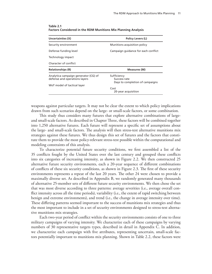| Uncertainties (X)                                                     | <b>Policy Levers (L)</b>                                       |
|-----------------------------------------------------------------------|----------------------------------------------------------------|
| Security environment                                                  | Munitions acquisition policy                                   |
| Defense funding level                                                 | Campaign guidance for each conflict                            |
| Technology impact                                                     |                                                                |
| Character of conflict                                                 |                                                                |
| <b>Relationships (R)</b>                                              | <b>Measures (M)</b>                                            |
| Analytica campaign generator (CG) of<br>defense and operations layers | Sufficiency<br>Success rate<br>Days to completion of campaigns |
| WoT model of tactical layer                                           |                                                                |
|                                                                       | Cost<br>20-year acquisition                                    |

**Table 2.1 Factors Considered in the RDM Munitions Mix Planning Analysis**

weapons against particular targets. It may not be clear the extent to which policy implications drawn from such scenarios depend on the large- or small-scale factors, or some combination.

This study thus considers many futures that explore alternative combinations of largeand small-scale factors. As described in Chapter Three, these factors will be combined together into 1,250 alternative futures. Each future will represent a specific set of assumptions about the large- and small-scale factors. The analysis will then stress-test alternative munitions mix strategies against these futures. We thus design this set of futures and the factors that constitute them to provide the most policy-relevant stress-test possible within the computational and modeling constraints of this analysis.

To characterize potential future security conditions, we first assembled a list of the 35 conflicts fought by the United States over the last century and grouped these conflicts into six categories of increasing intensity, as shown in Figure 2.2. We then constructed 25 alternative future security environments, each a 20-year sequence of different combinations of conflicts of these six security conditions, as shown in Figure 2.3. The first of these security environments represents a repeat of the last 20 years. The other 24 were chosen to provide a maximally diverse set. As described in Appendix B, we randomly generated many thousands of alternative 25-member sets of different future security environments. We then chose the set that was most diverse according to three patterns: average severities (i.e., average overall conflict intensity across all the time periods), variability (i.e., the extent of rapid switching between benign and extreme environments), and trend (i.e., the change in average intensity over time). These differing patterns seemed important to the success of munitions mix strategies and thus the most important to include in a set of security environments designed to stress-test alternative munitions mix strategies.

Each two-year period of conflict within the security environments consists of one to three military campaigns of varying intensity. We characterize each of these campaigns by varying numbers of 30 representative targets types, described in detail in Appendix C. In addition, we characterize each campaign with five attributes, representing uncertain, small-scale factors potentially important to munitions mix planning. Shown in Table 2.2, these factors were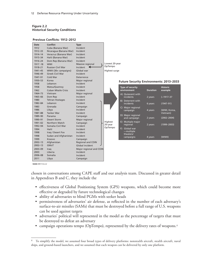## **Figure 2.2 Historical Security Conditions**

| Date        | Conflict                    | <b>Type</b>             |                    |                                                |                 |                 |
|-------------|-----------------------------|-------------------------|--------------------|------------------------------------------------|-----------------|-----------------|
| 1912        | Cuba (Banana War)           | Incident                |                    |                                                |                 |                 |
| 1912-33     | Nicaragua (Banana War)      | Incident                |                    |                                                |                 |                 |
| 1914-14     | Veracruz (Banana War)       | Incident                |                    |                                                |                 |                 |
| 1915-34     | Haiti (Banana War)          | Incident                |                    |                                                |                 |                 |
| 1916-24     | Dom Rep (Banana War)        | Incident                |                    |                                                |                 |                 |
| 1917-18     | <b>WWI</b>                  | Massive regional        | Lowest 20-year     |                                                |                 |                 |
| 1918-21     | <b>Russian Civil War</b>    | Incident<br>↞           | OpTempo            |                                                |                 |                 |
| 1941-45     | WWII (30+ campaigns)        | Global war              | Highest surge      |                                                |                 |                 |
| 1946-49     | <b>Greek Civil War</b>      | Incident                |                    |                                                |                 |                 |
| 1947-91     | Cold War                    | Deterrence              |                    |                                                |                 |                 |
| 1950-53     | Korea                       | Major regional          |                    | <b>Future Security Environments: 2013-2033</b> |                 |                 |
| 1958        | Lebanon                     | Incident                |                    |                                                |                 |                 |
| 1958        | Matsu/Quemoy                | Incident                |                    | <b>Type of security</b>                        |                 | <b>Historic</b> |
| 1962        | <b>Cuban Missile Crisis</b> | Incident                |                    | environment                                    | <b>Duration</b> | example         |
| 1964-73     | Vietnam                     | Major regional          |                    | A) Quiescent with                              |                 |                 |
| 1965-66     | Dom Rep                     | Incident                |                    | incidents                                      | 2 years         | $(-1917-37$     |
| 1980        | <b>Tehran Hostages</b>      | Incident                |                    | <b>B)</b> Deterrent with                       |                 |                 |
| 1982-84     | Lebanon                     | Incident                |                    | incidents                                      | 6 years         | $(1947 - 91)$   |
| 1983        | Grenada                     | Campaign                |                    | C) Major regional                              |                 |                 |
| 1986        | Libya                       | Incident                |                    | campaign                                       | 4 years         | (WWI, Korea,    |
| 1987-88     | <b>Tanker War</b>           | Incident                |                    |                                                |                 | Vietnam)        |
| 1989-90     | Panama                      | Campaign                |                    | D) Major regional<br>and campaign              | 2 years         | $(2002 - 2004)$ |
| 1990-91     | Desert Storm                | Major regional          |                    |                                                |                 |                 |
| 1991-02     | Northern Watch              | Campaign                | Highest<br>20-year | E) Multiple major<br>regional                  | 2 years         | $(1999 - 2003)$ |
| 1992-94     | Somalia Civil War           | Incident                | OpTempo            |                                                |                 |                 |
| 1994        | Haiti                       | Incident                |                    | F) Global war<br>-multiple                     |                 |                 |
| 1998        | Iraq / Desert Fox           | Incident                |                    | theaters/                                      |                 |                 |
| 1998        | Sudan and Afghanistan       | Incident                |                    | campaigns                                      | 4 years         | (WWII)          |
| 1999        | Kosovo                      | Campaign                |                    |                                                |                 |                 |
| $2002 - 13$ | Afghanistan                 | Regional and COIN       |                    |                                                |                 |                 |
| $2002 - 13$ | GWoT                        | Global incident         |                    |                                                |                 |                 |
| 2003-09     | Iraq                        | Major regional and COIN |                    |                                                |                 |                 |
| 2003        | Liberia                     | Incident                |                    |                                                |                 |                 |
| 2006-08     | Somalia                     | Incident                |                    |                                                |                 |                 |
| 2011        | Libya                       | Campaign                |                    |                                                |                 |                 |

#### **Previous Conflicts: 1912–2012**

**RAND** *RR1112-2.2*

chosen in conversations among CAPE staff and our analysis team. Discussed in greater detail in Appendixes B and C, they include the

- effectiveness of Global Positioning System (GPS) weapons, which could become more effective or degraded by future technological changes
- ability of adversaries to blind PGMs with seeker heads
- permissiveness of adversaries' air defense, as reflected in the number of each adversary's surface-to-air missiles (SAMs) that must be destroyed before a full range of U.S. weapons can be used against targets
- adversaries' political will represented in the model as the percentage of targets that must be destroyed to defeat an adversary
- campaign operations tempo (OpTempo), represented by the delivery rates of weapons.<sup>4</sup>

<sup>&</sup>lt;sup>4</sup> To simplify the model, we assumed four broad types of delivery platforms: nonstealth aircraft, stealth aircraft, naval ships, and ground-based launchers, and we assumed that each weapon can be delivered by only one platform.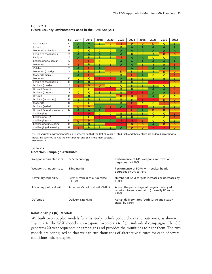|                                | <b>SE</b>      | 2014           | 2016           | 2018         | 2020         | 2022           | 2024           | 2026           | 2028         | 2030           | 2032           |
|--------------------------------|----------------|----------------|----------------|--------------|--------------|----------------|----------------|----------------|--------------|----------------|----------------|
| Last 20 years                  | 21             | A              | A              | в            | D            | E              | D              | D              | D            | C              | B              |
| Benign                         | 1              | A              | A              | B            | B            | B              | A              | A              | A            | A              | A              |
| Moderate to benign             | 23             | $\mathsf{C}$   | c              | $\mathsf{C}$ | C            | A              | $\overline{A}$ | $\overline{A}$ | A            | $\overline{A}$ | A              |
| Benign to challenging          | 24             | A              | A              | A            | A            | A              | B              | B              | в            | D              | D              |
| Benign+                        | $\overline{2}$ | $\overline{A}$ | в              | B            | B            | Ë              | A              | $\overline{A}$ | C            | $\mathsf{C}$   | A              |
| Challenging to benign          | 22             | E              | E              | C            | $\mathsf{C}$ | $\overline{A}$ | $\overline{A}$ | $\overline{A}$ | A            | $\overline{A}$ | A              |
| Moderate                       | 20             | E              | B              | B            | B            | A              | $\overline{A}$ | B              | B            | B              | E              |
| Volatile                       | 25             | $\overline{A}$ | E              | A            | E            | E              | A              | E              | A            | $\overline{A}$ | $\overline{A}$ |
| Moderate (steady)              | 4              | B              | B              | B            | D            | D              | B              | B              | в            | D              | D              |
| Moderate (spikes)              | 3              | A              | E              | B            | B            | B              | E              | A              | C            | $\mathsf{C}$   | E              |
| Moderate                       | 17             | $\mathsf{C}$   | Ċ              | F            | F            | A              | B              | B              | B            | B              | B              |
| Benign to challenging          | 19             | A              | B              | B            | B            | B              | B              | B              | F            | F              | D              |
| Difficult (steady)             | 5              | E              | D              | D            | $\mathsf{C}$ | C              | B              | B              | B            | $\mathsf{C}$   | $\mathsf{C}$   |
| Difficult (surge)              | 6              | Ċ              | c              | F            | F            | B              | B              | B              | A            | A              | E              |
| Difficult (surge) 2            | 8              | $\mathsf{C}$   | Ċ              | B            | B            | B              | F              | F              | A            | $\overline{A}$ | E              |
| Difficult                      | 14             | E              | B              | B            | B            | D              | D              | E              | A            | $\mathsf{C}$   | C              |
| Difficult (increasing)         | 13             | B              | B              | в            | B            | B              | B              | F              | F            | D              | D              |
| Moderate                       | 16             | $\mathsf{C}$   | c              | B            | B            | B              | E              | $\mathsf{C}$   | $\mathsf{C}$ | E              | D              |
| Difficult (varied)             | 10             | D              | D              | A            | E            | A              | F              | F              | B            | B              | B              |
| Difficult (varied, increasing) | 12             | $\overline{A}$ | $\overline{A}$ | A            | F            | F              | E              | $\overline{A}$ | D            | D              | D              |
| Challenging +                  | $\overline{7}$ | F              | F              | $\mathsf{C}$ | Ċ            | B              | B              | B              | C            | C              | E              |
| Challenging $+2$               | 9              | $\mathsf{C}$   | C              | F            | F            | B              | B              | B              | Ċ            | Ċ              | E              |
| Challenging $+3$               | 11             | D              | D              | A            | A            | F              | G              | E              | Ċ            | C              | B              |
| Challenging (increasing)       | 15             | B              | B              | B            | F            | F              | D              | D              | A            | D              | D              |
| Challenging (increasing)       | 18             | E              | B              | B            | B            | A              | D              | D              | F            | F              | D              |

#### **Figure 2.3 Future Security Environments Used in the RDM Analysis**

NOTES: Security environments (SEs) are ordered so that the last 20 years is listed first, and then entries are ordered according to increasing severity. SE A is the most benign and SE F is the most stressful. **RAND** *RR1112-2.3*

## **Table 2.2 Uncertain Campaign Attributes**

| Weapons characteristics  | GPS technology                          | Performance of GPS weapons improves or<br>degrades by $\pm 50\%$                                 |
|--------------------------|-----------------------------------------|--------------------------------------------------------------------------------------------------|
| Weapons characteristics  | Blinding (B)                            | Performance of PGMs with seeker heads<br>degrades by 0% to 75%                                   |
| Adversary capability     | Permissiveness of air defense<br>(PERM) | Number of SAM targets increases or decreases by<br>±50%                                          |
| Adversary political will | Adversary's political will (WILL)       | Adjust the percentage of targets destroyed<br>required to end campaign (normally 80%) by<br>±20% |
| OpTempo                  | Delivery rate (DR)                      | Adjust delivery rates (both surge and steady-<br>state) by $\pm 50\%$                            |

## **Relationships (R): Models**

We built two coupled models for this study to link policy choices to outcomes, as shown in Figure 2.4. The WoT model uses weapons inventories to fight individual campaigns. The CG generates 20-year sequences of campaigns and provides the munitions to fight them. The two models are configured so that we can run thousands of alternative futures for each of several munitions mix strategies.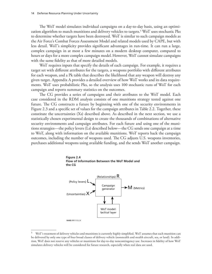The WoT model simulates individual campaigns on a day-to-day basis, using an optimization algorithm to match munitions and delivery vehicles to targets.5 WoT uses stochastic Pks to determine whether targets have been destroyed. WoT is similar to such campaign models as the Air Force's Combat Forces Assessment Model and related models used by CAPE, but with less detail. WoT's simplicity provides significant advantages in run-time. It can run a large, complex campaign in at most a few minutes on a modern desktop computer, compared to hours or days for a more complex campaign model.However, WoT cannot simulate campaigns with the same fidelity as that of more detailed models.

WoT requires inputs that specify the details of each campaign. For example, it requires a target set with different attributes for the targets, a weapons portfolio with different attributes for each weapon, and a Pk table that describes the likelihood that any weapon will destroy any given target. Appendix A provides a detailed overview of how WoT works and its data requirements. WoT uses probabilistic Pks, so the analysis uses 100 stochastic runs of WoT for each campaign and reports summary statistics on the outcomes.

The CG provides a series of campaigns and their attributes to the WoT model. Each case considered in the RDM analysis consists of one munitions strategy tested against one future. The CG constructs a future by beginning with one of the security environments in Figure 2.3 and a specific set of values for the campaign attributes in Table 2.2. Together, these constitute the uncertainties (Xs) described above. As described in the next section, we use a statistically chosen experimental design to create the thousands of combinations of alternative security environments and campaign attributes. For each future and using one of the munitions strategies—the policy levers (Ls) described below—the CG sends one campaign at a time to WoT, along with information on the available munitions. WoT reports back the campaign outcomes, including the number of weapons used. The CG adjusts U.S. weapons inventories, purchases additional weapons using available funding, and the sends WoT another campaign.





<sup>5</sup> WoT's treatment of delivery vehicles and munitions is currently highly simplified. WoT assumes that each munition can be delivered by only one type of four broad classes of delivery vehicle (nonstealth and stealth aircraft, sea, or land). In addition, WoT does not reserve any vehicles or munitions for day-to-day noncontingency use. Increases in fidelity of how WoT simulates delivery vehicles will be considered for future research, especially when real data are used.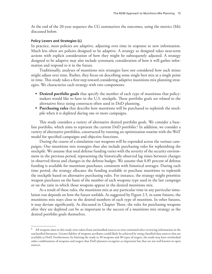At the end of the 20-year sequence the CG summarizes the outcomes, using the metrics (Ms) discussed below.

### **Policy Levers and Strategies (L)**

In practice, most policies are adaptive, adjusting over time in response to new information. Much less often are policies designed to be adaptive. A strategy so designed takes near-term actions with explicit consideration of how they might be subsequently adjusted. A strategy designed to be adaptive may also include systematic consideration of how it will gather information and respond to it in the future.

Traditionally, analyses of munitions mix strategies have not considered how such mixes might adjust over time. Rather, they focus on describing some single best mix at a single point in time. This study takes a first step toward considering adaptive munitions mix planning strategies. We characterize each strategy with two components:

- **• Desired portfolio goals** that specify the number of each type of munitions that policymakers would like to have in the U.S. stockpile. These portfolio goals are related to the alternative force sizing constructs often used in DoD planning.
- **• Purchasing rules** that describe how munitions will be purchased to replenish the stockpile when it is depleted during one or more campaigns.

This study considers a variety of alternative desired portfolio goals. We consider a baseline portfolio, which aims to represent the current DoD portfolio.<sup>6</sup> In addition, we consider a variety of alternative portfolios, constructed by running an optimization routine with the WoT model for specified campaigns and objective functions.

During the course of a simulation run weapons will be expended across the various campaigns. Our munitions mix strategies thus also include purchasing rules for replenishing the stockpile. We assume that total defense funding varies with the severity of the security environment in the previous period, representing the historically observed lag times between changes in observed threat and changes in the defense budget. We assume that 0.85 percent of defense funding is available for munitions purchases, consistent with historical averages. During each time period, the strategy allocates the funding available to purchase munitions to replenish the stockpile based on alternative purchasing rules. For instance, the strategy might prioritize weapon purchases on the basis of the number of each weapons type used in the last campaign or on the ratio in which those weapons appear in the desired munitions mix.

As a result of these rules, the munitions mix at any particular time in any particular simulation run depends on how the future unfolds. As suggested by Figure 2.5, in some futures, the munitions mix stays close to the desired numbers of each type of munition. In other futures, it may deviate significantly. As discussed in Chapter Three, the rules for purchasing weapons after they are depleted can be as important to the success of a munitions mix strategy as the desired portfolio goals themselves.

 $^6$  All weapons data in this study were taken from unclassified sources or were estimated after reviewing information in the unclassified literature. Greater fidelity of weapons attributes could likely be achieved by using classified data sources that are available to DoD. Furthermore, by limiting the study to 30 weapons and 30 types of targets, the study may have overlooked other combinations of weapons and targets that DoD planners recognize as important but that are not well known in open sources.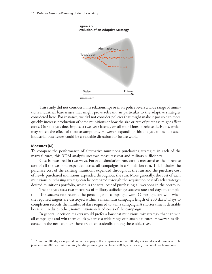

**Figure 2.5 Evolution of an Adaptive Strategy**

This study did not consider in its relationships or in its policy levers a wide range of munitions industrial base issues that might prove relevant, in particular to the adaptive strategies considered here. For instance, we did not consider policies that might make it possible to more quickly increase production of some munitions or how the size or rate of purchase might affect costs. Our analysis does impose a two-year latency on all munitions purchase decisions, which may soften the effect of these assumptions. However, expanding this analysis to include such industrial base issues could be a valuable direction for future work.

#### **Measures (M)**

To compare the performance of alternative munitions purchasing strategies in each of the many futures, this RDM analysis uses two measures: cost and military sufficiency.

Cost is measured in two ways. For each simulation run, cost is measured as the purchase cost of all the weapons expended across all campaigns in a simulation run. This includes the purchase cost of the existing munitions expended throughout the run and the purchase cost of newly purchased munitions expended throughout the run. More generally, the cost of each munitions purchasing strategy can be compared through the acquisition cost of each strategy's desired munitions portfolio, which is the total cost of purchasing all weapons in the portfolio.

The analysis uses two measures of military sufficiency: success rate and days to completion. The success rate records the percentage of campaigns won. Campaigns are won when the required targets are destroyed within a maximum campaign length of 200 days.7 Days to completion records the number of days required to win a campaign. A shorter time is desirable because it reduces other, nonmunitions-related costs of the campaign.

In general, decision makers would prefer a low-cost munitions mix strategy that can win all campaigns and win them quickly, across a wide range of plausible futures. However, as discussed in the next chapter, there are often tradeoffs among these objectives.

<sup>7</sup> A limit of 200 days was placed on each campaign. If a campaign went over 200 days, it was deemed unsuccessful. In practice, this 200-day limit was rarely binding; campaigns that lasted 200 days had usually run out of usable weapons.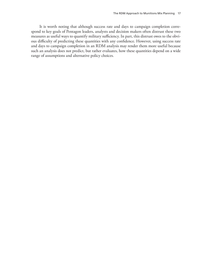It is worth noting that although success rate and days to campaign completion correspond to key goals of Pentagon leaders, analysts and decision makers often distrust these two measures as useful ways to quantify military sufficiency. In part, this distrust owes to the obvious difficulty of predicting these quantities with any confidence. However, using success rate and days to campaign completion in an RDM analysis may render them more useful because such an analysis does not predict, but rather evaluates, how these quantities depend on a wide range of assumptions and alternative policy choices.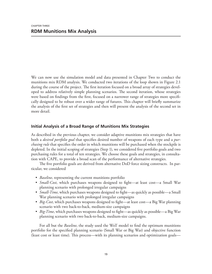We can now use the simulation model and data presented in Chapter Two to conduct the munitions mix RDM analysis. We conducted two iterations of the loop shown in Figure 2.1 during the course of the project. The first iteration focused on a broad array of strategies developed to address relatively simple planning scenarios. The second iteration, whose strategies were based on findings from the first, focused on a narrower range of strategies more specifically designed to be robust over a wider range of futures. This chapter will briefly summarize the analysis of the first set of strategies and then will present the analysis of the second set in more detail.

# **Initial Analysis of a Broad Range of Munitions Mix Strategies**

As described in the previous chapter, we consider adaptive munitions mix strategies that have both a *desired portfolio goal* that specifies desired number of weapons of each type and a *purchasing rule* that specifies the order in which munitions will be purchased when the stockpile is depleted. In the initial scoping of strategies (Step 1), we considered five portfolio goals and two purchasing rules for a total of ten strategies. We choose these goals and strategies, in consultation with CAPE, to provide a broad scan of the performance of alternative strategies.

The five portfolio goals are derived from alternative DoD force sizing constructs. In particular, we considered

- *• Baseline*, representing the current munitions portfolio
- *• Small-Cost*, which purchases weapons designed to fight—at least cost—a Small War planning scenario with prolonged irregular campaigns
- *• Small-Time*, which purchases weapons designed to fight—as quickly as possible—a Small War planning scenario with prolonged irregular campaigns
- *• Big-Cost*, which purchases weapons designed to fight—at least cost—a Big War planning scenario with two back-to-back, medium-size campaigns
- *• Big-Time*, which purchases weapons designed to fight—as quickly as possible—a Big War planning scenario with two back-to-back, medium-size campaigns.

For all but the *Baseline*, the study used the WoT model to find the optimum munitions portfolio for the specified planning scenario (Small War or Big War) and objective function (least cost or least time). This process—with its planning scenarios and optimization goals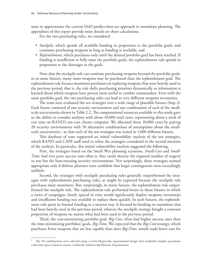aims to approximate the current DoD predict-then-act approach to munitions planning. The appendixes of this report provide more details on these calculations.

For the two purchasing rules, we considered

- *• Stockpile*, which spends all available funding in proportion to the portfolio goals, and continues purchasing weapons as long as funding is available, and
- *• Replenishment*, which purchases only until the desired portfolio goal has been reached. If funding is insufficient to fully meet the portfolio goals, the replenishment rule spends in proportion to the shortages in the goals.

Note that the stockpile rule can continue purchasing weapons beyond the portfolio goals, so in some futures, many more weapons may be purchased than the replenishment goal. The replenishment rule focuses munitions purchases on replacing weapons that were heavily used in the previous period; that is, the rule shifts purchasing priorities dynamically as information is learned about which weapons have proven most useful to combat commanders. Even with the same portfolio goal, the two purchasing rules can lead to very different weapons inventories.

The team next evaluated the ten strategies over a wide range of plausible futures (Step 2). Each future consisted of one security environment and one combination of each of the smallscale uncertainties shown in Table 2.2. The computational resources available to this study gave us the ability to consider analyses with about 10,000 total cases, representing about a week of run time on RAND's ten-core cluster computer. We allocated those 10,000 cases by pairing 20 security environments with 50 alternative combinations of assumptions about the smallscale uncertainties, $1$  so that each of the ten strategies was tested in 1,000 different futures.

This database of runs supported an initial vulnerability analysis of the ten strategies, which RAND and CAPE staff used to refine the strategies considered in the second iteration of the analysis. In particular, this initial vulnerability analysis suggested the following.

First, the strategies based on the Small War planning scenarios, *Small-Cost* and *Small-Time*, had very poor success rates (that is, they rarely destroy the required number of targets) in any but the least-stressing security environments. Not surprisingly, these strategies seemed appropriate only if defense planners were confident that larger contingencies were exceedingly unlikely.

Second, the strategies with stockpile purchasing rules generally outperformed the strategies with replenishment purchasing rules, as might be expected because the stockpile rule purchases more munitions. But, surprisingly, in many futures, the replenishment rule outperformed the stockpile rule. The replenishment rule performed better in those futures in which a series of campaigns closely spaced in time would significantly deplete weapons inventories and insufficient funding was available to replace them quickly. In such futures, the replenishment rule spent its limited funding in a smarter way. It focused its funding on munitions that had been heavily used in the previous period, whereas the stockpile strategy bought a constant proportion of weapons no matter what had been used in the previous period.

Third, the cost-minimizing portfolio goal, *Big-Cost*, often had higher success rates than the time-minimizing portfolios' goals, *Big-Time*. We expected that the *Big-Cost* strategy, which purchases fewer weapons that are less capable than does *Big-Time*, would trade lower cost for

<sup>1</sup> The 50 combinations were selected using a Latin Hypercube experimental design that randomly samples parameter values but spaces them to ensure a relatively uniform distribution of parameters.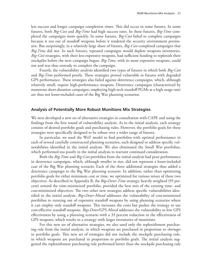less success and longer campaign completion times. This did occur in some futures. In some futures, both *Big-Cost* and *Big-Time* had high success rates. In these futures, *Big-Time* completed the campaigns more quickly. In some futures, *Big-Cost* failed to complete campaigns because it ran out of standoff weapons before it rendered the security environment permissive. But surprisingly, in a relatively large share of futures, *Big-Cost* completed campaigns that *Big-Time* did not. In such futures, repeated campaigns would deplete weapons inventories. *Big-Cost* strategies, with their less-expensive weapons, had sufficient funding to replenish their stockpiles before the next campaign began. *Big-Time*, with its more expensive weapons, could not and was thus unready to complete the campaign.

Fourth, the vulnerability analysis identified two types of futures in which both *Big-Cost* and *Big-Time* performed poorly. These strategies proved vulnerable in futures with degraded GPS performance. These strategies also failed against deterrence campaigns, which, although relatively small, require high-performance weapons. Deterrence campaigns (characterized by numerous short-duration campaigns, employing high-tech standoff PGMs at a high usage rate) are thus not lesser-included cases of the Big War planning scenarios.

### **Analysis of Potentially More Robust Munitions Mix Strategies**

We next developed a new set of alternative strategies in consultation with CAPE and using the findings from the first round of vulnerability analysis. As in the initial analysis, each strategy consists of desired portfolio goals and purchasing rules. However, the portfolio goals for these strategies were specifically designed to be robust over a wider range of futures.

In particular, we used the WoT model to find portfolios with optimal performance in each of several carefully constructed planning scenarios, each designed to address specific vulnerabilities identified in the initial analysis. We also eliminated the Small War portfolios, which performed too poorly in the initial analysis to warrant continued consideration.

Both the *Big-Time* and *Big-Cost* portfolios from the initial analysis had poor performance in deterrence campaigns, which, although smaller in size, did not represent a lesser-included case of the Big War planning scenario. Each of the three additional strategies thus added a deterrence campaign to the Big War planning scenario. In addition, rather than optimizing portfolio goals for either minimum cost or time, we optimized for various mixes of these two objectives. As described in Appendix B, the *Big+Deter-Time* strategy, heavily weighted (95 percent) toward the time-minimized portfolio, provided the best mix of the existing time- and cost-minimized objectives. The two other new strategies address specific vulnerabilities identified in the initial analysis. *Big+Deter-Mixed* addresses the vulnerability of cost-minimized portfolios to running out of expensive standoff weapons by using planning scenarios where it can employ only standoff weapons. This increases the costs but pushes the strategy to use cost-effective standoff weapons. *Big+Deter/GPS-Mixed* addresses the vulnerability to low GPS effectiveness by using a planning scenario with a 33 percent reduction in the effectiveness of GPS weapons, which results in a strategy with larger inventories of munitions.

For this new set of alternative strategies, we also used only the replenishment purchasing rule from the initial analysis, in which weapons are purchased in proportion to *shortages* in portfolio goals. This new set of strategies did not include the stockpile purchasing rule, in which weapons are purchased in proportion to portfolio goals. The initial analysis suggested the replenishment purchasing rule performed better than the stockpile purchasing rule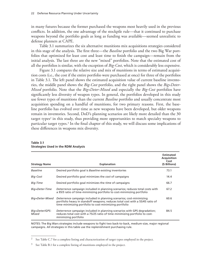in many futures because the former purchased the weapons most heavily used in the previous conflicts. In addition, the one advantage of the stockpile rule—that it continued to purchase weapons beyond the portfolio goals as long as funding was available—seemed unrealistic to defense planners at CAPE.

Table 3.1 summarizes the six alternative munitions mix acquisitions strategies considered in this stage of the analysis. The first three—the *Baseline* portfolio and the two Big War portfolios that optimized for least cost and least time to finish the campaign—remain from the initial analysis. The last three are the new "mixed" portfolios. Note that the estimated cost of all the portfolios is similar, with the exception of *Big-Cost*, which is considerably less expensive.

Figure 3.1 compares the relative size and mix of munitions in terms of estimated acquisition costs (i.e., the cost if the entire portfolio were purchased at once) for three of the portfolios in Table 3.1. The left panel shows the estimated acquisition value of current baseline inventories, the middle panel shows the *Big-Cost* portfolio, and the right panel shows the *Big+Deter-Mixed* portfolio. Note that the *Big+Deter-Mixed* and especially the *Big-Cost* portfolios have significantly less diversity of weapon types. In general, the portfolios developed in this study use fewer types of munitions than the current *Baseline* portfolio and usually concentrate most acquisition spending on a handful of munitions, for two primary reasons. First, the baseline portfolio has evolved over time as new weapons have been developed, but older weapons remain in inventories. Second, DoD's planning scenarios are likely more detailed than the 30 target types<sup>2</sup> in this study, thus providing more opportunities to match specialty weapons to particular target types.<sup>3</sup> In the final chapter of this study, we will discuss some implications of these differences in weapons mix diversity.

| <b>Strategy Name</b>    | <b>Explanation</b>                                                                                                                                                                                             | <b>Estimated</b><br>Acquisition<br>Cost<br>(\$ Billions) |
|-------------------------|----------------------------------------------------------------------------------------------------------------------------------------------------------------------------------------------------------------|----------------------------------------------------------|
| <b>Baseline</b>         | Desired portfolio goal is Baseline existing inventories                                                                                                                                                        | 73.1                                                     |
| Big-Cost                | Desired portfolio goal minimizes the cost of campaigns                                                                                                                                                         | 14.4                                                     |
| Big-Time                | Desired portfolio goal minimizes the <i>time</i> of campaigns                                                                                                                                                  | 66.7                                                     |
| Big+Deter-Time          | Deterrence campaign included in planning scenarios; reduces total costs with<br>a 95/5 ratio of time-minimizing portfolio to cost-minimizing portfolio                                                         | 67.2                                                     |
| Big+Deter-Mixed         | Deterrence campaign included in planning scenarios; cost-minimizing<br>portfolio heavy in standoff weapons; reduces total cost with a 55/45 ratio of<br>time-minimizing portfolio to cost-minimizing portfolio | 60.6                                                     |
| Big+Deter/GPS-<br>Mixed | Deterrence campaign included in planning scenarios with GPS degradation;<br>reduces total cost with a 75/25 ratio of time-minimizing portfolio to cost-<br>minimizing portfolio                                | 84.5                                                     |

#### **Table 3.1 Strategies Used in the RDM Analysis**

NOTES: The Big Wars strategies include weapons to fight two back-to-back, medium-size, major regional campaigns. All strategies in this table use the replenishment purchasing rule.

See Table C.7 for a complete listing and characterization of target types employed in the project.

 $3$  See Table B.1 for a complete listing of munitions employed in the project.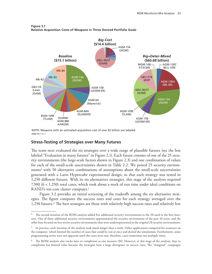

**Figure 3.1 Relative Acquisition Costs of Weapons in Three Desired Portfolio Goals**

NOTE: Weapons with an estimated acquisition cost of over \$2 billion are labeled. **RAND** *RR1112-3.1*

## **Stress-Testing of Strategies over Many Futures**

The team next evaluated the six strategies over a wide range of plausible futures (see the box labeled "Evaluation in many futures" in Figure 2.1). Each future consists of one of the 25 security environments (the large-scale factors shown in Figure 2.3) and one combination of values for each of the small-scale uncertainties shown in Table 2.2. We paired 25 security environments4 with 50 alternative combinations of assumptions about the small-scale uncertainties generated with a Latin Hypercube experimental design, so that each strategy was tested in 1,250 different futures. With its six alternatives strategies, this stage of the analysis required 7,500 ( $6 \times 1,250$ ) total cases, which took about a week of run time under ideal conditions on RAND's ten-core cluster computer.<sup>5</sup>

Figure 3.2 provides an initial screening of the tradeoffs among the six alternative strategies. The figure compares the success rates and costs for each strategy averaged over the 1,250 futures.6 The best strategies are those with relatively high success rates and relatively low

 $4$  The second iteration of the RDM analysis added five additional security environments to the 20 used in the first iteration. One of these additional security environments approximated the security environment of the past 20 years, and the other four focused on less-severe security environments that were underrepresented in the original 20 security environments.

<sup>&</sup>lt;sup>5</sup> In practice, each iteration of the analysis took much longer than a week. Other applications competed for resources on the computer, which limited the number of cases that could be run at once and slowed the simulations. Furthermore, some programming errors were not apparent until the cases were run; therefore, cases sometimes ran multiple times.

 $6$  The RDM analysis also tracks days to completion as one measure (M). However, at this stage of the analysis, days to completion has limited value because the strategies have a large divergence in success rates. The "marginal" campaigns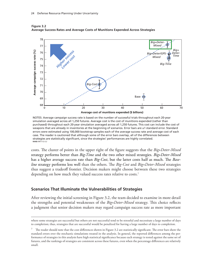

**Figure 3.2 Average Success Rates and Average Costs of Munitions Expended Across Strategies**

NOTES: Average campaign success rate is based on the number of successful trials throughout each 20-year simulation averaged across all 1,250 futures. Average cost is the cost of munitions expended (rather than purchased) throughout each 20-year simulation averaged across all 1,250 futures. This cost can include the cost of weapons that are already in inventories at the beginning of scenarios. Error bars are ±1 standard error. Standard errors were estimated using 100,000 bootstrap samples each of the average success rate and average cost of each case. The reader is cautioned that although some of the error bars overlap, all of the differences between strategies are statistically significant, since the strategies' performances are highly correlated. **RAND** *RR1112-3.2*

costs. The cluster of points in the upper right of the figure suggests that the *Big+Deter-Mixed* strategy performs better than *Big-Time* and the two other mixed strategies. *Big+Deter-Mixed* has a higher average success rate than *Big-Cost*, but the latter costs half as much. The *Baseline* strategy performs less well than the others. The *Big-Cost* and *Big+Deter-Mixed* strategies thus suggest a tradeoff frontier. Decision makers might choose between these two strategies depending on how much they valued success rates relative to costs.<sup>7</sup>

## **Scenarios That Illuminate the Vulnerabilities of Strategies**

After reviewing the initial screening in Figure 3.2, the team decided to examine in more detail the strengths and potential weaknesses of the *Big+Deter-Mixed* strategy. This choice reflects a judgment that senior decision makers may regard campaign success rate as more important

where some strategies are successful but others are not successful tend to be stressful and necessitate a large number of days to completion; thus, strategies that are successful would be penalized for having a large number of days to completion.

 $7$  The reader should note that the cost differences shown in Figure 3.2 are statistically significant. The error bars show the standard errors over the stochastic simulations treated in the analysis. In general, the reported differences among the performance of strategies in this analysis have high statistical significance because each strategy is tested against the same set of futures, and the rankings of strategies are consistent across these futures, even when the percentage differences are relatively small.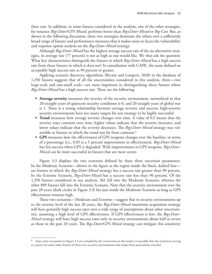than cost. In addition, in some futures considered in the analysis, one of the other strategies, for instance *Big+Deter/GPS-Mixed*, performs better than *Big+Deter-Mixed* or *Big-Cost.* But, as shown in the following discussion, these two strategies dominate the others over a sufficiently broad range of futures and performance measures that it makes sense to focus the vulnerability and response option analysis on the *Big+Deter-Mixed* strategy.

Although *Big+Deter-Mixed* has the highest average success rate of the six alternative strategies, its average rate (77 percent) is not as high as one would like. We thus ask the question: What key characteristics distinguish the futures in which *Big+Deter-Mixed* has a high success rate from those futures in which it does not? In consultation with CAPE, the team defined an acceptably high success rate as 90 percent or greater.

Applying scenario discovery algorithms (Bryant and Lempert, 2010) to the database of 1,250 futures suggests that of all the uncertainties considered in this analysis, three—two large-scale and one-small scale—are most important in distinguishing those futures where *Big+Deter-Mixed* has a high success rate. These are the following:

- **• Average severity** measures the severity of the security environment, normalized so that 20 straight years of quiescent security conditions is 0, and 20 straight years of global war is 1. There is a strong relationship between average severity and success; high-severity security environments have too many targets for any strategy to be highly successful.
- **• Trend** measures how average severity changes over time. A value of 0.5 means that the severity stays constant over time; higher values indicate that the severity increases, and lower values indicate that the severity decreases. The *Big+Deter-Mixed* strategy was vulnerable to futures in which the trend was far from constant.<sup>8</sup>
- **• GPS** measures how the effectiveness of GPS weapons changes over the baseline, in terms of a percentage (i.e., 0.05 is a 5 percent improvement in effectiveness). *Big+Deter-Mixed* has less success when GPS is degraded. With improvements in GPS weapons, *Big+Deter-Mixed* can be more successful in futures that are more severe.

Figure 3.3 displays the two scenarios defined by these three uncertain parameters. In the Moderate Scenario—shown in the figure as the region inside the black, dashed line are futures in which the *Big+Deter-Mixed* strategy has a success rate greater than 90 percent. In the Extreme Scenario, *Big+Deter-Mixed* has a success rate less than 90 percent. Of the 1,250 futures considered in our analysis, 361 fall into the Moderate Scenario, whereas the other 889 futures fall into the Extreme Scenario. Note that the security environment over the past 20 years (dark circles in Figure 3.3) lies just inside the Moderate Scenario as long as GPS effectiveness remains high.

These two scenarios—Moderate and Extreme—suggest that in security environments up to the severity level of the last 20 years, the *Big+Deter-Mixed* munitions acquisition strategy will have generally high success rates over a wide range of assumptions about other uncertainties, assuming a high level of GPS effectiveness. If GPS effectiveness is low, the *Big+Deter-Mixed* strategy will have high success rates only in security environments about half as severe as those in the past 20 years. The *Big+Deter/GPS-Mixed* strategy can mitigate this sensitivity

Since only two points in Figure 3.3 are excluded by the restrictions on the trend, it is possible that the trend was serving as a proxy for some other feature of those two security environments that made them particularly stressful.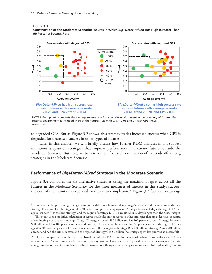



NOTES: Each point represents the average success rate for a security environment across a variety of futures. Each security environment is included in 50 of the futures—23 with GPS > 0.05 and 27 with GPS < 0.05. **RAND** *RR1112-3.3*

to degraded GPS. But as Figure 3.2 shows, this strategy trades increased success when GPS is degraded for decreased success in other types of futures.

Later in this chapter, we will briefly discuss how further RDM analyses might suggest munitions acquisition strategies that improve performance in Extreme futures outside the Moderate Scenario. But now, we turn to a more focused examination of the tradeoffs among strategies in the Moderate Scenario.

## **Performance of** *Big+Deter-Mixed* **Strategy in the Moderate Scenario**

Figure 3.4 compares the six alternative strategies using the maximum regret across all the futures in the Moderate Scenario<sup>9</sup> for the three measures of interest in this study: success, the cost of the munitions expended, and days to completion.10 Figure 3.2 focused on average

 $9$  For a particular purchasing strategy, regret is the difference between that strategy's measure and the measure of the best strategy. For example, if Strategy A takes 50 days to complete a campaign and Strategy B takes 60 days, the regret of Strategy A is 0 days (it is the best strategy) and the regret of Strategy B is 10 days (it takes 10 days longer than the best strategy).

This study uses a modified calculation of regret that looks only at regret to other strategies that are at least as successful at conducting a particular campaign. Thus, if Strategy A spends \$80 billion and has 100 percent success, Strategy B spends \$90 billion and has 100 percent success, and Strategy C spends \$40 billion and has 50 percent success, the regret of Strategy A is \$0 (no strategy spent less and was as successful), the regret of Strategy B is \$10 billion (Strategy A was \$10 billion cheaper and had the same success), and the regret of Strategy C is \$0 billion (no strategy spent less and was as successful).

<sup>&</sup>lt;sup>10</sup> Days to completion regret is calculated based on only the 172 futures in the scenario where all strategies were 100 percent successful. As noted in an earlier footnote, the days to completion metric will provide a penalty for strategies that take a long number of days to complete stressful scenarios even though other strategies are unsuccessful. Calculating days to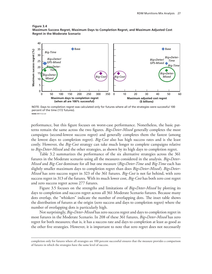### **Figure 3.4 Maximum Success Regret, Maximum Days to Completion Regret, and Maximum Adjusted Cost Regret in the Moderate Scenario**



NOTE: Days to completion regret was calculated only for futures where all of the strategies were successful 100 percent of the time (172 futures). **RAND** *RR1112-3.4*

performance, but this figure focuses on worst-case performance. Nonetheless, the basic patterns remain the same across the two figures. *Big+Deter-Mixed* generally completes the most campaigns (second-lowest success regret) and generally completes them the fastest (among the lowest days to completion regret). *Big-Cost* also has high success rates and is the least costly. However, the *Big-Cost* strategy can take much longer to complete campaigns relative to *Big+Deter-Mixed* and the other strategies, as shown by its high days to completion regret.

Table 3.2 summarizes the performance of the six alternative strategies across the 361 futures in the Moderate scenario using all the measures considered in the analysis. *Big+Deter-Mixed* and *Big-Cost* dominate for all but one measure (*Big+Deter-Time* and *Big-Time* each has slightly smaller maximum days to completion regret than does *Big+Deter-Mixed*). *Big+Deter-Mixed* has zero success regret in 323 of the 361 futures. *Big-Cost* is not far behind, with zero success regret in 313 of the futures. With its much lower cost, *Big-Cost* has both zero cost regret and zero success regret across 277 futures.

Figure 3.5 focuses on the strengths and limitations of *Big+Deter-Mixed* by plotting its days to completion and success regret across all 361 Moderate Scenario futures. Because many dots overlap, the "whiskers" indicate the number of overlapping dots. The inset table shows the distribution of futures at the origin (zero success and days to completion regret) where the number of overlapping dots is particularly high.

Not surprisingly, *Big+Deter-Mixed* has zero success regret and days to completion regret in most futures in the Moderate Scenario. In 208 of these 361 futures, *Big+Deter-Mixed* has zero regret for both measures; that is, it has a success rate and days to completion at least as good as the other five strategies. However, it is important to note that zero regret does not necessarily

completion only for futures where all strategies are 100 percent successful ensures that the measure provides a comparison of futures in which the strategies have the same level of success.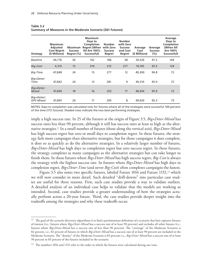| <b>Strategy</b>         | <b>Maximum</b><br><b>Adjusted</b><br><b>Cost Regret</b><br>(\$ Millions) | <b>Maximum</b><br><b>Success</b><br>Regret (%) | <b>Maximum</b><br>Days to<br>Completion<br>Regret (When with Zero<br><b>All Are 100%</b><br>Successful) | <b>Number</b><br><b>Success</b><br>Regret | <b>Number</b><br>with Zero<br><b>Success</b><br>and Cost<br>Regret | Average<br>Cost<br>(\$ Millions) | Average<br><b>Success</b><br>$(\% )$ | Average<br>Days to<br>Completion<br>(When All<br>Are 100%<br>Successful) |
|-------------------------|--------------------------------------------------------------------------|------------------------------------------------|---------------------------------------------------------------------------------------------------------|-------------------------------------------|--------------------------------------------------------------------|----------------------------------|--------------------------------------|--------------------------------------------------------------------------|
| Baseline                | 44,776                                                                   | 36                                             | 162                                                                                                     | 186                                       | 38                                                                 | 34,526                           | 91.3                                 | 104                                                                      |
| Big-Cost                | 4,315                                                                    | 15                                             | 310                                                                                                     | 313                                       | 277                                                                | 19,745                           | 95.5                                 | 124                                                                      |
| Big-Time                | 47,848                                                                   | 24                                             | 15                                                                                                      | 277                                       | 12                                                                 | 49,300                           | 94.8                                 | 72                                                                       |
| Big+Deter-<br>Time      | 47,842                                                                   | 24                                             | 13                                                                                                      | 281                                       | 9                                                                  | 49,310                           | 95.0                                 | 72                                                                       |
| Big+Deter-<br>Mixed     | 47,849                                                                   | 18                                             | 16                                                                                                      | 323                                       | 17                                                                 | 48,934                           | 95.9                                 | 72                                                                       |
| Big+Deter/<br>GPS-Mixed | 47,845                                                                   | 24                                             | 17                                                                                                      | 295                                       | 8                                                                  | 49,620                           | 95.3                                 | 73                                                                       |

| Table 3.2 |                                                                   |  |
|-----------|-------------------------------------------------------------------|--|
|           | <b>Summary of Measures in the Moderate Scenario (361 Futures)</b> |  |

NOTES: Days to completion was calculated only for futures where all of the strategies were successful 100 percent of the time (172 futures). Shaded rows indicate the two best-performing strategies.

imply a high success rate. In 25 of the futures at the origin of Figure 3.5, *Big+Deter-Mixed* has success rates less than 90 percent, although it still has success rates at least as high as the alternative strategies.11 In a small number of futures (those along the vertical axis), *Big+Deter-Mixed* has high success regret but zero or small days to completion regret. In these futures, the strategy fails more campaigns than alternative strategies, but for those campaigns it does complete, it does so as quickly as do the alternative strategies. In a relatively larger number of futures, *Big+Deter-Mixed* has high days to completion regret but zero success regret. In these futures, the strategy completes as many campaigns as the alternative strategies but can take longer to finish them. In those futures where *Big+Deter-Mixed* has high success regret, *Big-Cost* is always the strategy with the highest success rate. In futures where *Big+Deter-Mixed* has high days to completion regret, *Big+Deter-Time* (and never *Big-Cost*) often completes campaigns the fastest.

Figure 3.5 also notes two specific futures, labeled Future 1016 and Future 1152,<sup>12</sup> which we will now consider in more detail. Such detailed "drill-downs" into particular case studies are useful for three reasons. First, such case studies provide a way to validate outliers. A detailed analysis of an individual case helps to validate that the models are working as intended. Second, case studies provide a greater understanding of how the strategies actually perform across a 20-year future. Third, the case studies provide deeper insight into the tradeoffs among the strategies and why these tradeoffs occur.

<sup>&</sup>lt;sup>11</sup> The goal of the scenario discovery algorithms is to find a parsimonious definition of a scenario that best captures futures of interest (i.e., futures where *Big+Deter-Mixed* has a success rate of at least 90 percent) and excludes all other futures (i.e., futures where *Big+Deter-Mixed* has a success rate of less than 90 percent). The "coverage" of the Moderate Scenario is 82 percent, i.e., 82 percent of futures in which *Big+Deter-Mixed* has a success rate of at least 90 percent are included in the Moderate Scenario. The "density" of the Moderate Scenario is 83 percent; i.e., *Big+Deter-Mixed* has a success rate of at least 90 percent in 83 percent of the futures included in the scenario.

<sup>&</sup>lt;sup>12</sup> The numbers 1016 and 1152 refer to the order in which the futures were calculated during our runs.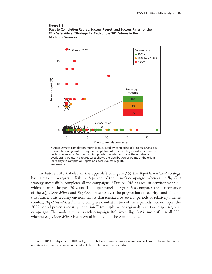#### **Figure 3.5 Days to Completion Regret, Success Regret, and Success Rates for the** *Big+Deter-Mixed* **Strategy for Each of the 361 Futures in the Moderate Scenario**



NOTES: Days to completion regret is calculated by comparing *Big+Deter-Mixed* days to completion against the days to completion of other strategies with the same or better success rate. For overlapping points, the whiskers show the number of overlapping points. No regret cases shows the distribution of points at the origin (zero days to completion regret and zero success regret). **RAND** *RR1112-3.5*

In Future 1016 (labeled in the upper-left of Figure 3.5) the *Big+Deter-Mixed* strategy has its maximum regret; it fails in 18 percent of the future's campaigns, whereas the *Big-Cost* strategy successfully completes all the campaigns.<sup>13</sup> Future 1016 has security environment 21, which mirrors the past 20 years. The upper panel in Figure 3.6 compares the performance of the *Big+Deter-Mixed* and *Big-Cost* strategies over the progression of security conditions in this future. This security environment is characterized by several periods of relatively intense combat; *Big+Deter-Mixed* fails to complete combat in two of these periods. For example, the 2022 period presents security condition E (multiple major regional) with two major regional campaigns. The model simulates each campaign 100 times. *Big-Cost* is successful in all 200, whereas *Big+Deter-Mixed* is successful in only half these campaigns.

<sup>&</sup>lt;sup>13</sup> Future 1048 overlaps Future 1016 in Figure 3.5. It has the same security environment as Future 1016 and has similar uncertainties; thus the behavior and results of the two futures are very similar.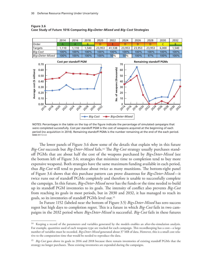$\Gamma$ 

|                            |                                                                      | 2014  | 2016                                                             | 2018         | 2020   | 2022                       | 2024                                                       | 2026                                    | 2028                           | 2030  | 2032  |
|----------------------------|----------------------------------------------------------------------|-------|------------------------------------------------------------------|--------------|--------|----------------------------|------------------------------------------------------------|-----------------------------------------|--------------------------------|-------|-------|
|                            | Order                                                                | A     | A                                                                | <sub>B</sub> | D      | Е                          | D                                                          | D                                       | D                              | C     | B.    |
| Targets                    |                                                                      | 1,110 | 1,110                                                            | 1,540        | 23,953 | 41,538                     | 23,953                                                     | 23,953                                  | 23,953                         | 6,000 | 1,540 |
| <b>Big-Cost</b>            |                                                                      | 100%  | 100%                                                             | 100%         | 100%   | 100%                       | 100%                                                       | 100%                                    | 100%                           | 100%  | 100%  |
|                            | Big+Deter-Mixed                                                      | 100%  | 100%                                                             | 100%         | 100%   | 50%                        | 50%                                                        | 100%                                    | 97%                            | 100%  | 100%  |
| Average cost (\$ millions) | 0.70<br>0.60<br>0.50<br>0.40<br>0.30<br>0.20<br>0.10<br>0.00<br>2016 |       | Cost per standoff PGM<br>2018 2019 2012 2014 2016 2018 2039 2032 |              |        | No. of weapons (thousands) | 70<br>60<br>50<br>40<br>30<br>20<br>10<br>$\Omega$<br>2014 | 2016 2018 2012 2014 2016 2018 2030 2032 | <b>Remaining standoff PGMs</b> |       |       |
|                            |                                                                      |       |                                                                  |              |        |                            | Big-Cost - Big+Deter-Mixed                                 |                                         |                                |       |       |

**Figure 3.6 Case Study of Future 1016 Comparing** *Big+Deter-Mixed* **and** *Big-Cost* **Strategies**

NOTES: Percentages in the table on the top of the figure indicate the percentage of simulated campaigns that were completed successfully. Cost per standoff PGM is the cost of weapons acquired at the beginning of each period (no acquisition in 2014). Remaining standoff PGMs is the number remaining at the end of the each period. **RAND** *RR1112-3.6*

The lower panels of Figure 3.6 show some of the details that explain why in this future *Big-Cost* succeeds but *Big-Deter-Mixed* fails.14 The *Big-Cost* strategy usually purchases standoff PGMs that are about half the cost of the weapons purchased by *Big+Deter-Mixed* (see the bottom left of Figure 3.6; strategies that minimize time to completion tend to buy more expensive weapons). Both strategies have the same maximum funding available in each period, thus *Big-Cost* will tend to purchase about twice as many munitions. The bottom-right panel of Figure 3.6 shows that this purchase pattern can prove disastrous for *Big+Deter-Mixed*—it twice runs out of standoff PGMs completely and therefore is unable to successfully complete the campaign. In this future, *Big+Deter-Mixed* never has the funds or the time needed to build up its standoff PGM inventories to its goals. The intensity of conflict also prevents *Big-Cost* from reaching its goals in most periods, but in 2030 and 2032, it has managed to reach its goals, so its inventories of standoff PGMs level out.15

In Future 1152 (labeled near the bottom of Figure 3.5) *Big+Deter-Mixed* has zero success regret but high days to completion regret. This is a future in which *Big-Cost* fails in two campaigns in the 2032 period where *Big+Deter-Mixed* is successful. *Big-Cost* fails in these futures

<sup>&</sup>lt;sup>14</sup> Keeping a record of the parameters and variables generated by the models enables an after-the-simulation analysis. For example, quantities used of each weapons type are tracked for each campaign. This recordkeeping has a cost—a large number of variables must be recorded. *Big+Deter-Mixed* generated about 37 MB of data. However, this is a small cost relative to the computation time that would be needed to reproduce the data.

<sup>15</sup> *Big-Cost* goes above its goals in 2016 and 2018 because there remain inventories of existing standoff PGMs that the strategy no longer purchases. These existing inventories are expended during the campaigns.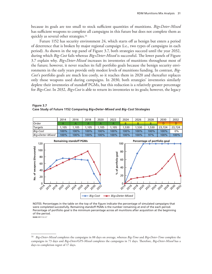because its goals are too small to stock sufficient quantities of munitions. *Big+Deter-Mixed* has sufficient weapons to complete all campaigns in this future but does not complete them as quickly as several other strategies.16

Future 1152 has security environment 24, which starts off as benign but enters a period of deterrence that is broken by major regional campaign (i.e., two types of campaigns in each period). As shown in the top panel of Figure 3.7, both strategies succeed until the year 2032, during which *Big-Cost* fails whereas *Big+Deter-Mixed* is successful. The lower panels of Figure 3.7 explain why. *Big+Deter-Mixed* increases its inventories of munitions throughout most of the future; however, it never reaches its full portfolio goals because the benign security environments in the early years provide only modest levels of munitions funding. In contrast, *Big-Cost*'s portfolio goals are much less costly, so it reaches them in 2020 and thereafter replaces only those weapons used during campaigns. In 2030, both strategies' inventories similarly deplete their inventories of standoff PGMs, but this reduction is a relatively greater percentage for *Big+Cost*. In 2032, *Big+Cost* is able to return its inventories to its goals; however, the legacy

**Figure 3.7 Case Study of Future 1152 Comparing** *Big+Deter-Mixed* **and** *Big-Cost* **Strategies**



NOTES: Percentages in the table on the top of the figure indicate the percentage of simulated campaigns that were completed successfully. Remaining standoff PGMs is the number remaining at end of the each period. Percentage of portfolio goal is the minimum percentage across all munitions after acquisition at the beginning of the period.

**RAND** *RR1112-3.7*

<sup>16</sup> *Big+Deter-Mixed* completes the campaigns in 88 days on average, whereas *Big-Time* and *Big+Deter-Time* complete the campaigns in 73 days and *Big+Deter/GPS-Mixed* completes the campaigns in 71 days. Therefore, *Big+Deter-Mixed* has a days to completion regret of 17 days.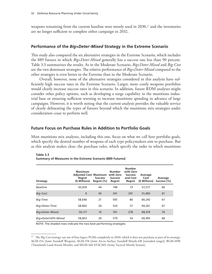weapons remaining from the current baseline were mostly used in 2030,<sup>17</sup> and the inventories are no longer sufficient to complete either campaign in 2032.

## **Performance of the** *Big+Deter-Mixed* **Strategy in the Extreme Scenario**

This study also compared the six alternative strategies in the Extreme Scenario, which includes the 889 futures in which *Big+Deter-Mixed* generally has a success rate less than 90 percent. Table 3.3 summarizes the results. As in the Moderate Scenario, *Big+Deter-Mixed* and *Big-Cost* are the two dominant strategies. The relative performance of *Big+Deter-Mixed* compared to the other strategies is even better in the Extreme than in the Moderate Scenario.

Overall, however, none of the alternative strategies considered in this analysis have sufficiently high success rates in the Extreme Scenario. Larger, more costly weapons portfolios would clearly increase success rates in this scenario. In addition, future RDM analyses might consider other policy options, such as developing a surge capability in the munitions industrial base or ensuring sufficient warning to increase munitions spending in advance of large campaigns. However, it is worth noting that the current analysis provides the valuable service of clearly delineating the types of futures beyond which the munitions mix strategies under consideration cease to perform well.

## **Future Focus on Purchase Rules in Addition to Portfolio Goals**

Most munitions mix analyses, including this one, focus on what we call here portfolio goals, which specify the desired number of weapons of each type policymakers aim to purchase. But as this analysis makes clear, the purchase rules, which specify the order in which munitions

| <b>Strategy</b>     | <b>Maximum</b><br><b>Adjusted Cost Maximum</b><br>Regret<br>(\$ Millions) | <b>Success</b><br>Regret (%) | <b>Number</b><br>with Zero<br><b>Success</b><br>Regret | <b>Number</b><br>with Zero<br><b>Success</b><br>and Cost<br>Regret | Average<br>Cost<br>(\$ Millions) | Average<br>Success (%) |
|---------------------|---------------------------------------------------------------------------|------------------------------|--------------------------------------------------------|--------------------------------------------------------------------|----------------------------------|------------------------|
| <b>Baseline</b>     | 43,924                                                                    | 44                           | 148                                                    | 73                                                                 | 57,277                           | 60                     |
| Big-Cost            | $\mathbf 0$                                                               | 43                           | 341                                                    | 341                                                                | 31,483                           | 61                     |
| Big-Time            | 58,646                                                                    | 21                           | 505                                                    | 86                                                                 | 69,243                           | 67                     |
| Big+Deter-Time      | 58,802                                                                    | 20                           | 524                                                    | 57                                                                 | 69,261                           | 67                     |
| Big+Deter-Mixed     | 56,117                                                                    | 16                           | 761                                                    | 278                                                                | 68,419                           | 70                     |
| Big+Deter/GPS-Mixed | 58,853                                                                    | 20                           | 579                                                    | 54                                                                 | 69,495                           | 68                     |

**Table 3.3 Summary of Measures in the Extreme Scenario (889 Futures)**

NOTE: The shaded rows indicate the two best-performing strategies.

<sup>&</sup>lt;sup>17</sup> The *Big-Cost* strategy ran out of four legacy PGMs completely in 2030, which it does not purchase as part of its strategy: AGM-154 (Joint Standoff Weapon), AGM-158 (Joint Air-to-Surface Standoff Missile-ER [extended range]), BGM-109E (Tomahawk Land-Attack Missile), and MGM-168 ATACMS (Army Tactical Missile System).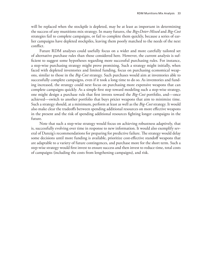will be replaced when the stockpile is depleted, may be at least as important in determining the success of any munitions mix strategy. In many futures, the *Big+Deter-Mixed* and *Big-Cost* strategies fail to complete campaigns, or fail to complete them quickly, because a series of earlier campaigns have depleted stockpiles, leaving them poorly matched to the needs of the next conflict.

Future RDM analyses could usefully focus on a wider and more carefully tailored set of alternative purchase rules than those considered here. However, the current analysis is sufficient to suggest some hypotheses regarding more successful purchasing rules. For instance, a step-wise purchasing strategy might prove promising. Such a strategy might initially, when faced with depleted inventories and limited funding, focus on purchasing economical weapons, similar to those in the *Big-Cost* strategy. Such purchases would aim at inventories able to successfully complete campaigns, even if it took a long time to do so. As inventories and funding increased, the strategy could next focus on purchasing more expensive weapons that can complete campaigns quickly. As a simple first step toward modeling such a step-wise strategy, one might design a purchase rule that first invests toward the *Big-Cost* portfolio, and—once achieved—switch to another portfolio that buys pricier weapons that aim to minimize time. Such a strategy should, at a minimum, perform at least as well as the *Big-Cost* strategy. It would also make clear the tradeoffs between spending additional resources on more effective weapons in the present and the risk of spending additional resources fighting longer campaigns in the future.

Note that such a step-wise strategy would focus on achieving robustness adaptively, that is, successfully evolving over time in response to new information. It would also exemplify several of Danzig's recommendations for preparing for predictive failure. The strategy would delay some decisions until more funding is available, prioritize cost-effective standoff weapons that are adaptable to a variety of future contingences, and purchase more for the short term. Such a step-wise strategy would first invest to ensure success and then invest to reduce time, total costs of campaigns (including the costs from lengthening campaigns), and risk.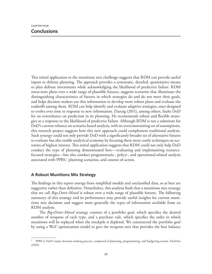This initial application to the munitions mix challenge suggests that RDM can provide useful inputs to defense planning. The approach provides a systematic, detailed, quantitative means to plan defense investments while acknowledging the likelihood of predictive failure. RDM stress-tests plans over a wide range of plausible futures, suggests scenarios that illuminate the distinguishing characteristics of futures in which strategies do and do not meet their goals, and helps decision makers use this information to develop more robust plans and evaluate the tradeoffs among them. RDM can help identify and evaluate adaptive strategies, ones designed to evolve over time in response to new information. Danzig (2011), among others, faults DoD for an overreliance on prediction in its planning. He recommends robust and flexible strategies as a response to the likelihood of predictive failure. Although RDM is not a substitute for DoD's current reliance on scenario-based analysis, with its overconstraining set of assumptions, this research project suggests how this new approach could complement traditional analysis. Such synergy could not only provide DoD with a significantly broader set of alternative futures to evaluate but also enable analytical economy by focusing these more costly techniques on scenarios of highest interest. This initial application suggests that RDM could not only help DoD conduct the type of planning demonstrated here—evaluating and implementing resourcefocused strategies—but also conduct programmatic-, policy-, and operational-related analysis associated with PPBS,<sup>1</sup> planning scenarios, and courses of action.

# **A Robust Munitions Mix Strategy**

The findings in this report emerge from simplified models and unclassified data, so at best are suggestive rather than definitive. Nonetheless, this analysis finds that a munitions mix strategy that we call *Big+Deter-Mixed* is robust over a wide range of plausible futures. The following summary of this strategy and its performance may provide useful insights for current munitions mix decisions and suggest more generally the types of information available from an RDM analysis.

The *Big+Deter-Mixed* strategy consists of a portfolio goal, which specifies the desired number of weapons of each type, and a purchase rule, which specifies the order in which munitions will be replaced when the stockpile is depleted. We constructed the portfolio goal by using a WoT optimization model to give the weapons mix that provides the best balance

<sup>&</sup>lt;sup>1</sup> PPBS is DoD's major decision making process, composed of planning, programming, and budgeting system. DonVito (1969).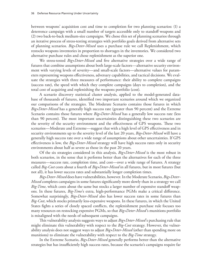between weapons' acquisition cost and time to completion for two planning scenarios: (1) a deterrence campaign with a small number of targets accessible only to standoff weapons and (2) two back-to-back medium-size campaigns. We chose this set of planning scenarios through an iterative process of stress-testing strategies with portfolio goals derived from alternative sets of planning scenarios. *Big+Deter-Mixed* uses a purchase rule we call Replenishment, which restocks weapons inventories in proportion to shortages in the inventories. We considered two alternative purchase rules and chose replenishment as the superior one.

We stress-tested *Big+Deter-Mixed* and five alternative strategies over a wide range of futures that combine assumptions about both large-scale factors—alternative security environment with varying levels of severity—and small-scale factors—alternative values for parameters representing weapons effectiveness, adversary capabilities, and tactical decisions. We evaluate the strategies with three measures of performance: their ability to complete campaigns (success rate), the speed with which they complete campaigns (days to completion), and the total cost of acquiring and replenishing the weapons portfolio (cost).

A scenario discovery statistical cluster analysis, applied to the model-generated database of thousands of futures, identified two important scenarios around which we organized our comparisons of the strategies. The Moderate Scenario contains those futures in which *Big+Deter-Mixed* has a generally high success rate (greater than 90 percent) and the Extreme Scenario contains those futures where *Big+Deter-Mixed* has a generally low success rate (less than 90 percent). The most important uncertainties distinguishing these two scenarios are the severity of the security environment and the effectiveness of GPS weapons. These two scenarios—Moderate and Extreme—suggest that with a high level of GPS effectiveness and in security environments up to the severity level of the last 20 years, *Big+Deter-Mixed* will have a generally high success rate over a wide range of assumptions about other uncertainties. If GPS effectiveness is low, the *Big+Deter-Mixed* strategy will have high success rates only in security environments about half as severe as those in the past 20 years.

Of the six strategies considered in this analysis, *Big+Deter-Mixed* is the most robust in both scenarios, in the sense that it performs better than the alternatives for each of the three measures—success rate, completion time, and cost—over a wide range of futures. A strategy called *Big-Cost* costs about a fourth of *Big+Deter-Mixed* in all futures, but in most futures (but not all), it has lower success rates and substantially longer completion times.

*Big+Deter-Mixed* does have vulnerabilities, however. In the Moderate Scenario, *Big+Deter-Mixed* completes campaigns in some futures significantly more slowly than in a strategy we call *Big-Time*, which costs about the same but stocks a larger number of expensive standoff weapons. In these futures, *Big-Time*'s extra, high-performance PGMs make a critical difference. Somewhat surprisingly, *Big+Deter-Mixed* also has lower success rates in some futures than *Big-Cost*, which stocks primarily less-expensive weapons. In these futures, in which the United States fights a series of closely spaced conflicts, the replenishment purchase rule focuses too many resources on restocking expensive PGMs, so that *Big+Deter-Mixed*'s munitions portfolio is misaligned with the needs of subsequent campaigns.

This vulnerability analysis suggests ways to adjust *Big+Deter-Mixed*'s purchasing rule that might eliminate this vulnerability with respect to the *Big-Cost* strategy. However, the vulnerability analysis does not suggest ways to adjust *Big+Deter-Mixed* (other than spending more on munitions) to eliminate the vulnerability with respect to the *Big-Time* strategy.

In the Extreme Scenario, *Big+Deter-Mixed* generally performs better than the alternative strategies but has insufficiently high success rates, because the scenario's campaigns require far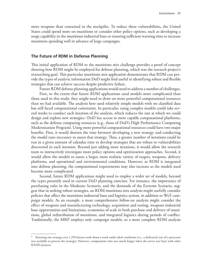more weapons than contained in the stockpiles. To reduce these vulnerabilities, the United States could spend more on munitions or consider other policy options, such as developing a surge capability in the munitions industrial base or ensuring sufficient warning time to increase munitions spending well in advance of large campaigns.

### **The Future of RDM in Defense Planning**

This initial application of RDM to the munitions mix challenge provides a proof of concept showing how RDM might be employed for defense planning, which was the research project's overarching goal. This particular munitions mix application demonstrates that RDM can provide the types of analytic information DoD might find useful in identifying robust and flexible strategies that can achieve success despite predictive failure.

Future RDM defense planning applications would need to address a number of challenges. First, to the extent that future RDM applications used models more complicated than those used in this study, they might need to draw on more powerful computational resources than we had available. The analysis here used relatively simple models with no classified data but still faced computational constraints. In particular, using complex models could take several weeks to conduct each iteration of the analysis, which reduces the rate at which we could design and explore new strategies.<sup>2</sup> DoD has access to more capable computational platforms, such as the defense computing resources (e.g., those of DoD's High Performance Computing Modernization Program). Using more powerful computational resources could have two major benefits. First, it would shorten the time between developing a new strategy and conducting the model runs necessary to assess that strategy. Thus, a greater number of iterations could be run in a given amount of calendar time to develop strategies that are robust to vulnerabilities discovered in each iteration. Beyond just adding more iterations, it would allow the research team to interactively investigate more policy options and optimization approaches. Second, it would allow the models to assess a larger, more realistic variety of targets, weapons, delivery platforms, and operational and environmental conditions. However, as RDM is integrated into defense planning, the computational requirements may also increase as the models used become more complicated.

Second, future RDM applications might need to employ a wider set of models, beyond the types presently used in current DoD planning exercises. For instance, the importance of purchasing rules in the Moderate Scenario, and the demands of the Extreme Scenario, suggest that in seeking robust strategies, an RDM munitions mix analysis might usefully consider policies that affect the munitions industrial base and logistics system, in addition to WoT campaign models. As an example, a more comprehensive follow-on analysis might consider the effect of weapons and manufacturing technology, acquisition and testing, weapons industrial base opportunities and limitations, economies of scale in both purchase and delivery of munitions, global redistribution of munitions, and integrated logistics during periods of conflict. Traditionally, the MRP employs only campaign models, so a more complete RDM analysis

<sup>2</sup> Running one strategy over 1,250 futures took about a week under ideal conditions (i.e., a dedicated core of a processor was available to process the strategy). However, computation time was much longer when the server was busy with other RAND projects.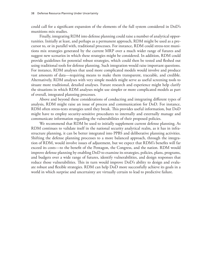could call for a significant expansion of the elements of the full system considered in DoD's munitions mix studies.

Finally, integrating RDM into defense planning could raise a number of analytical opportunities. Initially at least, and perhaps as a permanent approach, RDM might be used as a precursor to, or in parallel with, traditional processes. For instance, RDM could stress-test munitions mix strategies generated by the current MRP over a much wider range of futures and suggest new scenarios in which these strategies might be considered. In addition, RDM could provide guidelines for potential robust strategies, which could then be tested and fleshed out using traditional tools for defense planning. Such integration would raise important questions. For instance, RDM analyses that used more complicated models would involve and produce vast amounts of data—requiring means to make them transparent, traceable, and credible. Alternatively, RDM analyses with very simple models might serve as useful screening tools to situate more traditional, detailed analyses. Future research and experience might help clarify the situations in which RDM analyses might use simpler or more complicated models as part of overall, integrated planning processes.

Above and beyond these considerations of conducting and integrating different types of analysis, RDM might raise an issue of process and communication for DoD. For instance, RDM often stress-tests strategies until they break. This provides useful information, but DoD might have to employ security-sensitive procedures to internally and externally manage and communicate information regarding the vulnerabilities of their proposed policies.

We recommend that RDM be used to initially supplement current defense planning. As RDM continues to validate itself in the national security analytical realm, as it has in infrastructure planning, it can be better integrated into PPBS and deliberative planning activities. Shifting the defense planning processes to a more balanced approach, through the integration of RDM, would involve issues of adjustment, but we expect that RDM's benefits will far exceed its costs—to the benefit of the Pentagon, the Congress, and the nation. RDM would improve defense planning by enabling DoD to examine its strategies, policies, plans, programs, and budgets over a wide range of futures, identify vulnerabilities, and design responses that reduce those vulnerabilities. This in turn would improve DoD's ability to design and evaluate robust and flexible strategies. RDM can help DoD more successfully achieve its goals in a world in which surprise and uncertainty are virtually certain to lead to predictive failure.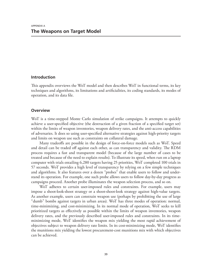## **Introduction**

This appendix overviews the WoT model and then describes WoT in functional terms, its key techniques and algorithms, its limitations and artificialities, its coding standards, its modes of operation, and its data file.

## **Overview**

WoT is a time-stepped Monte Carlo simulation of strike campaigns. It attempts to quickly achieve a user-specified objective (the destruction of a given fraction of a specified target set) within the limits of weapon inventories, weapon delivery rates, and the anti-access capabilities of adversaries. It does so using user-specified alternative strategies against high-priority targets and limits on weapon use such as constraints on collateral damage.

Many tradeoffs are possible in the design of force-on-force models such as WoT. Speed and detail can be traded off against each other, as can transparency and validity. The RDM process requires a fast and transparent model (because of the large number of cases to be treated and because of the need to explain results). To illustrate its speed, when run on a laptop computer with trials entailing 6,280 targets having 25 priorities, WoT completed 100 trials in 57 seconds. WoT provides a high level of transparency by relying on a few simple techniques and algorithms. It also features over a dozen "probes" that enable users to follow and understand its operation. For example, one such probe allows users to follow day-by-day progress as campaigns proceed. Another probe illuminates the weapon selection process, and so on.

WoT adheres to certain user-imposed rules and constraints. For example, users may impose a shoot-look-shoot strategy or a shoot-shoot-look strategy against high-value targets. As another example, users can constrain weapon use (perhaps by prohibiting the use of large "dumb" bombs against targets in urban areas). WoT has three modes of operation: normal, time-minimizing, and cost-minimizing. In its normal mode of operation, WoT seeks to kill prioritized targets as effectively as possible within the limits of weapon inventories, weapon delivery rates, and the previously described user-imposed rules and constraints. In its timeminimizing mode, WoT identifies the weapon mix yielding the most rapid achievement of objectives subject to weapon delivery rate limits. In its cost-minimizing mode, WoT identifies the munitions mix yielding the lowest procurement-cost munitions mix with which objectives can be achieved.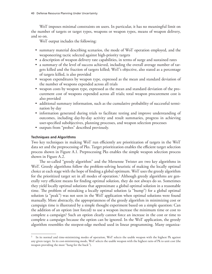WoT imposes minimal constraints on users. In particular, it has no meaningful limit on the number of targets or target types, weapons or weapon types, means of weapon delivery, and so on.

WoT output includes the following:

- summary material describing scenarios, the mode of WoT operation employed, and the weaponeering tactic selected against high-priority targets
- a description of weapon delivery rate capabilities, in terms of surge and sustained rates
- a summary of the level of success achieved, including the overall average number of targets killed and the fraction of targets killed; WoT's objective, also stated as a percentage of targets killed, is also provided
- weapon expenditures by weapon type, expressed as the mean and standard deviation of the number of weapons expended across all trials
- weapon costs by weapon type, expressed as the mean and standard deviation of the procurement cost of weapons expended across all trials; total weapon procurement cost is also provided
- additional summary information, such as the cumulative probability of successful termination by day
- information generated during trials to facilitate testing and improve understanding of outcomes, including day-by-day activity and result summaries, progress in achieving user-specified subobjectives, planning processes, and weapon selection processes
- outputs from "probes" described previously.

## **Techniques and Algorithms**

Two key techniques in making WoT run efficiently are prioritization of targets in the WoT data set and the preprocessing of Pks. Target prioritization enables the efficient target selection process shown in Figure A.1. Preprocessing Pks enables the simple weapon selection process shown in Figure A.2.

The so-called "greedy algorithm" and the Mersenne Twister are two key algorithms in WoT. Greedy algorithms follow the problem-solving heuristic of making the locally optimal choice at each stage with the hope of finding a global optimum. WoT uses the greedy algorithm for the prioritized target set in all modes of operation.<sup>1</sup> Although greedy algorithms are generally very efficient means for finding optimal solution, they do not always do so. Sometimes they yield locally optimal solutions that approximate a global optimal solution in a reasonable time. The problem of mistaking a locally optimal solution (a "bump") for a global optimal solution (a "peak") was not seen in the WoT application when optimal solutions were found manually. More abstractly, the appropriateness of the greedy algorithm in minimizing cost or campaign time is illustrated by a simple thought experiment based on a simple question: Can the addition of an option (not forced) to use a weapon increase the minimum time or cost to complete a campaign? Such an option clearly cannot force an increase in the cost or time to complete a campaign because the option can be ignored. In the WoT application, the greedy algorithm resembles the steepest-edge method used in linear programming. Many organiza-

<sup>1</sup> In its normal and time-minimizing modes of operation, WoT selects the usable weapon with the highest Pk against any given target. In its cost-minimizing mode, WoT selects the usable weapon with the highest ratio of Pk to unit cost (the weapon providing the most "bang for the buck").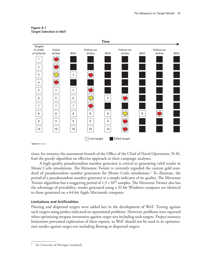



**RAND** *RR1112-A.1*

tions, for instance the assessment branch of the Office of the Chief of Naval Operations, N-81, find the greedy algorithm an effective approach in their campaign analyses.

A high-quality pseudorandom number generator is critical to generating valid results in Monte Carlo simulations. The Mersenne Twister is currently regarded the current gold standard of pseudorandom number generators for Monte Carlo simulations.2 To illustrate, the period of a pseudorandom number generator is a simple indicator of its quality. The Mersenne Twister algorithm has a staggering period of  $1.3 \times 10^{90}$  samples. The Mersenne Twister also has the advantage of portability; results generated using a 32-bit Windows computer are identical to those generated on a 64-bit Apple Macintosh computer.

#### **Limitations and Artificialities**

Fleeting and dispersed targets were added late in the development of WoT. Testing against such targets using probes indicated no operational problems. However, problems were reported when optimizing weapon inventories against target sets including such targets. Project resource limitations prevented exploration of these reports, so WoT should not be used in its optimization modes against target sets including fleeting or dispersed targets.

<sup>2</sup> See University of Michigan (undated).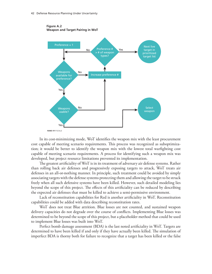

**Figure A.2 Weapon and Target Pairing in WoT**

In its cost-minimizing mode, WoT identifies the weapon mix with the least procurement cost capable of meeting scenario requirements. This process was recognized as suboptimization; it would be better to identify the weapon mix with the lowest total warfighting cost capable of meeting scenario requirements. A process for identifying such a weapon mix was developed, but project resource limitations prevented its implementation.

The greatest artificiality of WoT is in its treatment of adversary air defense systems. Rather than rolling back air defenses and progressively exposing targets to attack, WoT treats air defenses in an all-or-nothing manner. In principle, such treatment could be avoided by simply associating targets with the defense systems protecting them and allowing the target to be struck freely when all such defensive systems have been killed. However, such detailed modeling lies beyond the scope of this project. The effects of this artificiality can be reduced by describing the expected air defenses that must be killed to achieve a semi-permissive environment.

Lack of reconstitution capabilities for Red is another artificiality in WoT. Reconstitution capabilities could be added with data describing reconstitution rates.

WoT does not treat Blue attrition. Blue losses are not counted, and sustained weapon delivery capacities do not degrade over the course of conflicts. Implementing Blue losses was determined to be beyond the scope of this project, but a placeholder method that could be used to implement Blue losses was built into WoT.

Perfect bomb damage assessment (BDA) is the last noted artificiality in WoT. Targets are determined to have been killed if and only if they have actually been killed. The simulation of imperfect BDA is thorny both for failure to recognize that a target has been killed or the false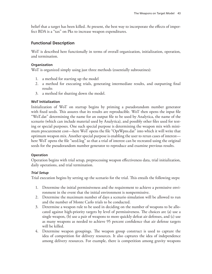belief that a target has been killed. At present, the best way to incorporate the effects of imperfect BDA is a "tax" on Pks to increase weapon expenditures.

## **Functional Description**

WoT is described here functionally in terms of overall organization, initialization, operation, and termination.

## **Organization**

WoT is organized simply using just three methods (essentially subroutines):

- 1. a method for starting up the model
- 2. a method for executing trials, generating intermediate results, and outputting final results
- 3. a method for shutting down the model.

## **WoT Initialization**

Initialization of WoT on startup begins by priming a pseudorandom number generator with fixed seeds. This assures that its results are reproducible. WoT then opens the input file "WoT.dat" determining the name for an output file to be used by Analytica, the name of the scenario (which can include material used by Analytica), and possibly other files used for testing or special purposes. One such special purpose is determining the weapon mix with minimum procurement cost—here WoT opens the file "OptWpns.dat" into which it will write that optimum weapon mix. Another special purpose is enabling the user to rerun cases of interest here WoT opens the file "seed.log" so that a trial of interest can be recreated using the original seeds for the pseudorandom number generator to reproduce and examine previous results.

## **Operation**

Operation begins with trial setup, preprocessing weapon effectiveness data, trial initialization, daily operations, and trial termination.

## *Trial Setup*

Trial execution begins by setting up the scenario for the trial. This entails the following steps:

- 1. Determine the initial permissiveness and the requirement to achieve a permissive environment in the event that the initial environment is nonpermissive.
- 2. Determine the maximum number of days a scenario simulation will be allowed to run and the number of Monte Carlo trials to be conducted.
- 3. Determine a weapon rule to be used in deciding on the number of weapons to be allocated against high-priority targets by level of permissiveness. The choices are (a) use a single weapon, (b) use a pair of weapons to more quickly defeat air defenses, and (c) use as many weapons as needed to achieve 95 percent confidence that air defense targets will be killed.
- 4. Determine weapon groupings. The weapon group construct is used to capture the idea of competition for delivery resources. It also captures the idea of independence among delivery resources. For example, there is competition among gravity weapons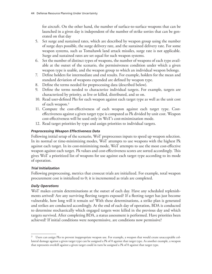for aircraft. On the other hand, the number of surface-to-surface weapons that can be launched in a given day is independent of the number of strike sorties that can be generated on that day

- 5. Set surge and sustained rates, which are described by weapon group using the number of surge days possible, the surge delivery rate, and the sustained delivery rate. For some weapon systems, such as Tomahawk land attack missiles, surge rate is not applicable. Surge and sustained rates are set equal for such weapon systems.
- 6. Set the number of distinct types of weapons, the number of weapons of each type available at the outset of the scenario, the permissiveness condition under which a given weapon type is usable, and the weapon group to which an individual weapon belongs.
- 7. Define holders for intermediate and end results. For example, holders for the mean and standard deviation of weapons expended are defined by weapon type.
- 8. Define the terms needed for preprocessing data (described below).
- 9. Define the terms needed to characterize individual targets. For example, targets are characterized by priority, as live or killed, distributed, and so on.
- 10. Read user-defined Pks for each weapon against each target type as well as the unit cost of each weapon.3
- 11. Compute the cost-effectiveness of each weapon against each target type. Costeffectiveness against a given target type is computed as Pk divided by unit cost. Weapon cost-effectiveness will be used only in WoT's cost-minimization mode.
- 12. Read target priorities by type and assign priorities to individual targets.

## *Preprocessing Weapon Effectiveness Data*

Following initial setup of the scenario, WoT preprocesses inputs to speed up weapon selection. In its normal or time-minimizing modes, WoT attempts to use weapons with the highest Pk against each target. In its cost-minimizing mode, WoT attempts to use the most cost-effective weapon against each target. Pk values and cost-effectiveness scores are sorted accordingly. This gives WoT a prioritized list of weapons for use against each target type according to its mode of operation.

## *Trial Initialization*

Following preprocessing, metrics that crosscut trials are initialized. For example, total weapon procurement cost is initialized to 0; it is incremented as trials are completed.

## *Daily Operations*

WoT makes certain determinations at the outset of each day. Have any scheduled replenishments arrived? Are any surviving fleeting targets exposed? If a fleeting target has just become vulnerable, how long will it remain so? With these determinations, a strike plan is generated and strikes are conducted accordingly. At the end of each day of operation, BDA is conducted to determine stochastically which engaged targets were killed in the previous day and which targets survived. After completing BDA, a status assessment is performed. Have priorities been achieved? If initial conditions were nonpermissive, are conditions now permissive?

 $3$  Users can assign Pks to prevent inappropriate weapon use. For example, a weapon that would create unacceptable collateral damage against a given target type can be assigned a Pk of 0 against that target type. As another example, a weapon that represents overkill against a given target could in turn be assigned a Pk of 0 against that target type.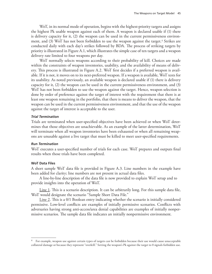WoT, in its normal mode of operation, begins with the highest-priority targets and assigns the highest Pk usable weapon against each of them. A weapon is declared usable if (1) there is delivery capacity for it, (2) the weapon can be used in the current permissiveness environment, and (3) WoT has not been forbidden to use the weapon against the target.4 Strikes are conducted daily with each day's strikes followed by BDA. The process of striking targets by priority is illustrated in Figure A.1, which illustrates the simple case of ten targets and a weapon delivery rate limited to four weapons per day.

WoT normally selects weapons according to their probability of kill. Choices are made within the constraints of weapon inventories, usability, and the availability of means of delivery. This process is illustrated in Figure A.2. WoT first decides if a preferred weapon is available. If it is not, it moves on to its next-preferred weapon. If a weapon is available, WoT tests for its usability. As noted previously, an available weapon is declared usable if (1) there is delivery capacity for it, (2) the weapon can be used in the current permissiveness environment, and (3) WoT has not been forbidden to use the weapon against the target. Hence, weapon selection is done by order of preference against the target of interest with the requirement that there is at least one weapon remaining in the portfolio, that there is means to deliver the weapon, that the weapon can be used in the current permissiveness environment, and that the use of the weapon against the target of interest is acceptable to the user.

### *Trial Termination*

Trials are terminated when user-specified objectives have been achieved or when WoT determines that those objectives are unachievable. As an example of the latter determination, WoT will terminate when all weapon inventories have been exhausted or when all remaining weapons are unusable against a live target that must be killed to meet user-specified requirements.

### *Run Termination*

WoT executes a user-specified number of trials for each case. WoT prepares and outputs final results when those trials have been completed.

## **WoT Data Files**

A short sample WoT data file is provided in Figure A.3. Line numbers in the example have been added for clarity; line numbers are not present in actual data files.

A line-by-line description of the data file is now provided to explain WoT setup and to provide insights into the operation of WoT.

Line 1. This is a scenario description. It can be arbitrarily long. For this sample data file, WoT would designate the scenario "Sample Short Data File."

Line 2. This is a 0/1 Boolean entry indicating whether the scenario is initially considered permissive. Low-level conflicts are examples of initially permissive scenarios. Conflicts with adversaries having strong anti-access/area denial capabilities are examples of initially nonpermissive scenarios. The sample data file indicates an initially nonpermissive environment.

<sup>4</sup> For example, weapon use against certain types of targets can be forbidden because their use would cause unacceptable collateral damage or because they represent "overkill." Setting the weapon's Pk against the target to 0 signals forbidden use.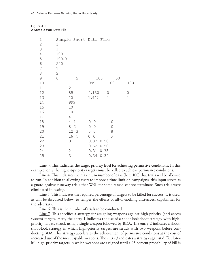### **Figure A.3 A Sample WoT Data File**

| 1              |                               |                          |              |                                                                     |
|----------------|-------------------------------|--------------------------|--------------|---------------------------------------------------------------------|
| $\mathbf 1$    |                               |                          |              |                                                                     |
| 100            |                               |                          |              |                                                                     |
|                |                               |                          |              |                                                                     |
| 200            |                               |                          |              |                                                                     |
|                |                               |                          |              |                                                                     |
| $\mathbf{2}$   |                               |                          |              |                                                                     |
| $\overline{0}$ | $\mathbf{2}$                  |                          |              |                                                                     |
|                |                               | 999                      | 100          | 100                                                                 |
|                | $\mathbf 2$                   |                          |              |                                                                     |
|                | 85                            | 0.130                    | $\mathcal O$ | $\bigcirc$                                                          |
|                | 10                            | 1.447                    | 0            | $\bigcirc$                                                          |
|                | 999                           |                          |              |                                                                     |
|                | 10                            |                          |              |                                                                     |
|                | 10                            |                          |              |                                                                     |
|                | $\overline{4}$                |                          |              |                                                                     |
|                | 4<br>$\mathbf 1$              | $\bigcirc$<br>$\bigcirc$ | 0            |                                                                     |
|                | 8<br>$\mathbf 2$              | $\bigcirc$<br>$\circ$    | 0            |                                                                     |
|                | 12<br>$\overline{\mathbf{3}}$ | 0<br>$\bigcirc$          | 8            |                                                                     |
|                | 16<br>4                       | $\bigcirc$<br>$\bigcirc$ | 0            |                                                                     |
|                | $\mathsf{O}$                  | 0.33                     |              |                                                                     |
|                | $\mathbbm{1}$                 | 0.52                     |              |                                                                     |
|                | $\mathbf{2}$                  | 0.31                     |              |                                                                     |
|                | 3                             | 0.34                     |              |                                                                     |
|                | 100.0<br>$\mathbf 1$          | $\mathbf 1$              |              | Sample Short Data File<br>100<br>50<br>0.50<br>0.50<br>0.35<br>0.34 |

Line 3. This indicates the target priority level for achieving permissive conditions. In this example, only the highest-priority targets must be killed to achieve permissive conditions.

Line 4. This indicates the maximum number of days (here 100) that trials will be allowed to run. In addition to allowing users to impose a time limit on campaigns, this input serves as a guard against runaway trials that WoT for some reason cannot terminate. Such trials were eliminated in testing.

Line 5. This indicates the required percentage of targets to be killed for success. It is used, as will be discussed below, to temper the effects of all-or-nothing anti-access capabilities for the adversary.

Line 6. This is the number of trials to be conducted.

Line 7. This specifies a strategy for assigning weapons against high-priority (anti-access system) targets. Here, the entry 1 indicates the use of a shoot-look-shoot strategy with highpriority targets struck using a single weapon followed by BDA. The entry 2 indicates a shootshoot-look strategy in which high-priority targets are struck with two weapons before conducting BDA. This strategy accelerates the achievement of permissive conditions at the cost of increased use of the most capable weapons. The entry 3 indicates a strategy against difficult-tokill high-priority targets in which weapons are assigned until a 95 percent probability of kill is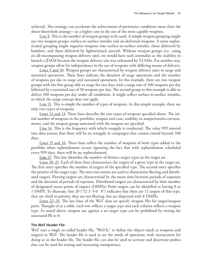achieved. This strategy can accelerate the achievement of permissive conditions more than the shoot-shoot-look strategy—at a higher cost in the use of the most capable weapons.

Line 8. This is the number of weapon groups to be used. A simple weapon grouping might use two weapon groups: surface-to-surface missiles and air-delivered weapons. A more sophisticated grouping might organize weapons into surface-to-surface missiles, those delivered by bombers, and those delivered by fighter/attack aircraft. Without weapon groups (i.e., using an all-encompassing weapon delivery rate), we would have such anomalies as the inability to launch a JDAM because the weapon delivery rate was exhausted by TLAMs. Put another way, weapon groups allow for independence in the use of weapons with differing means of delivery.

Lines 9 and 10. Weapon groups are characterized by weapon delivery rates in surge and sustained operations. These lines indicate the duration of surge operations and the number of weapons per day in surge and sustained operations. In this example, there are two weapon groups with the first group able to surge for two days with a surge rate of 100 weapons per day followed by a sustained rate of 50 weapons per day. The second group in this example is able to deliver 100 weapons per day under all conditions. It might reflect surface-to-surface missiles, to which the surge concept does not apply.

Line 11. This is simply the number of types of weapons. In this simple example, there are only two types of weapons.

Lines 12 and 13. These lines describe the two types of weapons specified above. The initial number of weapons in the portfolio, weapon unit cost, usability in nonpermissive environments, and the weapon group associated with the weapon are specified.

Line 14. This is the frequency with which resupply is conducted. The value 999 entered into data assures that there will be no resupply in campaigns that cannot extend beyond 100 days.

Lines 15 and 16. These lines reflect the number of weapons of both types added to the portfolio when replenishment occurs (ignoring the fact that with replenishment scheduled every 999 days, there will be no replenishment).

Line 17. This line identifies the number of distinct target types in the target set.

Lines 18–21. Each of these lines characterizes the targets of a given type in the target set. The first entry specifies the number of targets of the specified type. The second entry specifies the priority of the target type. The next two entries are used to characterize fleeting and distributed targets. Fleeting targets are characterized by the mean time between periods of exposure and the duration of periods of exposure. Distributed targets are characterized by their number of designated mean points of impact (DMPIs): Point targets can be identified as having 0 or 1 DMPI. To illustrate, line 20 ("12 3 0 0 8") indicates that there are 12 targets of this type, they are third in priority, they are not fleeting, but are dispersed with 8 DMPIs.

Lines 22–25. The last lines of the WoT data set specify weapon Pks for target/weapon pairs. Thought of as a table, each row reflects a target type and each column reflects a weapon type. As noted above, weapon use against a set target type can be prohibited by setting the associated Pk to 0.

## **The WoT Header File**

WoT uses a single so-called header file, "WoT.h," to define the objects (such as weapons and targets) in WoT. The header file is used to set the mode of operation, with instructions for doing so in the header file. The header file can also be used to activate and deactivate probes that can be used for testing and increasing transparency.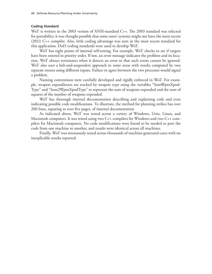### **Coding Standard**

WoT is written in the 2003 version of ANSI-standard C++. The 2003 standard was selected for portability; it was thought possible that some users' systems might not have the most recent (2011) C++ compiler. Also, little coding advantage was seen in the most recent standard for this application. DoD coding standards were used to develop WoT.

WoT has eight points of internal self-testing. For example, WoT checks to see if targets have been entered in priority order. If not, an error message indicates the problem and its location. WoT always terminates when it detects an error so that such errors cannot be ignored. WoT also uses a belt-and-suspenders approach in some areas with results computed by two separate means using different inputs. Failure to agree between the two processes would signal a problem.

Naming conventions were carefully developed and rigidly enforced in WoT. For example, weapon expenditures are tracked by weapon type using the variables "SumWpnsXpnd-Type" and "Sum2WpnsXpndType" to represent the sum of weapons expended and the sum of squares of the number of weapons expended.

WoT has thorough internal documentation describing and explaining code and even indicating possible code modifications. To illustrate, the method for planning strikes has over 200 lines, equating to over five pages, of internal documentation

As indicated above, WoT was tested across a variety of Windows, Unix, Linux, and Macintosh computers. It was tested using two C++ compilers for Windows and two C++ compilers for Macintosh computers. No code modifications were found to be needed to port the code from one machine to another, and results were identical across all machines.

Finally, WoT was strenuously tested across thousands of machine-generated cases with no inexplicable results reported.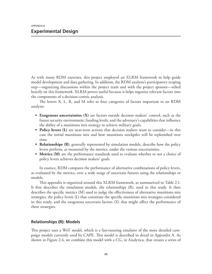As with many RDM exercises, this project employed an XLRM framework to help guide model development and data gathering. In addition, the RDM analysis's participatory scoping step—organizing discussions within the project team and with the project sponsor—relied heavily on this framework. XLRM proves useful because it helps organize relevant factors into the components of a decision-centric analysis.

The letters X, L, R, and M refer to four categories of factors important to an RDM analysis:

- **• Exogenous uncertainties (X)** are factors outside decision makers' control, such as the future security environment, funding levels, and the adversary's capabilities that influence the ability of a munitions mix strategy to achieve military goals.
- **• Policy levers (L)** are near-term actions that decision makers want to consider—in this case the initial munitions mix and how munitions stockpiles will be replenished over time.
- **Relationships (R)**, generally represented by simulation models, describe how the policy levers perform, as measured by the metrics, under the various uncertainties.
- **• Metrics (M)** are the performance standards used to evaluate whether or not a choice of policy levers achieves decision makers' goals.

In essence, RDM compares the performance of alternative combinations of policy levers, as evaluated by the metrics, over a wide range of uncertain futures using the relationships or models.

This appendix is organized around this XLRM framework, as summarized in Table 2.1. It first describes the simulation models, the relationships (R), used in this study. It then describes the specific metrics (M) used to judge the effectiveness of alternative munitions mix strategies, the policy levers (L) that constitute the specific munitions mix strategies considered in this study, and the exogenous uncertain factors (X) that might affect the performance of these strategies.

# **Relationships (R): Models**

This project uses a WoT model, which is a fast-running emulator of the more detailed campaign models currently used by CAPE. This model is described in detail in Appendix A. As shown in Figure 2.4, we combine this model with a CG, in Analytica, that creates a series of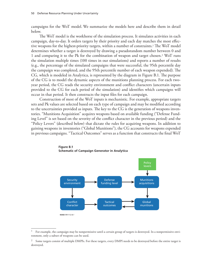campaigns for the WoT model. We summarize the models here and describe them in detail below.

The WoT model is the workhorse of the simulation process. It simulates activities in each campaign, day-to-day. It orders targets by their priority and each day matches the most effective weapons for the highest-priority targets, within a number of constraints.1 The WoT model determines whether a target is destroyed by drawing a pseudorandom number between 0 and 1 and comparing it to the Pk for the combination of weapon and target chosen.2 WoT runs the simulation multiple times (100 times in our simulations) and reports a number of results (e.g., the percentage of the simulated campaigns that were successful, the 95th percentile day the campaign was completed, and the 95th percentile number of each weapon expended). The CG, which is modeled in Analytica, is represented by the diagram in Figure B.1. The purpose of the CG is to model the dynamic aspects of the munitions planning process. For each twoyear period, the CG reads the security environment and conflict characters (uncertain inputs provided to the CG for each period of the simulation) and identifies which campaigns will occur in that period. It then constructs the input files for each campaign.

Construction of most of the WoT inputs is mechanistic. For example, appropriate targets sets and Pk values are selected based on each type of campaign and may be modified according to the uncertainties provided as inputs. The key to the CG is the generation of weapons inventories. "Munitions Acquisition" acquires weapons based on available funding ("Defense Funding Level" is set based on the severity of the conflict character in the previous period) and the "Policy Levers" (described below) that dictate the rules for acquiring weapons. In addition to gaining weapons in inventories ("Global Munitions"), the CG accounts for weapons expended in previous campaigns. "Tactical Outcomes" serves as a function that constructs the final WoT



**Figure B.1 Schematic of Campaign Generator in Analytica**

 $1$  For example, the campaign may be nonpermissive until a certain group of targets is destroyed. In a nonpermissive environment, only a subset of weapons can be used.

 $2\degree$  Some targets consist of multiple DMPIs. For these targets, every DMPI needs to be destroyed before the entire target is destroyed.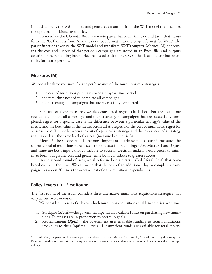input data, runs the WoT model, and generates an output from the WoT model that includes the updated munitions inventories.

To interface the CG with WoT, we wrote parser functions (in C++ and Java) that transform the WoT inputs from Analytica's output format into the proper format for WoT.3 The parser functions execute the WoT model and transform WoT's outputs. Metrics (M) concerning the cost and success of that period's campaigns are stored in an Excel file, and outputs describing the remaining inventories are passed back to the CG so that it can determine inventories for future periods.

# **Measures (M)**

We consider three measures for the performance of the munitions mix strategies:

- 1. the cost of munitions purchases over a 20-year time period
- 2. the total time needed to complete all campaigns
- 3. the percentage of campaigns that are successfully completed.

For each of these measures, we also considered regret calculations. For the total time needed to complete all campaigns and the percentage of campaigns that are successfully completed, regret for a specific case is the difference between a particular strategy's value of the metric and the best value of the metric across all strategies. For the cost of munitions, regret for a case is the difference between the cost of a particular strategy and the lowest cost of a strategy that has at least the same level of success (measured in metric 3).

Metric 3, the success rate, is the most important metric overall because it measures the ultimate goal of munitions purchases—to be successful in contingencies. Metrics 1 and 2 (cost and time) are both inputs that contribute to success. Decision makers would prefer to minimize both, but greater cost and greater time both contribute to greater success.

In the second round of runs, we also focused on a metric called "Total Cost" that combined cost and the time. We estimated that the cost of an additional day to complete a campaign was about 20 times the average cost of daily munitions expenditures.

# **Policy Levers (L)—First Round**

The first round of the study considers three alternative munitions acquisitions strategies that vary across two dimensions.

We consider two sets of rules by which munitions acquisitions build inventories over time:

- 1. Stockpile **(***Stock***)—**the government spends all available funds on purchasing new munitions. Purchases are in proportion to portfolio goals.
- 2. Replenishment **(***Rpln***)—**the government uses available funding to return munitions stockpiles to their "optimal" levels. If insufficient funds are available for total replen-

 $3$  In addition, the parser updates some parameters based on uncertainties. For example, Analytica was very slow to update Pk values based on uncertainties, so the update was moved to the parser so that simulations could be conducted at an acceptable speed.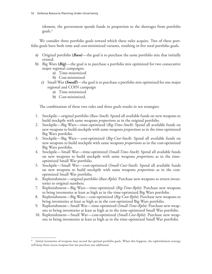ishment, the government spends funds in proportion to the shortages from portfolio goals.4

We consider three portfolio goals toward which these rules acquire. Two of these portfolio goals have both time and cost-minimized variants, resulting in five total portfolio goals.

- a) Original portfolio **(***Base***)**—the goal is to purchase the same portfolio mix that initially existed.
- b) Big Wars **(***Big***)**—the goal is to purchase a portfolio mix optimized for two consecutive major regional campaigns:
	- a) Time-minimized
	- b) Cost-minimized
	- c) Small War **(***Small***)**—the goal is to purchase a portfolio mix optimized for one major regional and COIN campaign
		- a) Time-minimized
		- b) Cost-minimized.

The combination of these two rules and three goals results in ten strategies:

- 1. Stockpile—original portfolio (*Base-Stock*): Spend all available funds on new weapons to build stockpile with same weapons *proportions* as in the original portfolio.
- 2. Stockpile—Big Wars—time-optimized (*Big-Time-Stock*): Spend all available funds on new weapons to build stockpile with same weapons *proportions* as in the time-optimized Big Wars portfolio.
- 3. Stockpile—Big Wars—cost-optimized (*Big-Cost-Stock*): Spend all available funds on new weapons to build stockpile with same weapons *proportions* as in the cost-optimized Big Wars portfolio.
- 4. Stockpile—Small War—time-optimized (*Small-Time-Stock*): Spend all available funds on new weapons to build stockpile with same weapons *proportions* as in the timeoptimized Small War portfolio.
- 5. Stockpile—Small War—cost-optimized (*Small-Cost-Stock*): Spend all available funds on new weapons to build stockpile with same weapons *proportions* as in the costoptimized Small War portfolio.
- 6. Replenishment—original portfolio (*Base-Rpln*): Purchase new weapons to return inventories to original numbers.
- 7. Replenishment—Big Wars—time-optimized (*Big-Time-Rpln*): Purchase new weapons to bring inventories at least as high as in the time-optimized Big Wars portfolio.
- 8. Replenishment—Big Wars—cost-optimized (*Big-Cost-Rpln*): Purchase new weapons to bring inventories at least as high as in the cost-optimized Big Wars portfolio.
- 9. Replenishment—Small War—time-optimized (*Small-Time-Rpln*): Purchase new weapons to bring inventories at least as high as in the time-optimized Small War portfolio.
- 10. Replenishment—Small War—cost-optimized (*Small-Cost-Rpln*): Purchase new weapons to bring inventories at least as high as in the time-optimized Small War portfolio.

Initial inventories of weapons may exceed the optimal portfolio goals. When this happens, the replenishment strategy will keep those excess weapons but not purchase any additional.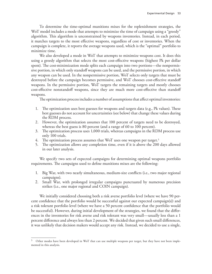To determine the time-optimal munitions mixes for the replenishment strategies, the WoT model includes a mode that attempts to minimize the time of campaign using a "greedy" algorithm. This algorithm is unconstrained by weapons inventories. Instead, in each period, it matches targets to the most effective weapons, regardless of cost or inventories. When the campaign is complete, it reports the average weapons used, which is the "optimal" portfolio to minimize time.

We also developed a mode in WoT that attempts to minimize weapons cost. It does this using a greedy algorithm that selects the most cost-effective weapons (highest Pk per dollar spent). The cost-minimization mode splits each campaign into two portions—the nonpermissive portion, in which only standoff weapons can be used, and the permissive portion, in which any weapon can be used. In the nonpermissive portion, WoT selects only targets that must be destroyed before the campaign becomes permissive, and WoT chooses cost-effective standoff weapons. In the permissive portion, WoT targets the remaining targets and mostly chooses cost-effective nonstandoff weapons, since they are much more cost-effective than standoff weapons.

The optimization process includes a number of assumptions that affect optimal inventories:

- 1. The optimization uses best guesses for weapons and targets data (e.g., Pk values). These best guesses do not account for uncertainties (see below) that change these values during the RDM process.
- 2. However, the optimization assumes that 100 percent of targets need to be destroyed, whereas the best guess is 80 percent (and a range of 60 to 100 percent).
- 3. The optimization process uses 1,000 trials, whereas campaigns in the RDM process use only 100 trials.
- 4. The optimization process assumes that WoT uses one weapon per target.<sup>5</sup>
- 5. The optimization allows any completion time, even if it is above the 200 days allowed in our later analysis.

We specify two sets of expected campaigns for determining optimal weapons portfolio requirements. The campaigns used to define munitions mixes are the following:

- 1. Big War, with two nearly simultaneous, medium-size conflicts (i.e., two major regional campaigns).
- 2. Small War, with prolonged irregular campaigns punctuated by numerous precision strikes (i.e., one major regional and COIN campaign).

We initially considered choosing both a risk averse portfolio level (where we have 90 percent confidence that the portfolio would be successful against our expected campaign(s)) and a risk tolerant portfolio level (where we have a 50 percent confidence that the portfolio would be successful). However, during initial development of the strategies, we found that the differences in the inventories for risk averse and risk tolerant was very small—usually less than a 1 percent difference and always less than 2 percent. We decided that given such small differences, it was unlikely that decision makers would accept any risk. Instead, we decided to use a single,

<sup>&</sup>lt;sup>5</sup> Other modes have been developed in WoT that can use multiple weapons per target, but they have not been implemented in this analysis.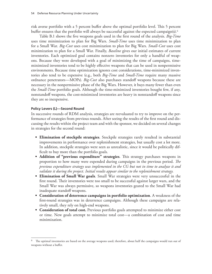risk averse portfolio with a 5 percent buffer above the optimal portfolio level. This 5 percent buffer ensures that the portfolio will always be successful against the expected campaign(s).<sup>6</sup>

Table B.1 shows the five weapons goals used in the first round of the analysis. *Big-Time* uses time minimization to plan for Big Wars. *Small-Time* uses time minimization to plan for a Small War. *Big-Cost* uses cost minimization to plan for Big Wars. *Small-Cost* uses cost minimization to plan for a Small War. Finally, *Baseline* gives our initial estimates of current inventories. Each optimized goal contains nonzero inventories for only a handful of weapons. Because they were developed with a goal of minimizing the time of campaigns, timeminimized inventories tend to be highly effective weapons that can be used in nonpermissive environments. Because time optimization ignores cost considerations, time-minimized inventories also tend to be expensive (e.g., both *Big-Time* and *Small-Time* require many massive ordnance penetrators—MOPs). *Big-Cost* also purchases standoff weapons because these are necessary in the nonpermissive phase of the Big Wars. However, it buys many fewer than even the *Small-Time* portfolio goals. Although the time-minimized inventories bought few, if any, nonstandoff weapons, the cost-minimized inventories are heavy in nonstandoff weapons since they are so inexpensive.

### **Policy Levers (L)—Second Round**

In successive rounds of RDM analysis, strategies are reevaluated to try to improve on the performance of strategies from previous rounds. After seeing the results of the first round and discussing the results within the project team and with the sponsor, we decided on several changes in strategies for the second round:

- **• Elimination of stockpile strategies**. Stockpile strategies rarely resulted in substantial improvements in performance over replenishment strategies, but usually cost a lot more. In addition, stockpile strategies were seen as unrealistic, since it would be politically difficult to buy more than the portfolio goals.
- **• Addition of "previous expenditure" strategies**. This strategy purchases weapons in proportion to how many were expended during campaigns in the previous period. *The previous expenditure strategy was implemented in the CG but not in time to analyze it and validate it during the project. Initial results appear similar to the replenishment strategy.*
- **• Elimination of Small War goals**. Small War strategies were very unsuccessful in the first round. Their inventories were too small to be successful against larger wars, and the Small War was always permissive, so weapons inventories geared to the Small War had inadequate standoff weapons.
- **• Consideration of deterrence campaigns in portfolio optimization**. A weakness of the first-round strategies was in deterrence campaigns. Although these campaigns are relatively small, they rely on high-end weapons.
- **• Consideration of total cost.** Previous portfolio goals attempted to minimize either cost or time. New goals attempt to minimize total cost—a combination of cost and time minimization.

The optimal inventories are based on the average weapons used; therefore, about half the campaigns would run out of weapons without a buffer.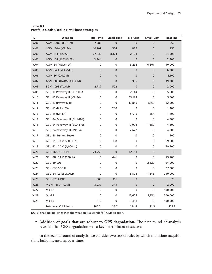| ID         | Weapon                       | <b>Big-Time</b> | <b>Small-Time</b> | <b>Big-Cost</b> | <b>Small-Cost</b> | <b>Baseline</b> |
|------------|------------------------------|-----------------|-------------------|-----------------|-------------------|-----------------|
| <b>W00</b> | AGM-130C (BLU 109)           | 7,088           | $\overline{0}$    | $\overline{0}$  | $\mathbf 0$       | 250             |
| W01        | AGM-130A (Mk 84)             | 40,709          | 564               | 886             | $\bf{0}$          | 250             |
| <b>W02</b> | AGM-154 (JSOW)               | 27,430          | 8,174             | 2,104           | $\mathbf{0}$      | 24,000          |
| W03        | AGM-158 (JASSM-ER)           | 3,944           | 0                 | $\pmb{0}$       | $\mathbf 0$       | 2,400           |
| W04        | AGM-64 (Maverick)            | 2               | 0                 | 6,292           | 6,301             | 40,000          |
| <b>W05</b> | AGM-84H (SLAM/ER)            | 0               | $\mathbf 0$       | $\pmb{0}$       | $\mathbf 0$       | 6,000           |
| W06        | AGM-86 (CALCM)               | 0               | 0                 | $\mathbf{0}$    | $\mathbf 0$       | 1,100           |
| W07        | AGM-88E (HARM/AARGM)         | $\mathbf 0$     | $\mathbf 0$       | 935             | $\mathbf 0$       | 19,000          |
| <b>W08</b> | BGM-109E (TLAM)              | 2,787           | 502               | $\pmb{0}$       | $\mathbf 0$       | 2,000           |
| W09        | GBU-10 Paveway II (BLU 109)  | 0               | 0                 | 2,144           | 0                 | 5,500           |
| W10        | GBU-10 Paveway II (Mk 84)    | 0               | $\mathbf 0$       | 13,123          | 0                 | 5,500           |
| W11        | GBU-12 (Paveway II)          | 0               | 0                 | 17,850          | 3,152             | 32,000          |
| W12        | GBU-15 (BLU-109)             | 0               | 200               | 0               | $\mathbf 0$       | 1,400           |
| W13        | GBU-15 (Mk 84)               | 0               | 0                 | 5,019           | 664               | 1,400           |
| W14        | GBU-24 Paveway III (BLU-109) | 0               | 0                 | 0               | 0                 | 4,300           |
| W15        | GBU-24 Paveway III (BLU-116) | 0               | 0                 | 2,098           | 1,889             | 4,300           |
| W16        | GBU-24 Paveway III (Mk 84)   | 0               | 0                 | 2,627           | 0                 | 4,300           |
| W17        | GBU-28 Bunker Buster         | 0               | 0                 | 0               | 0                 | 300             |
| W18        | GBU-31 JDAM (2,000 lb)       | 0               | 158               | 0               | $\mathbf 0$       | 29,200          |
| W19        | GBU-32 JDAM (1,000 lb)       | 0               | 0                 | 0               | 0                 | 29,200          |
| W20        | GBU-36/37 (GAM)              | 21,758          | 0                 | 42,011          | $\pmb{0}$         | 10              |
| W21        | GBU-38 JDAM (500 lb)         | 0               | 441               | 0               | 0                 | 29,200          |
| W22        | GBU-39 SDB                   | 0               | 0                 | 0               | 2,522             | 24,000          |
| W23        | GBU-53B SDB II               | 0               | 0                 | 0               | $\mathbf 0$       | 17,000          |
| W24        | GBU-54 (Laser JDAM)          | 0               | 0                 | 8,528           | 1,846             | 240,000         |
| W25        | GBU-57B MOP                  | 1,905           | 351               | $\pmb{0}$       | $\pmb{0}$         | 20              |
| W26        | MGM-168 ATACMS               | 3,037           | 345               | $\pmb{0}$       | $\mathbf 0$       | 2,000           |
| W27        | Mk-82                        | 0               | 0                 | 0               | $\mathbf 0$       | 500,000         |
| W28        | Mk-83                        | 0               | 0                 | 12,604          | 3,154             | 500,000         |
| W29        | Mk-84                        | 510             | 0                 | 9,458           | 0                 | 500,000         |
|            | Total cost (\$ billions)     | \$66.7          | \$8.7             | \$14.4          | \$1.3             | \$73.1          |

**Table B.1 Portfolio Goals Used in First Phase Strategies**

NOTE: Shading indicates that the weapon is a standoff (PGM) weapon.

**• Addition of goals that are robust to GPS degradation.** The first round of analysis revealed that GPS degradation was a key determinant of success.

In the second round of analysis, we consider two sets of rules by which munitions acquisitions build inventories over time: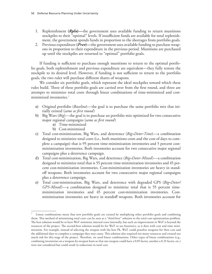- 1. Replenishment **(***Rpln***)—**the government uses available funding to return munitions stockpiles to their "optimal" levels. If insufficient funds are available for total replenishment, the government spends funds in proportion to the shortages from portfolio goals.
- 2. Previous expenditure **(***Prev***)—**the government uses available funding to purchase weapons in proportion to their expenditure in the previous period. Munitions are purchased up until the stockpiles are returned to "optimal" portfolio goals.

If funding is sufficient to purchase enough munitions to return to the optimal portfolio goals, both replenishment and previous expenditure are equivalent—they fully restore the stockpile to its desired level. However, if funding is not sufficient to return to the portfolio goals, the two rules will purchase different shares of weapons.

We consider six portfolio goals, which represent the ideal stockpiles toward which these rules build. Three of these portfolio goals are carried over from the first round, and three are attempts to minimize total costs through linear combinations of time-minimized and costminimized inventories.7

- a) Original portfolio (*Baseline*)—the goal is to purchase the same portfolio mix that initially existed (*same as first round*)
- b) Big Wars (*Big*)—the goal is to purchase an portfolio mix optimized for two consecutive major regional campaigns (*same as first round*)
	- a) Time-minimized
	- b) Cost-minimized
- c) Total cost-minimization, Big Wars, and deterrence (*Big+Deter-Time*)—a combination designed to minimize total costs (i.e., both munitions costs and the cost of days to complete a campaign) that is 95 percent time-minimization inventories and 5 percent costminimization inventories. Both inventories account for two consecutive major regional campaigns plus a deterrence campaign.
- d) Total cost-minimization, Big Wars, and deterrence (*Big+Deter-Mixed*)—a combination designed to minimize total that is 55 percent time-minimization inventories and 45 percent cost-minimization inventories. Cost-minimization inventories are heavy in standoff weapons. Both inventories account for two consecutive major regional campaigns plus a deterrence campaign.
- e) Total cost-minimization, Big Wars, and deterrence with degraded GPS (*Big+Deter/ GPS-Mixed*)—a combination designed to minimize total that is 55 percent timeminimization inventories and 45 percent cost-minimization inventories. Costminimization inventories are heavy in standoff weapons. Both inventories account for

<sup>7</sup> Linear combinations mean that new portfolio goals are created by multiplying other portfolio goals and combining them. This method of minimizing total costs can be seen as a "third-best" solution to the total cost-optimization problem. The best solution would be to have WoT minimize internal costs internally, but such an improvement in WoT is beyond the resources of the project. The second-best solution would be for WoT to use heuristics, as it does with cost and time minimization. For example, instead of selecting the weapon with the best Pk, WoT could penalize weapons for their cost and the additional days to complete a campaign they may cause. This solution also required too many resources and created too much risk for this stage of the project. Therefore, we used linear combinations. Other types of linear combinations (e.g., combining inventories on a weapon-by-weapon basis so that one weapon could have a 0.05 factor, another a 0.25 factor, etc.) were not considered but could result in reductions in total cost.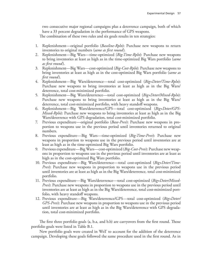two consecutive major regional campaigns plus a deterrence campaign, both of which have a 33 percent degradation in the performance of GPS weapons.

The combination of these two rules and six goals results in ten strategies:

- 1. Replenishment—original portfolio (*Baseline-Rpln*): Purchase new weapons to return inventories to original numbers (*same as first round*)*.*
- 2. Replenishment—Big Wars—time-optimized (*Big-Time-Rpln*): Purchase new weapons to bring inventories at least as high as in the time-optimized Big Wars portfolio (*same as first round*).
- 3. Replenishment—Big Wars—cost-optimized (*Big-Cost-Rpln*): Purchase new weapons to bring inventories at least as high as in the cost-optimized Big Wars portfolio (*same as first round*).
- 4. Replenishment—Big Wars/deterrence—total cost-optimized (*Big+Deter/Time-Rpln*): Purchase new weapons to bring inventories at least as high as in the Big Wars/ deterrence, total cost-minimized portfolio.
- 5. Replenishment—Big Wars/deterrence—total cost-optimized (*Big+Deter/Mixed-Rpln*): Purchase new weapons to bring inventories at least as high as in the Big Wars/ deterrence, total cost-minimized portfolio, with heavy standoff weapons.
- 6. Replenishment—Big Wars/deterrence/GPS—total cost-optimized (*Big+Deter/GPS-Mixed-Rpln*): Purchase new weapons to bring inventories at least as high as in the Big Wars/deterrence with GPS degradation, total cost-minimized portfolio.
- 7. Previous expenditure—original portfolio (*Base-Prev*): Purchase new weapons in proportion to weapons use in the previous period until inventories returned to original numbers.
- 8. Previous expenditure—Big Wars—time-optimized (*Big-Time-Prev*): Purchase new weapons in proportion to weapons use in the previous period until inventories are at least as high as in the time-optimized Big Wars portfolio.
- 9. Previous expenditure—Big Wars—cost-optimized (*Big-Cost-Prev*): Purchase new weapons in proportion to weapons use in the previous period until inventories are at least as high as in the cost-optimized Big Wars portfolio.
- 10. Previous expenditure—Big Wars/deterrence—total cost-optimized (*Big+Deter/Time-Prev*): Purchase new weapons in proportion to weapons use in the previous period until inventories are at least as high as in the Big Wars/deterrence, total cost-minimized portfolio.
- 11. Previous expenditure—Big Wars/deterrence—total cost-optimized (*Big+Deter/Mixed-Prev*): Purchase new weapons in proportion to weapons use in the previous period until inventories are at least as high as in the Big Wars/deterrence, total cost-minimized portfolio, with heavy standoff weapons.
- 12. Previous expenditure—Big Wars/deterrence/GPS—total cost-optimized (*Big+Deter/ GPS-Prev*): Purchase new weapons in proportion to weapons use in the previous period until inventories are at least as high as in the Big Wars/deterrence with GPS degradation, total cost-minimized portfolio.

The first three portfolio goals (a, b.a, and b.b) are carryovers from the first round. Those portfolio goals were listed in Table B.1.

New portfolio goals were created in WoT to account for the addition of the deterrence campaign. Developing these goals followed the same procedure used in the first round. As in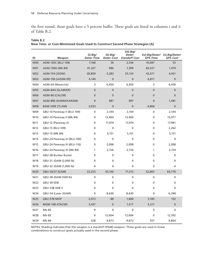the first round, those goals have a 5 percent buffer. These goals are listed in columns i and ii of Table B.2.

| ID              | Weapon                       | (i) Big/<br><b>Deter-Time</b> | (ii) Big/<br>Deter-Cost | (iii) $Big/$<br>Deter-<br><b>Standoff Cost</b> | <b>GPS-Time</b> | (iv) Big/Deter/ (v) Big/Deter/<br>GPS-Cost |
|-----------------|------------------------------|-------------------------------|-------------------------|------------------------------------------------|-----------------|--------------------------------------------|
| <b>W00</b>      | AGM-130C (BLU 109)           | 7,168                         | 36                      | 2,556                                          | 10,087          | 53                                         |
| W01             | AGM-130A (Mk 84)             | 41,327                        | 986                     | 7,399                                          | 60,527          | 1,479                                      |
| <b>W02</b>      | AGM-154 (JSOW)               | 28,809                        | 3,283                   | 25,314                                         | 42,671          | 4,931                                      |
| <b>W03</b>      | AGM-158 (JASSM-ER)           | 4,140                         | $\mathbf 0$             | 0                                              | 6,817           | $\mathbf{0}$                               |
| W04             | AGM-64 (Maverick)            | 3                             | 6,450                   | 6,450                                          | 3               | 6,459                                      |
| <b>W05</b>      | AGM-84H (SLAM/ER)            | $\overline{0}$                | $\mathbf{0}$            | $\mathbf 0$                                    | $\mathbf{0}$    | $\mathbf{0}$                               |
| W06             | AGM-86 (CALCM)               | $\mathbf{0}$                  | $\mathbf{0}$            | $\mathbf 0$                                    | $\mathbf{0}$    | $\mathbf{0}$                               |
| <b>W07</b>      | AGM-88E (HARM/AARGM)         | $\mathbf{0}$                  | 987                     | 987                                            | $\mathbf 0$     | 1,481                                      |
| <b>W08</b>      | BGM-109E (TLAM)              | 3,053                         | $\pmb{0}$               | 0                                              | 4,860           | $\pmb{0}$                                  |
| W09             | GBU-10 Paveway II (BLU 109)  | 0                             | 2,144                   | 2,144                                          | 0               | 2,144                                      |
| W10             | GBU-10 Paveway II (Mk 84)    | $\mathbf{0}$                  | 13,460                  | 13,460                                         | $\mathbf 0$     | 15,077                                     |
| W11             | GBU-12 (Paveway II)          | 0                             | 17,974                  | 17,974                                         | $\mathbf{0}$    | 17,981                                     |
| W12             | GBU-15 (BLU-109)             | 0                             | 0                       | 0                                              | 0               | 2,262                                      |
| W13             | GBU-15 (Mk 84)               | 0                             | 5,151                   | 5,151                                          | $\mathbf 0$     | 5,151                                      |
| W14             | GBU-24 Paveway III (BLU-109) | $\mathbf{0}$                  | 0                       | 0                                              | $\mathbf{0}$    | 0                                          |
| W <sub>15</sub> | GBU-24 Paveway III (BLU-116) | 0                             | 2,098                   | 2,098                                          | 0               | 2,098                                      |
| W16             | GBU-24 Paveway III (Mk 84)   | 1                             | 2,726                   | 2,726                                          | 1               | 2,724                                      |
| W17             | GBU-28 Bunker Buster         | $\mathbf{0}$                  | 0                       | 0                                              | $\mathbf 0$     | 0                                          |
| W18             | GBU-31 JDAM (2,000 lb)       | $\mathbf{0}$                  | 0                       | 0                                              | $\mathbf 0$     | 0                                          |
| W19             | GBU-32 JDAM (1,000 lb)       | 0                             | 0                       | 0                                              | 0               | 0                                          |
| W20             | GBU-36/37 (GAM)              | 22,253                        | 43,146                  | 71,512                                         | 32,863          | 64,770                                     |
| W21             | GBU-38 JDAM (500 lb)         | 0                             | 0                       | 0                                              | 0               | 0                                          |
| W22             | GBU-39 SDB                   | 0                             | 0                       | 0                                              | $\mathbf 0$     | 0                                          |
| W23             | GBU-53B SDB II               | $\mathbf{0}$                  | 0                       | 0                                              | $\mathbf{0}$    | 0                                          |
| W24             | GBU-54 (Laser JDAM)          | 0                             | 8,630                   | 8,630                                          | 0               | 6,298                                      |
| W25             | GBU-57B MOP                  | 2,073                         | 88                      | 1,489                                          | 3,185           | 132                                        |
| W26             | MGM-168 ATACMS               | 3,437                         | $\mathbf{0}$            | 1,577                                          | 5,217           | $\mathbf{0}$                               |
| W <sub>27</sub> | Mk-82                        | 0                             | $\mathbf{0}$            | 0                                              | 0               | 0                                          |
| W28             | Mk-83                        | 0                             | 12,604                  | 12,604                                         | 0               | 12,592                                     |
| W29             | Mk-84                        | 528                           | 9,873                   | 9,873                                          | 557             | 9,864                                      |

**Table B.2 New Time- or Cost-Minimized Goals Used to Construct Second Phase Strategies (A)**

NOTES: Shading indicates that the weapon is a standoff (PGM) weapon. These goals are used in linear combinations to construct goals actually used in the second phase.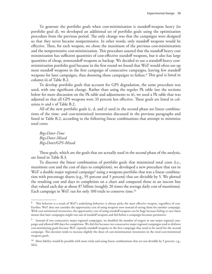To generate the portfolio goals when cost-minimization is standoff-weapon heavy (in portfolio goal d), we developed an additional set of portfolio goals using the optimization procedure from the previous period. The only change was that the campaigns were designed so that they never became nonpermissive. In other words, only standoff weapons would be effective. Then, for each weapon, we chose the maximum of the previous cost-minimization and the nonpermissive cost-minimization. This procedure assured that the standoff heavy cost minimization has sufficient quantities of cost-effective standoff weapons, but it also has large quantities of cheap, nonstandoff weapons as backup. We decided to use a standoff-heavy costminimization portfolio goal because in the first round we found that WoT would often use up most standoff weapons in the first campaign of consecutive campaigns, leaving few standoff weapons for later campaigns, thus dooming those campaigns to failure.<sup>8</sup> This goal is listed in column iii of Table B.2.

To develop portfolio goals that account for GPS degradation, the same procedure was used, with one significant change. Rather than using the regular Pk table (see the sections below for more discussion on the Pk table and adjustments to it), we used a Pk table that was adjusted so that all GPS weapons were 33 percent less effective. These goals are listed in columns iv and v of Table B.2.

All of the new portfolio goals (c, d, and e) used in the second phase are linear combinations of the time- and cost-minimized inventories discussed in the previous paragraphs and listed in Table B.2, according to the following linear combinations that attempt to minimize total costs:

*Big+Deter-Time Big+Deter-Mixed Big+Deter/GPS-Mixed.*

These goals, which are the goals that are actually used in the second phase of the analysis, are listed in Table B.3.

To discover the linear combination of portfolio goals that minimized total costs (i.e., munitions cost and the cost of days to completion), we developed a new procedure that ran in WoT a double major regional campaign<sup>9</sup> using a weapons portfolio that was a linear combination with percentage shares (e.g., 95 percent and 5 percent) that are divisible by 5. We plotted the resulting cost and days to completion on a chart and compared those to an isocost line that valued each day at about \$7 billion (roughly 20 times the average daily cost of munitions). Each campaign in WoT ran for only 100 trials to conserve time.<sup>10</sup>

<sup>&</sup>lt;sup>8</sup> This behavior is a result of WoT's underlying behavior; it always picks the most effective weapon, regardless of cost. Further, WoT does not consider the opportunity cost of using weapons now instead of saving them for another campaign. With cost-minimized inventories, the opportunity cost of using standoff weapons can be huge because failing to save them means that later campaigns might run out of standoff weapons and fail before a campaign becomes permissive.

<sup>&</sup>lt;sup>9</sup> Instead of two consecutive major regional campaigns, we doubled the number of targets in one major regional campaign and allowed 400 days for completion. We did this because two consecutive major regional campaigns tend to disfavor cost-minimizing goals because WoT expends standoff weapons in the first campaign that need to be saved for the second campaign. This decision tends to increase slightly the share of cost-minimization inventories in the total-cost-minimized weapons goals.

 $10$  More fidelity would be possible with more trials and using linear combinations that are not divisible by 5 percent, e.g., 96/4.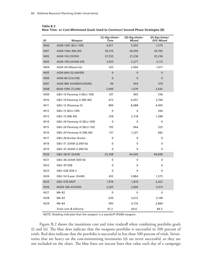| ID         | Weapon                       | (C) Big+Deter-<br><b>Time</b> | (D) Big+Deter-<br>Mixed | (E) Big+Deter/<br><b>GPS-Mixed</b> |
|------------|------------------------------|-------------------------------|-------------------------|------------------------------------|
| <b>W00</b> | AGM-130C (BLU 109)           | 6,811                         | 5,093                   | 7,579                              |
| W01        | AGM-130A (Mk 84)             | 39,310                        | 26,059                  | 45,765                             |
| <b>W02</b> | AGM-154 (JSOW)               | 27,533                        | 27,236                  | 33,236                             |
| W03        | AGM-158 (JASSM-ER)           | 3,933                         | 2,277                   | 5,113                              |
| W04        | AGM-64 (Maverick)            | 325                           | 2,904                   | 1,617                              |
| <b>W05</b> | AGM-84H (SLAM/ER)            | $\mathbf{0}$                  | $\mathbf 0$             | 0                                  |
| W06        | AGM-86 (CALCM)               | $\mathbf{0}$                  | $\mathbf{0}$            | 0                                  |
| W07        | AGM-88E (HARM/AARGM)         | 49                            | 444                     | 370                                |
| <b>W08</b> | BGM-109E (TLAM)              | 2,900                         | 1,679                   | 3,645                              |
| W09        | GBU-10 Paveway II (BLU 109)  | 107                           | 965                     | 536                                |
| W10        | GBU-10 Paveway II (Mk 84)    | 673                           | 6,057                   | 3,769                              |
| W11        | GBU-12 (Paveway II)          | 899                           | 8,088                   | 4,495                              |
| W12        | GBU-15 (BLU-109)             | 0                             | 0                       | 566                                |
| W13        | GBU-15 (Mk 84)               | 258                           | 2,318                   | 1,288                              |
| W14        | GBU-24 Paveway III (BLU-109) | $\mathbf 0$                   | 0                       | 0                                  |
| W15        | GBU-24 Paveway III (BLU-116) | 105                           | 944                     | 525                                |
| W16        | GBU-24 Paveway III (Mk 84)   | 137                           | 1,227                   | 682                                |
| W17        | GBU-28 Bunker Buster         | 0                             | 0                       | 0                                  |
| W18        | GBU-31 JDAM (2,000 lb)       | 0                             | 0                       | 0                                  |
| W19        | GBU-32 JDAM (1,000 lb)       | 0                             | 0                       | 0                                  |
| W20        | GBU-36/37 (GAM)              | 23,298                        | 44,420                  | 40,840                             |
| W21        | GBU-38 JDAM (500 lb)         | 0                             | 0                       | 0                                  |
| W22        | GBU-39 SDB                   | 0                             | 0                       | 0                                  |
| W23        | GBU-53B SDB II               | 0                             | 0                       | 0                                  |
| W24        | GBU-54 (Laser JDAM)          | 432                           | 3,884                   | 1,575                              |
| W25        | GBU-57B MOP                  | 1,974                         | 1,810                   | 2,422                              |
| W26        | MGM-168 ATACMS               | 3,265                         | 2,600                   | 3,913                              |
| W27        | Mk-82                        | 0                             | 0                       | 0                                  |
| W28        | Mk-83                        | 630                           | 5,672                   | 3,148                              |
| W29        | Mk-84                        | 995                           | 4,733                   | 2,884                              |
|            | Total cost (\$ billions)     | 67.2                          | 60.6                    | 84.5                               |

**Table B.3 New Time- or Cost-Minimized Goals Used to Construct Second Phase Strategies (B)**

NOTE: Shading indicates that the weapon is a standoff (PGM) weapon.

Figure B.2 shows the munitions cost and time tradeoff when combining portfolio goals (i) and (ii). The blue dots indicate that the weapons portfolio is successful in 100 percent of trials. Red dots indicate that the portfolio is successful in less than 100 percent of trials. Inventories that are heavy on the cost-minimizing inventories (ii) are never successful, so they are not included on the chart. The blue lines are isocost lines that value each day of a campaign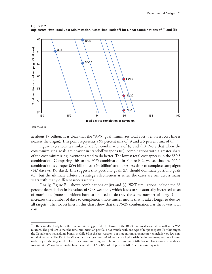

**Figure B.2** *Big+Deter-Time* **Total Cost Minimization: Cost/Time Tradeoff for Linear Combinations of (i) and (ii)**

**RAND** *RR1112-B.2*

at about \$7 billion. It is clear that the "95/5" goal minimizes total cost (i.e., its isocost line is nearest the origin). This point represents a 95 percent mix of (i) and a 5 percent mix of (ii).<sup>11</sup>

Figure B.3 shows a similar chart for combinations of (i) and (iii). Note that when the cost-minimizing goals are heavier in standoff weapons (iii), combinations with a greater share of the cost-minimizing inventories tend to do better. The lowest total cost appears in the 55/45 combination. Comparing this to the 95/5 combination in Figure B.2, we see that the 55/45 combination is cheaper (\$54 billion vs. \$64 billion) and takes less time to complete campaigns (147 days vs. 151 days). This suggests that portfolio goals (D) should dominate portfolio goals (C), but the ultimate arbiter of strategy effectiveness is when the cases are run across many years with many different uncertainties.

Finally, Figure B.4 shows combinations of (iv) and (v). WoT simulations include the 33 percent degradation in Pk values of GPS weapons, which leads to substantially increased costs of munitions (more munitions have to be used to destroy the same number of targets) and increases the number of days to completion (more misses means that it takes longer to destroy all targets). The isocost lines in this chart show that the 75/25 combination has the lowest total cost.

<sup>11</sup> These results clearly favor the time-minimizing portfolio (i). However, the 100/0 mixture does not do as well as the 95/5 mixture. The problem is that the time-minimization portfolio has trouble with one type of target (depots). For this target, the Pk table says that a dumb bomb, the Mk-84, is the best weapon, but time-minimizing inventories include very few nonstandoff weapons. The Pk of the Mk-84 for this target is only 0.20, so there is high variability in how many weapons it takes to destroy all the targets; therefore, the cost-minimizing portfolio often runs out of Mk-84s and has to use a second-best weapon. A 95/5 combination doubles the number of Mk-84s, which prevents Mk-84s from running out.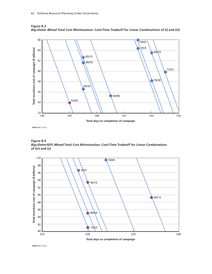

**Figure B.3** *Big+Deter-Mixed* **Total Cost Minimization: Cost/Time Tradeoff for Linear Combinations of (i) and (iii)**

**RAND** *RR1112-B.3*

**Figure B.4** *Big+Deter/GPS-Mixed* **Total Cost Minimization: Cost/Time Tradeoff for Linear Combinations of (iv) and (v)**



**RAND** *RR1112-B.4*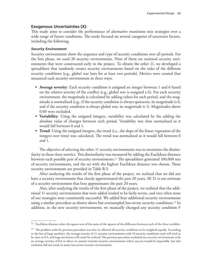# **Exogenous Uncertainties (X)**

This study aims to consider the performance of alternative munitions mix strategies over a wide range of future conditions. The study focused on several categories of uncertain factors, including the following.

#### *Security Environment*

Security environments show the sequence and type of security conditions over all periods. For the first phase, we used 20 security environments. Nine of them are notional security environments that were constructed early in the project. To obtain the other 11, we developed a spreadsheet that randomly creates security environments based on the rules of the different security conditions (e.g., global war lasts for at least two periods). Metrics were created that measured each security environment in three ways:

- **• Average severity**: Each security condition is assigned an integer between 1 and 6 based on the relative severity of the conflict (e.g., global war is assigned a 6). For each security environment, the magnitude is calculated by adding values for each period, and the magnitude is normalized (e.g., if the security condition is always quiescent, its magnitude is 0, and if the security condition is always global war, its magnitude is 1). Magnitudes above 0.60 were excluded.
- **• Variability**: Using the assigned integers, variability was calculated by the adding the absolute value of changes between each period. Variability was then normalized so it would fall between 0 and 1.
- **• Trend**: Using the assigned integers, the trend (i.e., the slope of the linear regression of the integers over time) was calculated. The trend was normalized so it would fall between 0 and 1.

The objective of selecting the other 11 security environments was to maximize the dissimilarity in these three metrics. This dissimilarity was measured by adding the Euclidean distance between each possible pair of security environments.12 The spreadsheet generated 100,000 sets of security environments, and the set with the highest Euclidean distance was chosen. These security environments are provided in Table B.3.

After analyzing the results of the first phase of the project, we realized that we did not have a security environment that closely approximated the past 20 years. SE 21 is our estimate of a security environment that best approximates the past 20 years.

Also, after analyzing the results of the first phase of the project, we realized that the additional 11 security environments that were added tended to be fairly severe, and very often none of our strategies were consistently successful. We added four additional security environments using a similar procedure as shown above but oversampled less-severe security conditions.13 In addition, in the new security environments, we manually changed any security condition F

<sup>&</sup>lt;sup>12</sup> Euclidean distance takes the square root of the sums of the squares of the difference between each of the three variables.

 $13$  The problem with the previous procedure was that we allowed all security conditions to be weighted equally. According to the law of large numbers, the average severity of 11 security environments with 10 security conditions each will tend to be close to 0.5, and large deviations will rarely be realized. The previous procedure excluded any security environments with an average severity of 0.6 or above to counter extreme security environments where success would be impossible, but this exclusion did not result in many less-severe security environments.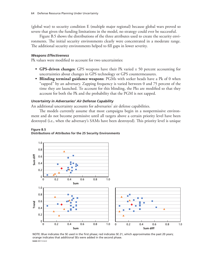(global war) to security condition E (multiple major regional) because global wars proved so severe that given the funding limitations in the model, no strategy could ever be successful.

Figure B.5 shows the distributions of the three attributes used to create the security environments. The initial security environments clearly were concentrated in a moderate range. The additional security environments helped to fill gaps in lower severity.

### *Weapons Effectiveness*

Pk values were modified to account for two uncertainties:

- **• GPS-driven changes**: GPS weapons have their Pk varied ± 50 percent accounting for uncertainties about changes in GPS technology or GPS countermeasures.
- **• Blinding terminal guidance weapons**: PGMs with seeker heads have a Pk of 0 when "zapped" by an adversary. Zapping frequency is varied between 0 and 75 percent of the time they are launched. To account for this blinding, the Pks are modified so that they account for both the Pk and the probability that the PGM is not zapped.

### *Uncertainty in Adversaries' Air Defense Capability*

An additional uncertainty accounts for adversaries' air defense capabilities.

The models currently assume that most campaigns begin in a nonpermissive environment and do not become permissive until all targets above a certain priority level have been destroyed (i.e., when the adversary's SAMs have been destroyed). This priority level is unique





NOTE: Blue indicates the SE used in the first phase; red indicates SE 21, which approximates the past 20 years; orange indicates that additional SEs were added in the second phase. **RAND** *RR1112-B.5*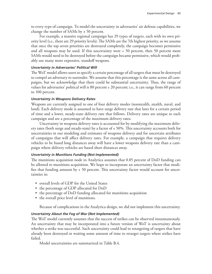to every type of campaign. To model the uncertainty in adversaries' air defense capabilities, we change the number of SAMs by ± 50 percent.

For example, a massive regional campaign has 29 types of targets, each with its own priority level (i.e., there are 29 priority levels). The SAMs are the 7th highest priority, so we assume that once the top seven priorities are destroyed completely, the campaign becomes permissive and all weapons may be used. If this uncertainty were + 50 percent, then 50 percent more SAMs would need to be destroyed before the campaign became permissive, which would probably use many more expensive, standoff weapons.

# *Uncertainty in Adversaries' Political Will*

The WoT model allows users to specify a certain percentage of all targets that must be destroyed to compel an adversary to surrender. We assume that this percentage is the same across all campaigns, but we acknowledge that there could be substantial uncertainty. Thus, the range of values for adversaries' political will is 80 percent ± 20 percent; i.e., it can range from 60 percent to 100 percent.

#### *Uncertainty in Weapons Delivery Rates*

Weapons are currently assigned to one of four delivery modes (nonstealth, stealth, naval, and land). Each delivery mode is assumed to have surge delivery rate that lasts for a certain period of time and a lower, steady-state delivery rate that follows. Delivery rates are unique to each campaign and are a percentage of the maximum delivery rates.

Uncertainty in weapons delivery rates is accounted for by modifying the maximum delivery rates (both surge and steady-state) by a factor of  $\pm$  50%. This uncertainty accounts both for uncertainties in our modeling and estimates of weapons delivery and for uncertain attributes of campaigns that will affect delivery rates. For example, a campaign that requires delivery vehicles to be based long distances away will have a lower weapons delivery rate than a campaign where delivery vehicles are based short distances away.

#### *Uncertainty in Munitions Funding (Not Implemented)*

The munitions acquisition node in Analytica assumes that 0.85 percent of DoD funding can be allotted to munitions acquisition. We hope to incorporate an uncertainty factor that modifies that funding amount by  $\pm$  50 percent. This uncertainty factor would account for uncertainties in:

- overall levels of GDP for the United States
- the percentage of GDP allocated for DoD
- the percentage of DoD funding allocated for munitions acquisition
- the overall price level of munitions.

Because of complications in the Analytica design, we did not implement this uncertainty.

### *Uncertainty About the Fog of War (Not Implemented)*

The WoT model currently assumes that the success of strikes can be observed instantaneously. An uncertainty that may be incorporated into a future version of WoT is uncertainty about whether a strike was successful. Such uncertainty could lead to retargeting of targets that have already been destroyed or waiting some amount of time to retarget targets where strikes have failed.

Model uncertainties are summarized in Table B.4.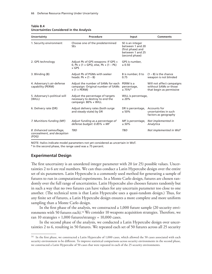| Uncertainty                                                    | Procedure                                                                                           | Input                                                                                           | <b>Comments</b>                                                                |
|----------------------------------------------------------------|-----------------------------------------------------------------------------------------------------|-------------------------------------------------------------------------------------------------|--------------------------------------------------------------------------------|
| 1. Security environment                                        | Choose one of the predetermined<br><b>SEs</b>                                                       | SE is an integer<br>between 1 and 20<br>(first phase) and<br>between 1 and 25<br>(second phase) |                                                                                |
| 2. GPS technology                                              | Adjust Pk of GPS weapons: If GPS <<br>0, Pk $\times$ (1 + GPS), else, Pk + (1 – Pk)<br>$\times$ GPS | GPS is number,<br>± 0.50                                                                        |                                                                                |
| 3. Blinding (B)                                                | Adjust Pk of PGMs with seeker<br>heads: $Pk \times (1 - B)$                                         | B is number, 0 to<br>0.75                                                                       | $(1 - B)$ is the chance<br>weapon is not blinded                               |
| 4. Adversary's air-defense<br>capability (PERM)                | Adjust the number of SAMs for each<br>campaign: Original number of SAMs<br>$\times$ (1 + PERM)      | PERM is a<br>percentage,<br>$±75%$ <sup>a</sup>                                                 | Will not affect campaigns<br>without SAMs or those<br>that begin as permissive |
| 5. Adversary's political will<br>(WILL)                        | Adjust the percentage of targets<br>necessary to destroy to end the<br>campaign: 80% + WILL         | WILL is percentage,<br>± 20%                                                                    |                                                                                |
| 6. Delivery rate (DR)                                          | Adjust delivery rates (both surge<br>and steady-state) by DR                                        | DR is percentage,<br>$± 50\%$                                                                   | Accounts for<br>uncertainties in such<br>factors as geography                  |
| 7. Munitions funding (MF)                                      | Adjust funding as a percentage of<br>defense budget: $0.85\% \times MF$                             | MF is percentage,<br>$± 50\%$                                                                   | Not implemented in<br>Analytica                                                |
| 8. Enhanced camouflage,<br>concealment, and deception<br>(FOG) | <b>TBD</b>                                                                                          | TBD                                                                                             | Not implemented in WoT                                                         |

#### **Table B.4 Uncertainties Considered in the Analysis**

NOTE: Italics indicate model parameters not yet considered as uncertain in WoT.

 $a$  In the second phase, the range used was  $\pm$  75 percent.

# **Experimental Design**

The first uncertainty is an unordered integer parameter with 20 (or 25) possible values. Uncertainties 2 to 6 are real numbers. We can thus conduct a Latin Hypercube design over the entire set of six parameters. Latin Hypercube is a commonly used method for generating a sample of futures to run in computational experiments. In a Monte Carlo design, futures are chosen randomly over the full range of uncertainties. Latin Hypercube also chooses futures randomly but in such a way that no two futures can have values for any uncertain parameter too close to one another. (The technical term is that Latin Hypercube uses a quasi-random design.) Thus, for any finite set of futures, a Latin Hypercube design ensures a more complete and more uniform sampling than a Monte Carlo design.

In the first phase of the analysis, we constructed a 1,000 future sample (20 security environments with 50 futures each).<sup>14</sup> We consider 10 weapons acquisition strategies. Therefore, we ran 10 strategies  $\times$  1,000 futures/strategy = 10,000 cases.

In the second phase of the analysis, we conducted a Latin Hypercube design over uncertainties 2 to 6, resulting in 50 futures. We repeated each set of 50 futures across all 25 security

<sup>&</sup>lt;sup>14</sup> In the first phase, we constructed a Latin Hypercube of 1,000 cases, which allowed the 50 cases associated with each security environment to be different. To improve statistical comparisons across security environments in the second phase, we constructed a Latin Hypercube of 50 cases that were repeated in each of the 25 security environments.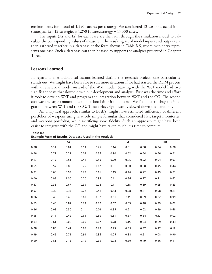environments for a total of 1,250 futures per strategy. We considered 12 weapons acquisition strategies, i.e., 12 strategies  $\times$  1,250 futures/strategy = 15,000 cases.

The inputs (Xs and Ls) for each case are then run through the simulation model to calculate the corresponding values of measures. The resulting set of model inputs and outputs are then gathered together in a database of the form shown in Table B.5, where each entry represents one case. Such a database can then be used to support the analyses presented in Chapter Three.

# **Lessons Learned**

In regard to methodological lessons learned during the research project, one particularity stands out. We might have been able to run more iterations if we had started the RDM process with an analytical model instead of the WoT model. Starting with the WoT model had two significant costs that slowed down our development and analysis. First was the time and effort it took to develop WoT and program the integration between WoT and the CG. The second cost was the large amount of computational time it took to run WoT and later debug the integration between WoT and the CG. These delays significantly slowed down the iterations.

An analytical approach, similar to Loeb's, might have estimated sufficiency of different portfolios of weapons using relatively simple formulas that considered Pks, target inventories, and weapons portfolios, while sacrificing some fidelity. Such an approach might have been easier to integrate with the CG and might have taken much less time to compute.

|      |      | Xs   |      |      |      | Ls   |      |      | Ms   |
|------|------|------|------|------|------|------|------|------|------|
| 0.38 | 0.14 | 0.01 | 0.54 | 0.75 | 0.14 | 0.01 | 0.68 | 0.34 | 0.28 |
| 0.56 | 0.72 | 0.29 | 0.07 | 0.34 | 0.90 | 0.52 | 0.54 | 0.66 | 0.51 |
| 0.27 | 0.19 | 0.51 | 0.46 | 0.59 | 0.79 | 0.05 | 0.92 | 0.04 | 0.97 |
| 0.65 | 0.57 | 0.86 | 0.75 | 0.67 | 0.91 | 0.50 | 0.68 | 0.45 | 0.44 |
| 0.31 | 0.60 | 0.93 | 0.23 | 0.61 | 0.19 | 0.46 | 0.22 | 0.49 | 0.31 |
| 0.00 | 0.93 | 1.00 | 0.20 | 0.95 | 0.11 | 0.36 | 0.27 | 0.21 | 0.62 |
| 0.67 | 0.38 | 0.67 | 0.99 | 0.28 | 0.11 | 0.18 | 0.39 | 0.25 | 0.23 |
| 0.92 | 0.39 | 0.33 | 0.72 | 0.41 | 0.53 | 0.98 | 0.81 | 0.08 | 0.13 |
| 0.86 | 0.48 | 0.40 | 0.63 | 0.32 | 0.01 | 0.11 | 0.39 | 0.32 | 0.99 |
| 0.65 | 0.40 | 0.82 | 0.22 | 0.80 | 0.67 | 0.55 | 0.48 | 0.39 | 0.02 |
| 0.36 | 0.03 | 0.30 | 0.11 | 0.74 | 0.85 | 0.21 | 0.02 | 0.39 | 0.68 |
| 0.55 | 0.11 | 0.42 | 0.61 | 0.50 | 0.81 | 0.87 | 0.84 | 0.17 | 0.02 |
| 0.33 | 0.61 | 0.00 | 0.09 | 0.07 | 0.78 | 0.15 | 0.04 | 0.89 | 0.43 |
| 0.08 | 0.85 | 0.41 | 0.65 | 0.28 | 0.75 | 0.89 | 0.37 | 0.27 | 0.19 |
| 0.99 | 0.45 | 0.73 | 0.91 | 0.36 | 0.05 | 0.38 | 0.61 | 0.08 | 0.90 |
| 0.20 | 0.51 | 0.16 | 0.15 | 0.69 | 0.78 | 0.39 | 0.49 | 0.46 | 0.41 |

**Table B.5 Example Form of Results Database Used in the Analysis**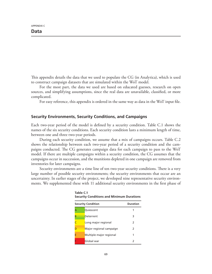APPENDIX C

This appendix details the data that we used to populate the CG (in Analytica), which is used to construct campaign datasets that are simulated within the WoT model.

For the most part, the data we used are based on educated guesses, research on open sources, and simplifying assumptions, since the real data are unavailable, classified, or more complicated.

For easy reference, this appendix is ordered in the same way as data in the WoT input file.

# **Security Environments, Security Conditions, and Campaigns**

Each two-year period of the model is defined by a security condition. Table C.1 shows the names of the six security conditions. Each security condition lasts a minimum length of time, between one and three two-year periods.

During each security condition, we assume that a mix of campaigns occurs. Table C.2 shows the relationship between each two-year period of a security condition and the campaigns conducted. The CG generates campaign data for each campaign to pass to the WoT model. If there are multiple campaigns within a security condition, the CG assumes that the campaigns occur in succession, and the munitions depleted in one campaign are removed from inventories for later campaigns.

Security environments are a time line of ten two-year security conditions. There is a very large number of possible security environments; the security environments that occur are an uncertainty. In earlier stages of the project, we developed nine representative security environments. We supplemented these with 11 additional security environments in the first phase of

| <b>Security Condition</b> | <b>Duration</b>         |               |
|---------------------------|-------------------------|---------------|
|                           | Quiescent               |               |
| B                         | Deterrent               | 3             |
|                           | Long major regional     | $\mathcal{P}$ |
|                           | Major regional campaign | $\mathcal{L}$ |
| E                         | Multiple major regional |               |
|                           | Global war              |               |

**Table C.1 Security Conditions and Minimum Durations**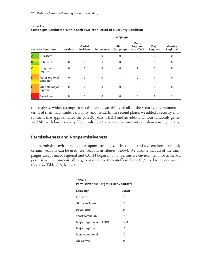|   |                            | Campaign     |                    |                   |                          |                               |                          |                            |
|---|----------------------------|--------------|--------------------|-------------------|--------------------------|-------------------------------|--------------------------|----------------------------|
|   | <b>Security Condition</b>  | Incident     | Global<br>Incident | <b>Deterrence</b> | <b>Short</b><br>Campaign | Major<br>Regional<br>and COIN | <b>Major</b><br>Regional | <b>Massive</b><br>Regional |
| A | Quiescent                  |              |                    | $\Omega$          | 0                        | $\mathbf{0}$                  | $\Omega$                 | 0                          |
| B | Deterrent                  | 0            | $\mathbf{0}$       |                   | $\mathbf 0$              | $\mathbf{0}$                  | $\mathbf{0}$             | $\mathbf 0$                |
|   | Long major<br>regional     | $\mathbf{0}$ | $\mathbf{0}$       | $\mathbf{0}$      | $\mathbf{0}$             |                               | $\mathbf{0}$             | 0                          |
| D | Major regional<br>campaign | 0            | $\mathbf{0}$       | $\mathbf{0}$      |                          | $\mathbf{0}$                  |                          | 0                          |
| Е | Multiple major<br>regional | $\mathbf{0}$ | $\mathbf{0}$       | $\mathbf{0}$      | $\mathbf{0}$             | $\mathbf{0}$                  | $\mathcal{P}$            | 0                          |
|   | Global war                 | 0            | 0                  | 0                 | 0                        | 0                             |                          | 2                          |

| Table C.2                                                                      |
|--------------------------------------------------------------------------------|
| <b>Campaigns Conducted Within Each Two-Year Period of a Security Condition</b> |

the analysis, which attempt to maximize the variability of all of the security environment in terms of their magnitude, variability, and trend. In the second phase, we added a security environment that approximated the past 20 years (SE 21) and an additional four randomly generated SEs with lower severity. The resulting 25 security environments are shown in Figure 2.3.

# **Permissiveness and Nonpermissiveness**

In a permissive environment, all weapons can be used. In a nonpermissive environment, only certain weapons can be used (see weapons attributes, below). We assume that all of the campaigns except major regional and COIN begin in a nonpermissive environment. To achieve a permissive environment, all targets at or above the cutoffs in Table C.3 need to be destroyed. (See also Table C.8, below.)

| Table C.3<br><b>Permissiveness Target Priority Cutoffs</b> |     |  |  |  |
|------------------------------------------------------------|-----|--|--|--|
| Cutoff<br>Campaign                                         |     |  |  |  |
| Incident                                                   | 5   |  |  |  |
| Global incident                                            | 7   |  |  |  |
| Deterrence                                                 | 14  |  |  |  |
| Short campaign                                             | 5   |  |  |  |
| Major regional and COIN                                    | N/A |  |  |  |
| Major regional                                             | 5   |  |  |  |
| Massive regional                                           | 7   |  |  |  |
| Global war                                                 | 14  |  |  |  |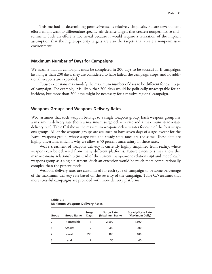This method of determining permissiveness is relatively simplistic. Future development efforts might want to differentiate specific, air-defense targets that create a nonpermissive environment. Such an effort is not trivial because it would require a relaxation of the implicit assumption that the highest-priority targets are also the targets that create a nonpermissive environment.

#### **Maximum Number of Days for Campaigns**

We assume that all campaigns must be completed in 200 days to be successful. If campaigns last longer than 200 days, they are considered to have failed, the campaign stops, and no additional weapons are expended.

Future extensions may modify the maximum number of days to be different for each type of campaign. For example, it is likely that 200 days would be politically unacceptable for an incident, but more than 200 days might be necessary for a massive regional campaign.

#### **Weapons Groups and Weapons Delivery Rates**

WoT assumes that each weapon belongs to a single weapons group. Each weapons group has a maximum delivery rate (both a maximum surge delivery rate and a maximum steady-state delivery rate). Table C.4 shows the maximum weapons delivery rates for each of the four weapons groups. All of the weapons groups are assumed to have seven days of surge, except for the Naval weapons group, whose surge rate and steady-state rates are the same. These data are highly uncertain, which is why we allow ± 50 percent uncertainty in these rates.

WoT's treatment of weapons delivery is currently highly simplified from reality, where weapons can be delivered from many different platforms. Future extensions may allow this many-to-many relationship (instead of the current many-to-one relationship) and model each weapons group as a single platform. Such an extension would be much more computationally complex than the present model.

Weapons delivery rates are customized for each type of campaign to be some percentage of the maximum delivery rate based on the severity of the campaign. Table C.5 assumes that more stressful campaigns are provided with more delivery platforms.

| 1501551<br><b>Maximum Weapons Delivery Rates</b> |  |
|--------------------------------------------------|--|
|                                                  |  |

**Table C.4**

| Group         | <b>Group Name</b> | Surge<br>Days | <b>Surge Rate</b><br>(Maximum Daily) | <b>Steady-State Rate</b><br>(Maximum Daily) |
|---------------|-------------------|---------------|--------------------------------------|---------------------------------------------|
| $\mathbf 0$   | Nonstealth        |               | 2,500                                | 1,500                                       |
|               | Stealth           |               | 500                                  | 300                                         |
| $\mathcal{L}$ | Naval             | 999           | 100                                  | 100                                         |
|               | Land              |               | 50                                   | 40                                          |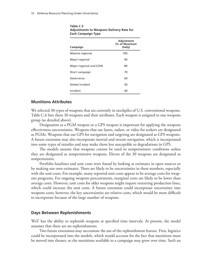| Campaign                | Adjustment<br>(% of Maximum<br>Daily) |
|-------------------------|---------------------------------------|
| Massive regional        | 100                                   |
| Major regional          | 90                                    |
| Major regional and COIN | 80                                    |
| Short campaign          | 70                                    |
| Deterrence              | 60                                    |
| Global incident         | 50                                    |
| Incident                | 40                                    |

#### **Table C.5 Adjustments to Weapons Delivery Rate for Each Campaign Type**

# **Munitions Attributes**

We selected 30 types of weapons that are currently in stockpiles of U.S. conventional weapons. Table C.6 lists these 30 weapons and their attributes. Each weapon is assigned to one weapons group (as detailed above).

Designation as a PGM weapon or a GPS weapon is important for applying the weapons effectiveness uncertainties. Weapons that use lasers, radars, or video for seekers are designated as PGMs. Weapons that use GPS for navigation and targeting are designated as GPS weapons. A future extension may also incorporate inertial and terrain navigation, which is incorporated into some types of missiles and may make them less susceptible to degradations in GPS.

The models assume that weapons cannot be used in nonpermissive conditions unless they are designated as nonpermissive weapons. Eleven of the 30 weapons are designated as nonpermissive.

Portfolio baselines and unit costs were found by looking at estimates in open sources or by making our own estimates. There are likely to be uncertainties in these numbers, especially with the unit costs. For example, many reported unit costs appear to be average costs for weapons programs. For ongoing weapons procurements, marginal costs are likely to be lower than average costs. However, unit costs for older weapons might require restarting production lines, which could increase the unit costs. A future extension could incorporate uncertainty into weapons costs; however, the key uncertainties are relative costs, which would be more difficult to incorporate because of the large number of weapons.

# **Days Between Replenishments**

WoT has the ability to replenish weapons at specified time intervals. At present, the model assumes that there are no replenishments.

Two future extensions may necessitate the use of the replenishment feature. First, logistics could be incorporated into the models, which would account for the fact that munitions must be moved into theater, so the munitions available to a campaign may grow over time. Such an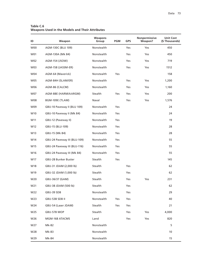**Table C.6 Weapons Used in the Models and Their Attributes**

| ID              | Weapon                       | <b>Weapons</b><br>Group | <b>PGM</b> | <b>GPS</b> | <b>Nonpermissive</b><br>Weapon? | <b>Unit Cost</b><br>(\$Thousands) |
|-----------------|------------------------------|-------------------------|------------|------------|---------------------------------|-----------------------------------|
| W00             | AGM-130C (BLU 109)           | Nonstealth              |            | Yes        | <b>Yes</b>                      | 450                               |
| W01             | AGM-130A (Mk 84)             | Nonstealth              |            | Yes        | Yes                             | 450                               |
| W02             | AGM-154 (JSOW)               | Nonstealth              |            | Yes        | Yes                             | 719                               |
| W03             | AGM-158 (JASSM-ER)           | Nonstealth              |            | Yes        | Yes                             | 1512                              |
| W04             | AGM-64 (Maverick)            | Nonstealth              | Yes        |            |                                 | 158                               |
| <b>W05</b>      | AGM-84H (SLAM/ER)            | Nonstealth              |            | Yes        | Yes                             | 1,200                             |
| W06             | AGM-86 (CALCM)               | Nonstealth              |            | Yes        | Yes                             | 1,160                             |
| W07             | AGM-88E (HARM/AARGM)         | Stealth                 | Yes        | Yes        | Yes                             | 200                               |
| W08             | BGM-109E (TLAM)              | Naval                   |            | Yes        | Yes                             | 1,576                             |
| W09             | GBU-10 Paveway II (BLU 109)  | Nonstealth              | Yes        |            |                                 | 24                                |
| W <sub>10</sub> | GBU-10 Paveway II (Mk 84)    | Nonstealth              | Yes        |            |                                 | 24                                |
| W11             | GBU-12 (Paveway II)          | Nonstealth              | Yes        |            |                                 | 19                                |
| W12             | GBU-15 (BLU-109)             | Nonstealth              | Yes        |            |                                 | 28                                |
| W13             | GBU-15 (Mk 84)               | Nonstealth              | Yes        |            |                                 | 28                                |
| W14             | GBU-24 Paveway III (BLU-109) | Nonstealth              | Yes        |            |                                 | 55                                |
| W15             | GBU-24 Paveway III (BLU-116) | Nonstealth              | Yes        |            |                                 | 55                                |
| W16             | GBU-24 Paveway III (Mk 84)   | Nonstealth              | Yes        |            |                                 | 55                                |
| W17             | GBU-28 Bunker Buster         | Stealth                 | Yes        |            |                                 | 145                               |
| W18             | GBU-31 JDAM (2,000 lb)       | Stealth                 |            | Yes        |                                 | 62                                |
| W19             | GBU-32 JDAM (1,000 lb)       | Stealth                 |            | Yes        |                                 | 62                                |
| W20             | GBU-36/37 (GAM)              | Stealth                 |            | Yes        | Yes                             | 231                               |
| W21             | GBU-38 JDAM (500 lb)         | Stealth                 |            | Yes        |                                 | 62                                |
| W22             | GBU-39 SDB                   | Nonstealth              |            | Yes        |                                 | 29                                |
| W23             | GBU-53B SDB II               | Nonstealth              | Yes        | Yes        |                                 | 40                                |
| W24             | GBU-54 (Laser JDAM)          | Stealth                 | Yes        | Yes        |                                 | 21                                |
| W25             | GBU-57B MOP                  | Stealth                 |            | Yes        | Yes                             | 4,000                             |
| W26             | MGM-168 ATACMS               | Land                    |            | Yes        | Yes                             | 820                               |
| W27             | Mk-82                        | Nonstealth              |            |            |                                 | 5                                 |
| W28             | Mk-83                        | Nonstealth              |            |            |                                 | 10                                |
| W29             | Mk-84                        | Nonstealth              |            |            |                                 | 15                                |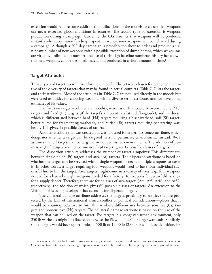extension would require some additional modifications to the models to ensure that weapons use never exceeded global munitions inventories. The second type of extension is weapons production during a campaign. Currently, the CG assumes that weapons will be produced instantly when acquisition funding is spent. In reality, some weapons will be delivered during a campaign. Although a 200-day campaign is probably too short to order and produce a significant number of new weapons (with a possible exception of dumb bombs, which we assume are virtually unlimited in number because of their high baseline numbers), history has shown that new weapons can be designed, tested, and produced in a short amount of time.<sup>1</sup>

### **Target Attributes**

Thirty types of targets were chosen for these models. The 30 were chosen for being representative of the diversity of targets that may be found in actual conflicts. Table C.7 lists the targets and their attributes. Most of the attributes in Table C.7 are not used directly in the models but were used as guides for choosing weapons with a diverse set of attributes and for developing estimates of Pk values.

The first two target attributes are mobility, which is differentiated between mobile (Mb) targets and fixed (Fx) targets (if the target's aimpoint is a latitude/longitude), and hardness, which is differentiated between hard (Hd) targets requiring a blast warhead, soft (Sf) targets better suited for fragmenting warheads, and buried (Br) targets requiring penetrating warheads. This gives six possible classes of targets.

Another attribute that was created but was not used is the permissiveness attribute, which designates whether a target can be targeted in a nonpermissive environment. Instead, WoT assumes that all targets can be targeted in nonpermissive environments. The addition of permissive (Pm) targets and nonpermissive (Np) targets gives 12 possible classes of targets.

The dispersion attribute addresses the number of target aimpoints: This differentiates between single point (Pt) targets and area (At) targets. The dispersion attribute is based on whether the target can be serviced with a single weapon or needs multiple weapons to cover it. In other words, a target requiring four weapons would need to have four individual successful hits to kill the target. Area targets might come in a variety of sizes (e.g., four weapons needed for a barracks, eight weapons needed for a factory, 16 weapons for an airfield, and 32 for a supply depot). Therefore, there are four classes of area targets (At4, At8, At16, and At32, respectively), the addition of which gives 60 possible classes of targets. An extension to the WoT model is being developed that accounts for dispersed targets.

The collateral damage attribute addresses the target's proximity to entities that are protected by the laws of international armed conflict or political considerations—places that it would be counterproductive to hit. This attribute differentiates between sensitive (Cs) targets and nonsensitive (Ns) targets. The collateral damage attribute is based on the size of the weapon that can be used on the target. For targets in a congested urban environment, only 250 lb warheads might be allowed, otherwise the Pk would be 0 for larger warheads. Similarly, some targets would have upper limits of 500 lb or 1,000 lb (2,000 lb would, by definition, be

<sup>&</sup>lt;sup>1</sup> For example, the GBU-28 Bunker Buster was initially conceived, designed, built, tested, and used following the onset of Operation Desert Storm when existing weapons were revealed to be insufficient for targeting Iraq's underground bunkers.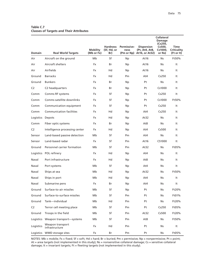| <b>Domain</b>  | <b>Real World Targets</b>          | Mobility<br>(Mb or Fx) | <b>Hardness</b><br>(Sf, Hd, or<br>Br) | Permissive-<br>ness | <b>Dispersion</b><br>(Pt, At4, At8,<br>(Pm or Np) At 16, or At 32) | <b>Collateral</b><br>Damage<br>(Cs250,<br>Cs500,<br>Cs1000,<br>or Ns) | Time<br><b>Criticality</b><br>(Ft or It) |
|----------------|------------------------------------|------------------------|---------------------------------------|---------------------|--------------------------------------------------------------------|-----------------------------------------------------------------------|------------------------------------------|
| Air            | Aircraft on the ground             | Mb                     | Sf                                    | Np                  | At16                                                               | <b>Ns</b>                                                             | Ft50%                                    |
| Air            | Aircraft shelters                  | <b>Fx</b>              | Br                                    | Np.                 | At16                                                               | <b>Ns</b>                                                             | It                                       |
| Air            | Airfields                          | <b>Fx</b>              | Hd                                    | Np                  | At16                                                               | Ns.                                                                   | It                                       |
| Ground         | <b>Barracks</b>                    | Fx                     | Hd                                    | Pm                  | At4                                                                | Cs250                                                                 | It                                       |
| Ground         | <b>Bunkers</b>                     | Fx                     | Br                                    | <b>Np</b>           | Pt                                                                 | <b>Ns</b>                                                             | It                                       |
| C <sub>2</sub> | C <sub>2</sub> headquarters        | Fx                     | Br                                    | <b>Np</b>           | Pt                                                                 | Cs1000                                                                | It                                       |
| Comm           | Comms RF systems                   | Fx                     | Sf                                    | <b>Np</b>           | Pt                                                                 | Cs250                                                                 | It                                       |
| Comm           | Comms satellite downlinks          | <b>Fx</b>              | Sf                                    | Np                  | Pt                                                                 | Cs1000                                                                | Ft50%                                    |
| Comm           | Communication equipment            | <b>Fx</b>              | Sf                                    | Np.                 | Pt                                                                 | Cs250                                                                 | It                                       |
| Comm           | <b>Communication facilities</b>    | <b>Fx</b>              | Hd                                    | Np                  | At4                                                                | Cs250                                                                 | It                                       |
| Logistics      | Depots                             | Fx                     | Hd                                    | Np.                 | At32                                                               | <b>Ns</b>                                                             | It                                       |
| Comm           | Fiber optic systems                | Fx                     | Br                                    | <b>Np</b>           | At8                                                                | Ns                                                                    | It                                       |
| C <sub>2</sub> | Intelligence processing center     | <b>Fx</b>              | Hd                                    | Np                  | At4                                                                | Cs500                                                                 | It                                       |
| Sensor         | Land-based passive detection       | Mb                     | Sf                                    | Pm                  | At4                                                                | Ns.                                                                   | It                                       |
| Sensor         | Land-based radar                   | Fx                     | Sf                                    | Pm                  | At16                                                               | CS1000                                                                | It                                       |
| Ground         | Personnel carrier formation        | Mb                     | Sf                                    | Pm                  | At32                                                               | Ns.                                                                   | Ft05%                                    |
| Logistics      | POL refinery                       | <b>Fx</b>              | Hd                                    | Np                  | At4                                                                | Ns.                                                                   | It                                       |
| Naval          | Port infrastructure                | <b>Fx</b>              | Hd                                    | Np.                 | At8                                                                | Ns.                                                                   | It                                       |
| Naval          | Port systems                       | Mb                     | Sf                                    | Np                  | At4                                                                | <b>Ns</b>                                                             | It                                       |
| Naval          | Ships at sea                       | Mb                     | Hd                                    | <b>Np</b>           | At32                                                               | Ns                                                                    | Ft50%                                    |
| Naval          | Ships in port                      | Mb                     | Hd                                    | Np.                 | At4                                                                | Ns.                                                                   | It                                       |
| Naval          | Submarine pens                     | <b>Fx</b>              | Br                                    | Np.                 | At4                                                                | Ns                                                                    | It                                       |
| Ground         | Surface-to-air missiles            | Mb                     | Sf                                    | Np                  | Pt                                                                 | Ns.                                                                   | Ft20%                                    |
| Ground         | Surface-to-surface missiles        | Mb                     | Sf                                    | Pm                  | Pt                                                                 | <b>Ns</b>                                                             | Ft01%                                    |
| Ground         | Tank-individual                    | Mb                     | Hd                                    | Pm                  | Pt                                                                 | Ns                                                                    | Ft20%                                    |
| C <sub>2</sub> | Terror cell meeting place          | Mb                     | Sf                                    | Pm                  | Pt                                                                 | Cs250                                                                 | Ft05%                                    |
| Ground         | Troops in the field                | Mb                     | Sf                                    | Pm                  | At32                                                               | Cs500                                                                 | Ft20%                                    |
| Logistics      | Weapon transport-systems           | Mb                     | Sf                                    | Pm                  | At8                                                                | Ns                                                                    | Ft50%                                    |
| Logistics      | Weapon transport<br>infrastructure | Fx                     | Hd                                    | Pm                  | Pt                                                                 | <b>Ns</b>                                                             | It                                       |
|                | Logistics WMD storage sites        | Fx                     | Br                                    | Pm                  | Pt                                                                 | Ns                                                                    | Ft05%                                    |

# **Table C.7 Classes of Targets and Their Attributes**

NOTES: Mb = mobile; Fx = fixed; Sf = soft; Hd = hard; Br = buried; Pm = permissive; Np = nonpermissive; Pt = point; At = area targets (not implemented in this study); Ns = nonsensitive collateral damage; Cs = sensitive collateral damage; It = invariant targets; Ft = fleeting targets (not implemented in this study).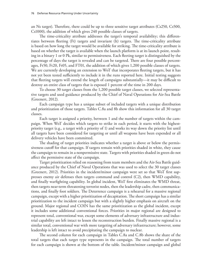an Ns target). Therefore, there could be up to three sensitive target attributes (Cs250, Cs500, Cs1000), the addition of which gives 240 possible classes of targets.

The time-criticality attribute addresses the target's temporal availability; this differentiates between fleeting (Ft) targets and invariant (It) targets. The time-criticality attribute is based on how long the target would be available for striking. The time-criticality attribute is based on whether the target is available when the launch platform is at its launch point, resulting in a binary 1 or 0 Pk, similar to permissiveness. Each fleeting target is distinguished by the percentage of days the target is revealed and can be targeted. There are four possible percentages, Ft50, Ft20, Ft05, and FT01, the addition of which gives 1,200 possible classes of targets. We are currently developing an extension to WoT that incorporates fleeting targets, but it has not yet been tested sufficiently to include it in the runs reported here. Initial testing suggests that fleeting targets will extend the length of campaigns substantially—it may be difficult to destroy an entire class of targets that is exposed 1 percent of the time in 200 days.

To choose 30 target classes from the 1,200 possible target classes, we selected representative targets and used guidance produced by the Chief of Naval Operations for Air-Sea Battle (Greenert, 2012).

Each campaign type has a unique subset of included targets with a unique distribution and prioritization of those targets. Tables C.8a and 8b show this information for all 30 target classes.

Each target is assigned a priority, between 1 and the number of targets within the campaign. When WoT decides which targets to strike in each period, it starts with the highestpriority target (e.g., a target with a priority of 1) and works its way down the priority list until all targets have been considered for targeting or until all weapons have been expended or all delivery vehicles have been committed.

The shading of target priorities indicates whether a target is above or below the permissiveness cutoff for that campaign. If targets remain with priorities shaded in white, they cause the campaign to remain in a nonpermissive state. Targets with priorities shaded in green do not affect the permissive state of the campaign.

Target prioritization relied on reasoning from team members and the Air-Sea Battle guidance produced by the Chief of Naval Operations that was used to select the 30 target classes (Greenert, 2012). Priorities in the incident/minor campaign were set so that WoT first suppresses enemy air defenses then targets command and control (C2), then WMD capability, and finally warfighting capability. In global incident, WoT first eliminates the WMD threat, then targets near-term threatening terrorist nodes, then the leadership cadre, then communications, and finally foot soldiers. The Deterrence campaign is a rehearsal for a massive regional campaign, except with a higher prioritization of decapitation. The short campaign has a similar prioritization to the incident campaign but with a slightly higher emphasis on aircraft on the ground. Major regional and COIN has the same prioritization as the global incident, except it includes some additional conventional forces. Priorities in major regional are designed to represent total, conventional war, except some elements of adversary infrastructure and industrial capability are left intact to lessen the reconstruction burden. Finally massive regional is a similar total, conventional war with more targeting of adversary infrastructure; however, some leadership is left intact to avoid precipitating the campaign to nuclear.

The second column for each campaign in Tables C.8a and C.8b shows the share of the total targets that each target type represents in the campaign. The total number of targets for each campaign is shown at the bottom of the table. Incident/minor campaign and global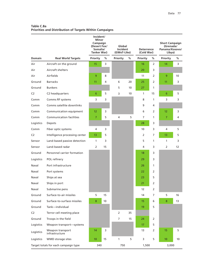**Table C.8a Priorities and Distribution of Targets Within Campaigns**

|                |                                      | Incident/<br>Minor<br>Campaign<br>(Desert Fox/<br>Somalia/<br>Tanker War) |    | Global<br>Incident<br>(GWoT-Like) |    | <b>Deterrence</b><br>(Cold War) |              | <b>Short Campaign</b><br>(Grenada/<br>Panama/Kosovo/<br>Libya) |    |
|----------------|--------------------------------------|---------------------------------------------------------------------------|----|-----------------------------------|----|---------------------------------|--------------|----------------------------------------------------------------|----|
| <b>Domain</b>  | <b>Real World Targets</b>            | Priority                                                                  | %  | Priority                          | %  | <b>Priority</b>                 | %            | <b>Priority</b>                                                | ℅  |
| Air            | Aircraft on the ground               | 15                                                                        | 3  |                                   |    | 16                              | 2            | 14                                                             | 3  |
| Air            | Aircraft shelters                    |                                                                           |    |                                   |    | 20                              | 3            |                                                                |    |
| Air            | Airfields                            | 9                                                                         | 8  |                                   |    | 11                              | 2            | 9                                                              | 10 |
| Ground         | <b>Barracks</b>                      | 11                                                                        | 4  | 6                                 | 20 | 25                              | 2            | 11                                                             | 3  |
| Ground         | <b>Bunkers</b>                       |                                                                           |    | 5                                 | 10 | 27                              | $\mathbf{1}$ |                                                                |    |
| C <sub>2</sub> | C2 headquarters                      | 6                                                                         | 5  | 3                                 | 10 | $\mathbf{1}$                    | 15           | $6\phantom{1}6$                                                | 5  |
| Comm           | Comms RF systems                     | 3                                                                         | 3  |                                   |    | 8                               | $\mathbf{1}$ | 3                                                              | 3  |
| Comm           | Comms satellite downlinks            |                                                                           |    |                                   |    | 9                               | 4            |                                                                |    |
| Comm           | Communication equipment              | 12                                                                        | 3  |                                   |    | 6                               | 2            | 12                                                             | 3  |
| Comm           | <b>Communication facilities</b>      | $\overline{7}$                                                            | 5  | 4                                 | 5  | 7                               | $\mathbf{1}$ | 7                                                              | 4  |
| Logistics      | Depots                               |                                                                           |    |                                   |    | 28                              | 3            |                                                                |    |
| Comm           | Fiber optic systems                  | 4                                                                         | 3  |                                   |    | 10                              | 3            | 4                                                              | 5  |
| C <sub>2</sub> | Intelligence processing center       | 13                                                                        | 5  |                                   |    | 2                               | 7            | 13                                                             | 5  |
| Sensor         | Land-based passive detection         | 1                                                                         | 3  |                                   |    | 5                               | $\mathbf{1}$ | 1                                                              | 3  |
| Sensor         | Land-based radar                     | 2                                                                         | 15 |                                   |    | 4                               | 3            | 2                                                              | 12 |
| Ground         | Personnel carrier formation          |                                                                           |    |                                   |    | 18                              | 3            |                                                                |    |
| Logistics      | POL refinery                         |                                                                           |    |                                   |    | 29                              | 3            |                                                                |    |
| Naval          | Port infrastructure                  |                                                                           |    |                                   |    | 26                              | $\mathbf{1}$ |                                                                |    |
| Naval          | Port systems                         |                                                                           |    |                                   |    | 22                              | 2            |                                                                |    |
| Naval          | Ships at sea                         |                                                                           |    |                                   |    | 23                              | 5            |                                                                |    |
| Naval          | Ships in port                        |                                                                           |    |                                   |    | 21                              | 2            |                                                                |    |
| Naval          | Submarine pens                       |                                                                           |    |                                   |    | 12                              | 2            |                                                                |    |
| Ground         | Surface-to-air missiles              | 5                                                                         | 15 |                                   |    | 14                              | 7            | 5                                                              | 16 |
| Ground         | Surface-to-surface missiles          | 8                                                                         | 10 |                                   |    | 15                              | 6            | 8                                                              | 13 |
| Ground         | Tank-individual                      |                                                                           |    |                                   |    | 19                              | 5            |                                                                |    |
| C <sub>2</sub> | Terror cell meeting place            |                                                                           |    | 2                                 | 35 |                                 |              |                                                                |    |
| Ground         | Troops in the field                  |                                                                           |    | $\overline{7}$                    | 15 | 24                              | 2            |                                                                |    |
| Logistics      | Weapon transport-systems             |                                                                           |    |                                   |    | 17                              | 5            |                                                                |    |
| Logistics      | Weapon transport<br>infrastructure   | 14                                                                        | 3  |                                   |    | 13                              | 2            | 15                                                             | 5  |
| Logistics      | WMD storage sites                    | 10                                                                        | 15 | $\mathbf{1}$                      | 5  | 3                               | 5            | 10                                                             | 10 |
|                | Target totals for each campaign type | 340                                                                       |    | 750                               |    | 1,500                           |              | 3,000                                                          |    |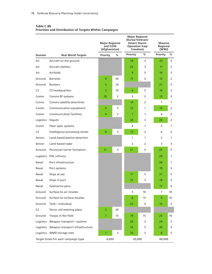|                  |                                           | <b>Major Regional</b><br>and COIN<br>(Afghanistan) |    | <b>Major Regional</b><br>(Korea/Vietnam/<br>Desert Storm/<br><b>Operation Iragi</b><br>Freedom) |    | <b>Massive</b><br>Regional<br>(WWI) |              |  |
|------------------|-------------------------------------------|----------------------------------------------------|----|-------------------------------------------------------------------------------------------------|----|-------------------------------------|--------------|--|
| <b>Domain</b>    | <b>Real World Targets</b>                 | Priority                                           | %  | Priority                                                                                        | %  | Priority                            | %            |  |
| Air              | Aircraft on the ground                    |                                                    |    | 18                                                                                              | 3  | 22                                  | 3            |  |
| Air              | Aircraft shelters                         |                                                    |    | 23                                                                                              | 3  | 11                                  | 2            |  |
| Air              | Airfields                                 |                                                    |    | 9                                                                                               | 5  | 10                                  | 3            |  |
| Ground           | <b>Barracks</b>                           | 6                                                  | 20 | 11                                                                                              | 3  | 12                                  | 2            |  |
| Ground           | <b>Bunkers</b>                            | 5                                                  | 10 |                                                                                                 |    | 27                                  | 5            |  |
| C <sub>2</sub>   | C2 headquarters                           | 3                                                  | 10 | 6                                                                                               | 2  | 16                                  | 2            |  |
| Comm             | Comms RF systems                          | 10 <sup>°</sup>                                    | 2  | 3                                                                                               | 2  | 15                                  | 3            |  |
| Comm             | Comms satellite downlinks                 |                                                    |    | 14                                                                                              | 2  | 1                                   | 1            |  |
| Comm             | Communication equipment                   | 9                                                  | 5  | $12 \overline{ }$                                                                               | 1  | 14                                  | 2            |  |
| Comm             | <b>Communication facilities</b>           | 4                                                  | 5  | 7                                                                                               | 1  | 4                                   | 2            |  |
| Logistics Depots |                                           |                                                    |    | 24                                                                                              | 3  | 28                                  | 2            |  |
| Comm             | Fiber optic systems                       |                                                    |    | 4                                                                                               | 1  | 5                                   | $\mathbf{1}$ |  |
| C <sub>2</sub>   | Intelligence processing center            | 8                                                  | 5  | 13                                                                                              | 2  | 6                                   | 2            |  |
| Sensor           | Land-based passive detection              |                                                    |    | 1                                                                                               | 1  | 2                                   | $\mathbf{1}$ |  |
| Sensor           | Land-based radar                          |                                                    |    | $\overline{2}$                                                                                  | 2  | 3                                   | 3            |  |
| Ground           | Personnel carrier formation               | 11                                                 | 3  | 21                                                                                              | 5  | 25                                  | 5            |  |
|                  | Logistics POL refinery                    |                                                    |    |                                                                                                 |    | 29                                  | 1            |  |
| Naval            | Port infrastructure                       |                                                    |    |                                                                                                 |    | 26                                  | 1            |  |
| Naval            | Port systems                              |                                                    |    |                                                                                                 |    | 19                                  | 3            |  |
| Naval            | Ships at sea                              |                                                    |    | 17                                                                                              | 5  | 21                                  | 5            |  |
| Naval            | Ships in port                             |                                                    |    | 15                                                                                              | 3  | 18                                  | 3            |  |
| Naval            | Submarine pens                            |                                                    |    |                                                                                                 |    | 17                                  | 4            |  |
| Ground           | Surface-to-air missiles                   |                                                    |    | 5                                                                                               | 10 | 7                                   | 10           |  |
| Ground           | Surface-to-surface missiles               |                                                    |    | 8                                                                                               | 15 | 9                                   | 10           |  |
| Ground           | Tank-individual                           |                                                    |    | 22                                                                                              | 5  | 13                                  | 3            |  |
| C2               | Terror cell meeting place                 | $\overline{2}$                                     | 20 |                                                                                                 |    |                                     |              |  |
| Ground           | Troops in the field                       | $\overline{7}$                                     | 15 | 19                                                                                              | 15 | 23                                  | 10           |  |
|                  | Logistics Weapon transport-systems        |                                                    |    | 20                                                                                              | 3  | 24                                  | 3            |  |
|                  | Logistics Weapon transport infrastructure |                                                    |    | 16                                                                                              | 5  | 20                                  | 3            |  |
|                  | Logistics WMD storage sites               | 1                                                  | 5  | 10                                                                                              | 3  | 8                                   | 5            |  |
|                  | Target totals for each campaign type      | 6,000                                              |    | 20,000                                                                                          |    |                                     | 60,000       |  |

### **Table C.8b Priorities and Distribution of Targets Within Campaigns**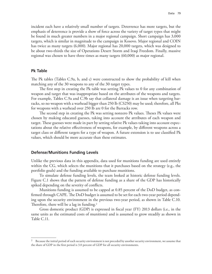incident each have a relatively small number of targets. Deterrence has more targets, but the emphasis of deterrence is provide a show of force across the variety of target types that might be found in much greater numbers in a major regional campaign. Short campaign has 3,000 targets, which is similar in magnitude to the campaign in Kosovo. Major regional and COIN has twice as many targets (6,000). Major regional has 20,000 targets, which was designed to be about two-thirds the size of Operations Desert Storm and Iraqi Freedom. Finally, massive regional was chosen to have three times as many targets (60,000) as major regional.

#### **Pk Table**

The Pk tables (Tables C.9a, b, and c) were constructed to show the probability of kill when matching any of the 30 weapons to any of the 30 target types.

The first step in creating the Pk table was setting Pk values to 0 for any combination of weapon and target that was inappropriate based on the attributes of the weapons and targets. For example, Tables C.9a and C.9b say that collateral damage is an issue when targeting barracks, so no weapon with a warhead bigger than 250 lb (CS250) may be used; therefore, all Pks for weapons with a warhead over 250 lb are 0 for the Barracks row.

The second step in creating the Pk was setting nonzero Pk values. Theses Pk values were chosen by making educated guesses, taking into account the attributes of each weapon and target. These guesses were made in part by setting relative Pk values taking into account expectations about the relative effectiveness of weapons, for example, by different weapons across a target class or different targets for a type of weapon. A future extension is to use classified Pk values, which should be more accurate than these estimates.

#### **Defense/Munitions Funding Levels**

Unlike the previous data in this appendix, data used for munitions funding are used entirely within the CG, which selects the munitions that it purchases based on the strategy (e.g., the portfolio goals) and the funding available to purchase munitions.

To simulate defense funding levels, the team looked at historic defense funding levels. Figure C.1 shows that the pattern of defense funding as a share of the GDP has historically spiked depending on the severity of conflicts.

Munitions funding is assumed to be capped at 0.85 percent of the DoD budget, as confirmed through CAPE. The DoD budget is assumed to be set for each two-year period depending upon the security environment in the previous two-year period, as shown in Table C.10. Therefore, there will be a lag in funding.<sup>2</sup>

Gross domestic product (GDP) is expressed in fiscal year (FY) 2013 dollars (i.e., in the same units as the estimated costs of munitions) and is assumed to grow steadily as shown in Table C.11.

<sup>&</sup>lt;sup>2</sup> Because the initial period of each security environment is not preceded by another security environment, we assume that the share of GDP in the first period is 3.0 percent of GDP for all security environments.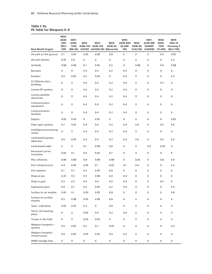### **Table C.9a Pk Table for Weapons 0–9**

| <b>Real World Targets</b>          | W00:<br>AGM-<br>130C<br>(BLU<br>109) | W01:<br>AGM-<br>130A<br>(Mk 84) | W02:      | W03:<br>AGM-154 AGM-158<br>(JSOW) (JASSM-ER) (Maverick) | W04:<br><b>AGM-64</b> | W05:<br>AGM-84H<br>(SLAM/<br>ER) | W06:<br><b>AGM-86</b><br>(CALCM) | W07:<br>AGM-88E<br>(HARM/<br>AARGM) | W08:<br>BGM-<br>109E<br>(TLAM) | W09:<br><b>GBU-10</b><br>Paveway II<br>(BLU 109) |
|------------------------------------|--------------------------------------|---------------------------------|-----------|---------------------------------------------------------|-----------------------|----------------------------------|----------------------------------|-------------------------------------|--------------------------------|--------------------------------------------------|
| Aircraft on the ground             | 0.1                                  | 0.95                            | 0.95      | 0.98                                                    | 0.8                   | 0                                | 0                                | 0                                   | 0.5                            | 0.05                                             |
| Aircraft shelters                  | 0.95                                 | 0.9                             | $\pmb{0}$ | 0                                                       | 0                     | 0                                | 0                                | 0                                   | 0                              | 0.3                                              |
| Airfields                          | 0.98                                 | 0.98                            | 0.1       | 0.05                                                    | 0.5                   | 0                                | 0.98                             | 0                                   | 0.9                            | 0.98                                             |
| <b>Barracks</b>                    | 0                                    | $\mathbf 0$                     | 0.4       | 0.4                                                     | 0.2                   | 0.4                              | 0                                | 0                                   | 0                              | 0                                                |
| <b>Bunkers</b>                     | 0.9                                  | 0.95                            | 0.5       | 0.95                                                    | 0                     | 0.4                              | 0                                | 0                                   | 0                              | 0.3                                              |
| C2 HQ/one-story<br>building        | 0                                    | $\pmb{0}$                       | 0.4       | 0.4                                                     | 0.2                   | 0.4                              | 0                                | 0                                   | 0.5                            | 0                                                |
| Comms RF systems                   | 0                                    | $\mathbf 0$                     | 0.4       | 0.4                                                     | 0.2                   | 0.4                              | 0                                | 0                                   | 0                              | 0                                                |
| Comms satellite<br>downlinks       | 0                                    | $\mathbf 0$                     | 0.4       | 0.4                                                     | 0.2                   | 0.4                              | 0                                | 0                                   | 0                              | 0                                                |
| Communication<br>equipment         | 0                                    | $\pmb{0}$                       | 0.4       | 0.4                                                     | 0.2                   | 0.4                              | 0                                | 0                                   | 0                              | 0                                                |
| Communication<br>facilities        | 0                                    | $\mathbf 0$                     | 0.4       | 0.4                                                     | 0.2                   | 0.4                              | 0                                | 0                                   | 0                              | 0                                                |
| Depots                             | 0.05                                 | 0.05                            | 0         | 0.05                                                    | 0                     | 0                                | 0                                | 0                                   | 0                              | 0.05                                             |
| Fiber optic systems                | 0.7                                  | 0.95                            | 0.4       | 0.4                                                     | 0.2                   | 0.4                              | 0.6                              | 0                                   | 0.5                            | 0.6                                              |
| Intelligence processing<br>center  | $\mathbf 0$                          | $\mathbf 0$                     | 0.4       | 0.4                                                     | 0.2                   | 0.4                              | 0                                | 0                                   | 0                              | 0                                                |
| Land-based passive<br>detection    | 0.9                                  | 0.95                            | 0.4       | 0.4                                                     | 0.2                   | 0.4                              | 0.6                              | 0                                   | 0.5                            | 0.6                                              |
| Land-based radar                   | 0                                    | $\mathbf 0$                     | 0.1       | 0.98                                                    | 0.8                   | 0                                | 0                                | 0.9                                 | 0.95                           | 0                                                |
| Personnel carrier<br>formation     | 0.05                                 | 0.1                             | 0.4       | 0.05                                                    | 0.7                   | 0                                | 0                                | 0                                   | 0                              | 0                                                |
| POL refineries                     | 0.98                                 | 0.98                            | 0.8       | 0.98                                                    | 0.98                  | 0                                | 0.95                             | 0                                   | 0.8                            | 0.9                                              |
| Port infrastructure                | 0.4                                  | 0.95                            | 0.95      | 0.1                                                     | 0.05                  | 0.1                              | 0.4                              | 0                                   | 0                              | 0.2                                              |
| Port systems                       | 0.1                                  | 0.1                             | 0.2       | 0.05                                                    | 0.8                   | 0                                | 0                                | 0                                   | 0                              | 0                                                |
| Ships at sea                       | 0.25                                 | 0.5                             | 0.5       | 0.98                                                    | 0.4                   | 0.4                              | 0                                | 0                                   | 0                              | 0                                                |
| Ships in port                      | 0.5                                  | 0.5                             | 0.4       | 0.9                                                     | 0.5                   | 0.4                              | 0                                | 0                                   | 0.5                            | 0                                                |
| Submarine pens                     | 0.9                                  | 0.1                             | 0.5       | 0.95                                                    | 0.2                   | 0.4                              | 0                                | 0                                   | 0                              | 0.4                                              |
| Surface-to-air missiles            | 0.05                                 | 0.1                             | 0.05      | 0.05                                                    | 0.8                   | 0                                | 0                                | 0                                   | 0                              | 0.8                                              |
| Surface-to-surface<br>missiles     | 0.5                                  | 0.98                            | 0.95      | 0.98                                                    | 0.8                   | 0                                | 0                                | $\mathbf 0$                         | 0                              | 0                                                |
| Tank-individual                    | 0.05                                 | 0.05                            | 0.3       | 0                                                       | 0.8                   | 0                                | 0                                | 0                                   | 0                              | 0                                                |
| Terror cell meeting<br>place       | $\mathbf 0$                          | $\pmb{0}$                       | 0.95      | 0.4                                                     | 0.2                   | 0.4                              | 0                                | 0                                   | 0                              | 0                                                |
| Troops in the field                | 0                                    | $\pmb{0}$                       | 0.95      | 0.05                                                    | 0                     | 0                                | $\mathbf 0$                      | $\mathbf 0$                         | 0                              | 0                                                |
| Weapon transport-<br>systems       | 0.9                                  | 0.95                            | 0.5       | 0.7                                                     | 0.05                  | 0                                | 0                                | 0                                   | 0                              | 0.3                                              |
| Weapon transport<br>infrastructure | 0.9                                  | 0.95                            | 0.95      | 0.95                                                    | 0.4                   | 0.2                              | 0                                | 0                                   | 0                              | 0                                                |
| WMD storage sites                  | 0                                    | 0                               | 0         | 0                                                       | 0                     | 0                                | 0                                | 0                                   | 0                              | 0                                                |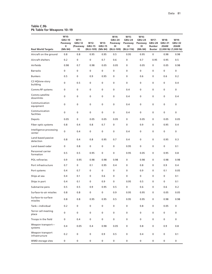| Table C.9b                 |  |
|----------------------------|--|
| Pk Table for Weapons 10-19 |  |

| <b>Real World Targets</b>          | W10:<br><b>GBU-10</b><br>Paveway<br>Ш<br>(Mk 84) | W11:<br><b>GBU-12</b><br>(Paveway<br>$\vert \vert$ | W12:<br><b>GBU-15</b><br>(BLU-109) | W13:<br><b>GBU-15</b><br>(Mk 84) | W14:<br><b>GBU-24</b><br>Paveway<br>Ш<br>(BLU-109) | W15:<br><b>GBU-24</b><br>Paveway<br>Ш<br>(BLU-116) | W16:<br><b>GBU-24</b><br>Paveway<br>Ш<br>(Mk 84) | W17:<br><b>GBU-28</b><br><b>Bunker</b> | W18:<br><b>GBU-31</b><br><b>JDAM</b><br>Buster (2,000 lb) (1,000 lb) | W19:<br><b>GBU-32</b><br><b>JDAM</b> |
|------------------------------------|--------------------------------------------------|----------------------------------------------------|------------------------------------|----------------------------------|----------------------------------------------------|----------------------------------------------------|--------------------------------------------------|----------------------------------------|----------------------------------------------------------------------|--------------------------------------|
| Aircraft on the ground             | 0.8                                              | 0.8                                                | 0.95                               | 0.95                             | 0.5                                                | 0.95                                               | 0.95                                             | 0                                      | 0.98                                                                 | 0.98                                 |
| Aircraft shelters                  | 0.2                                              | 0                                                  | $\mathbf 0$                        | 0.7                              | 0.6                                                | 0                                                  | 0.7                                              | 0.95                                   | 0.95                                                                 | 0.5                                  |
| Airfields                          | 0.98                                             | 0.7                                                | 0.98                               | 0.05                             | 0.05                                               | $\mathbf 0$                                        | 0.05                                             | 0                                      | 0.05                                                                 | 0.98                                 |
| <b>Barracks</b>                    | 0                                                | 0                                                  | 0                                  | 0                                | 0                                                  | $\mathbf 0$                                        | 0                                                | 0                                      | 0                                                                    | 0                                    |
| <b>Bunkers</b>                     | 0.5                                              | 0                                                  | 0.9                                | 0.95                             | 0                                                  | $\mathbf 0$                                        | 0.6                                              | 0                                      | 0.6                                                                  | 0.2                                  |
| C2 HQ/one-story<br>building        | 0                                                | 0.5                                                | $\mathbf 0$                        | 0                                | 0                                                  | $\mathbf 0$                                        | $\mathbf 0$                                      | 0                                      | 0                                                                    | 0.4                                  |
| Comms RF systems                   | 0                                                | 0                                                  | $\mathbf 0$                        | 0                                | 0                                                  | 0.4                                                | $\mathbf 0$                                      | 0                                      | 0                                                                    | 0                                    |
| Comms satellite<br>downlinks       | 0                                                | 0                                                  | $\mathbf 0$                        | 0                                | 0                                                  | 0.4                                                | 0                                                | 0                                      | 0                                                                    | 0.4                                  |
| Communication<br>equipment         | 0                                                | 0                                                  | 0                                  | 0                                | 0                                                  | 0.4                                                | 0                                                | 0                                      | 0                                                                    | 0                                    |
| Communication<br>facilities        | 0                                                | 0                                                  | 0                                  | 0                                | 0                                                  | 0.4                                                | 0                                                | 0                                      | 0                                                                    | 0                                    |
| Depots                             | 0.05                                             | 0                                                  | 0.05                               | 0.05                             | 0.05                                               | $\mathbf 0$                                        | 0.05                                             | 0                                      | 0.05                                                                 | 0.05                                 |
| Fiber optic systems                | 0.8                                              | 0.4                                                | 0.8                                | 0.7                              | 0                                                  | 0                                                  | 0.9                                              | 0                                      | 0.95                                                                 | 0.4                                  |
| Intelligence processing<br>center  | 0                                                | 0.4                                                | 0                                  | 0                                | 0                                                  | 0.4                                                | 0                                                | 0                                      | 0                                                                    | 0                                    |
| Land-based passive<br>detection    | 0.8                                              | 0.4                                                | 0.8                                | 0.95                             | 0.7                                                | 0.4                                                | $\mathbf 0$                                      | 0                                      | 0.95                                                                 | 0.3                                  |
| Land-based radar                   | 0                                                | 0.8                                                | $\pmb{0}$                          | 0                                | 0                                                  | 0.95                                               | 0                                                | 0                                      | 0                                                                    | 0.1                                  |
| Personnel carrier<br>formation     | 0.5                                              | 0.5                                                | 0.95                               | 0                                | 0                                                  | 0.95                                               | 0.05                                             | 0                                      | 0.95                                                                 | 0.8                                  |
| <b>POL</b> refineries              | 0.9                                              | 0.95                                               | 0.98                               | 0.98                             | 0.98                                               | $\mathbf 0$                                        | 0.98                                             | 0                                      | 0.98                                                                 | 0.98                                 |
| Port infrastructure                | 0.7                                              | 0                                                  | 0.1                                | 0.95                             | 0.4                                                | 0                                                  | 0.8                                              | 0                                      | 0.9                                                                  | 0.4                                  |
| Port systems                       | 0.4                                              | 0.7                                                | 0                                  | 0                                | $\mathbf 0$                                        | $\mathbf 0$                                        | 0.9                                              | 0                                      | 0.1                                                                  | 0.05                                 |
| Ships at sea                       | 0.4                                              | 0.1                                                | $\mathbf 0$                        | 0.6                              | 0                                                  | $\mathbf 0$                                        | 0                                                | 0                                      | 0                                                                    | 0.1                                  |
| Ships in port                      | 0.4                                              | 0.1                                                | 0                                  | 0.9                              | 0                                                  | 0.95                                               | 0.5                                              | 0                                      | 0                                                                    | 0.1                                  |
| Submarine pens                     | 0.5                                              | 0.5                                                | 0.9                                | 0.95                             | 0.5                                                | 0                                                  | 0.6                                              | $\mathbf 0$                            | 0.6                                                                  | 0.2                                  |
| Surface-to-air missiles            | 0.8                                              | 0.8                                                | $\pmb{0}$                          | 0                                | 0.9                                                | 0.95                                               | 0.95                                             | 0                                      | 0.05                                                                 | 0.05                                 |
| Surface-to-surface<br>missiles     | 0.8                                              | 0.8                                                | 0.95                               | 0.95                             | 0.5                                                | 0.95                                               | 0.95                                             | 0                                      | 0.98                                                                 | 0.98                                 |
| Tank-individual                    | 0.2                                              | 0                                                  | 0                                  | 0                                | 0                                                  | 0                                                  | 0.8                                              | 0                                      | 0.05                                                                 | 0                                    |
| Terror cell meeting<br>place       | 0                                                | 0                                                  | $\pmb{0}$                          | 0                                | 0                                                  | 0                                                  | 0                                                | 0                                      | 0                                                                    | 0                                    |
| Troops in the field                | 0                                                | 0.4                                                | $\pmb{0}$                          | 0                                | $\pmb{0}$                                          | 0                                                  | 0                                                | 0                                      | 0                                                                    | 0                                    |
| Weapon transport-<br>systems       | 0.4                                              | 0.05                                               | 0.4                                | 0.98                             | 0.05                                               | 0                                                  | 0.8                                              | 0                                      | 0.9                                                                  | 0.8                                  |
| Weapon transport<br>infrastructure | 0.2                                              | 0                                                  | 0                                  | 0.9                              | 0.5                                                | 0                                                  | 0.4                                              | 0                                      | 0                                                                    | 0.1                                  |
| WMD storage sites                  | 0                                                | 0                                                  | 0                                  | 0                                | 0                                                  | 0                                                  | 0                                                | 0                                      | 0                                                                    | 0                                    |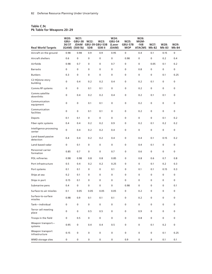### **Table C.9c Pk Table for Weapons 20–29**

| <b>Real World Targets</b>          | W20:<br>GBU-<br>36/37 | W21:<br>GBU-38 W22:<br><b>JDAM</b><br>(GAM) (500 lb) | <b>SDB</b>  | W23:<br><b>GBU-39 GBU-53B</b><br>SDB II | W24:<br><b>GBU-54</b><br>(Laser<br>JDAM) | W25:<br>GBU-57B<br><b>MOP</b> | W26:<br>MGM-<br>$-168$<br><b>ATACMS</b> | W27:<br><b>Mk-82</b> | W28:<br>Mk-83 | W29:<br><b>Mk-84</b> |
|------------------------------------|-----------------------|------------------------------------------------------|-------------|-----------------------------------------|------------------------------------------|-------------------------------|-----------------------------------------|----------------------|---------------|----------------------|
| Aircraft on the ground             | 0.98                  | 0.98                                                 | 0.9         | 0.9                                     | 0.95                                     | $\mathbf 0$                   | 0.4                                     | 0.1                  | 0.15          | 0                    |
| Aircraft shelters                  | 0.6                   | 0                                                    | $\mathbf 0$ | $\mathbf 0$                             | $\mathbf 0$                              | 0.98                          | $\mathbf 0$                             | $\mathbf 0$          | 0.2           | 0.4                  |
| Airfields                          | 0.98                  | 0.7                                                  | 0           | 0                                       | 0.7                                      | 0                             | 0                                       | 0.05                 | 0.1           | 0.2                  |
| <b>Barracks</b>                    | $\mathbf 0$           | 0                                                    | $\mathbf 0$ | $\mathbf 0$                             | 0                                        | 0                             | 0.8                                     | $\mathbf 0$          | 0             | 0                    |
| <b>Bunkers</b>                     | 0.3                   | 0                                                    | $\mathbf 0$ | 0                                       | $\mathbf 0$                              | 0                             | 0                                       | $\mathbf 0$          | 0.1           | 0.25                 |
| C2 HQ/one-story<br>building        | 0                     | 0.4                                                  | 0.2         | 0.2                                     | 0.4                                      | $\mathbf 0$                   | 0.2                                     | 0.1                  | $\mathbf 0$   | 0                    |
| Comms RF systems                   | 0                     | 0                                                    | 0.1         | 0.1                                     | 0                                        | 0                             | 0.2                                     | $\pmb{0}$            | $\mathbf 0$   | $\mathbf 0$          |
| Comms satellite<br>downlinks       | 0                     | 0.4                                                  | 0.2         | 0.2                                     | 0.4                                      | 0                             | 0.2                                     | 0.1                  | 0.1           | $\mathbf 0$          |
| Communication<br>equipment         | 0                     | $\mathbf 0$                                          | 0.1         | 0.1                                     | 0                                        | $\mathbf 0$                   | 0.2                                     | 0                    | $\mathbf 0$   | $\mathbf 0$          |
| Communication<br>facilities        | 0                     | 0                                                    | 0.1         | 0.1                                     | 0                                        | 0                             | 0.2                                     | $\mathbf 0$          | $\mathbf 0$   | $\mathbf 0$          |
| Depots                             | 0.1                   | 0.1                                                  | $\mathbf 0$ | 0                                       | 0                                        | 0                             | 0                                       | $\mathbf 0$          | 0.1           | 0.2                  |
| Fiber optic systems                | 0.4                   | 0.4                                                  | 0.2         | 0.2                                     | 0.9                                      | 0                             | 0.2                                     | 0.1                  | 0.2           | 0.2                  |
| Intelligence processing<br>center  | 0                     | 0.4                                                  | 0.2         | 0.2                                     | 0.4                                      | 0                             | 0                                       | 0                    | $\mathbf 0$   | 0                    |
| Land-based passive<br>detection    | 0.4                   | 0.4                                                  | 0.2         | 0.2                                     | 0.4                                      | 0                             | 0.4                                     | 0.1                  | 0.15          | 0.2                  |
| Land-based radar                   | 0                     | 0.1                                                  | 0           | 0                                       | 0                                        | 0                             | 0.4                                     | 0.1                  | $\pmb{0}$     | $\mathbf 0$          |
| Personnel carrier<br>formation     | 0.85                  | 0.7                                                  | $\pmb{0}$   | 0                                       | 0.7                                      | 0                             | 0.6                                     | 0                    | $\mathbf 0$   | $\mathbf 0$          |
| POL refineries                     | 0.98                  | 0.98                                                 | 0.8         | 0.8                                     | 0.85                                     | 0                             | 0.8                                     | 0.6                  | 0.7           | 0.8                  |
| Port infrastructure                | 0.5                   | 0.4                                                  | 0.2         | 0.2                                     | 0.25                                     | 0                             | 0                                       | 0.1                  | 0.2           | 0.3                  |
| Port systems                       | 0.1                   | 0.1                                                  | 0           | 0                                       | 0.1                                      | 0                             | 0.1                                     | 0.1                  | 0.15          | 0.3                  |
| Ships at sea                       | 0.2                   | 0.1                                                  | 0           | $\mathbf 0$                             | 0                                        | 0                             | $\mathbf 0$                             | $\mathbf 0$          | 0             | $\mathbf 0$          |
| Ships in port                      | 0.15                  | 0.1                                                  | 0           | 0                                       | 0                                        | 0                             | 0                                       | $\mathbf 0$          | 0             | $\mathbf 0$          |
| Submarine pens                     | 0.4                   | 0                                                    | $\mathbf 0$ | $\mathbf 0$                             | $\mathbf 0$                              | 0.98                          | $\mathbf 0$                             | 0                    | $\mathbf 0$   | 0.1                  |
| Surface-to-air missiles            | 0.1                   | 0.05                                                 | 0.05        | 0.05                                    | 0.05                                     | 0                             | 0.2                                     | 0                    | 0             | 0                    |
| Surface-to-surface<br>missiles     | 0.98                  | 0.9                                                  | 0.1         | 0.1                                     | 0.1                                      | 0                             | 0.2                                     | $\pmb{0}$            | 0             | 0                    |
| Tank-individual                    | 0                     | 0                                                    | 0           | 0                                       | 0                                        | 0                             | 0                                       | 0                    | 0             | 0                    |
| Terror cell meeting<br>place       | 0                     | 0                                                    | 0.5         | 0.5                                     | 0                                        | 0                             | 0.9                                     | 0                    | 0             | 0                    |
| Troops in the field                | 0                     | 0.5                                                  | 0           | 0                                       | 0                                        | 0                             | 0.8                                     | 0                    | 0             | 0                    |
| Weapon transport-<br>systems       | 0.95                  | 0                                                    | 0.4         | 0.4                                     | 0.5                                      | 0                             | 0                                       | 0.1                  | 0.2           | 0                    |
| Weapon transport<br>infrastructure | 0.15                  | 0                                                    | 0           | 0                                       | 0                                        | 0                             | 0                                       | $\mathbf 0$          | 0.1           | 0.25                 |
| WMD storage sites                  | 0                     | 0                                                    | $\pmb{0}$   | $\pmb{0}$                               | $\mathsf{O}\xspace$                      | 0.9                           | 0                                       | 0                    | 0.1           | 0.1                  |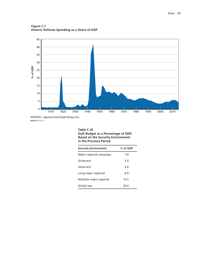

**Figure C.1 Historic Defense Spending as a Share of GDP**

SOURCE: usgovernmentspending.com. **RAND** *RR1112-C.1*

#### **Table C.10 DoD Budget as a Percentage of GDP, Based on the Security Environment in the Previous Period**

| <b>Security Environment</b> | % of GDP |
|-----------------------------|----------|
| Major regional campaign     | 7.0      |
| Quiescent                   | 3.5      |
| Deterrent                   | 4.0      |
| Long major regional         | 6.0      |
| Multiple major regional     | 13.5     |
| Global war                  | 20.0     |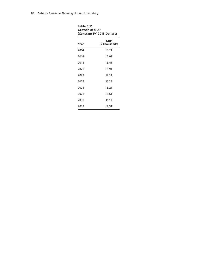| Table C.11<br><b>Growth of GDP</b><br>(Constant FY 2013 Dollars) |                             |  |  |  |  |  |
|------------------------------------------------------------------|-----------------------------|--|--|--|--|--|
| Year                                                             | <b>GDP</b><br>(\$Thousands) |  |  |  |  |  |
| 2014                                                             | 15.7T                       |  |  |  |  |  |
| 2016                                                             | 16.0T                       |  |  |  |  |  |
| 2018                                                             | 16.4T                       |  |  |  |  |  |
| 2020                                                             | 16.9T                       |  |  |  |  |  |
| 2022                                                             | 17.3T                       |  |  |  |  |  |
| 2024                                                             | 17.7T                       |  |  |  |  |  |
| 2026                                                             | 18.2T                       |  |  |  |  |  |
| 2028                                                             | 18.6T                       |  |  |  |  |  |
| 2030                                                             | 19.1T                       |  |  |  |  |  |
| 2032                                                             | 19.5T                       |  |  |  |  |  |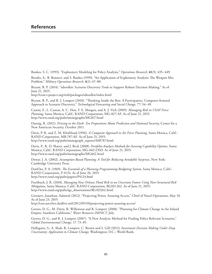Bankes, S. C. (1993). "Exploratory Modeling for Policy Analysis," *Operations Research*, **41**(3): 435–449.

Brooks, A., B. Bennett, and S. Bankes (1999). "An Application of Exploratory Analysis: The Weapon Mix Problem," *Military Operations Research*, **4**(1): 67–80.

Bryant, B. P. (2014). "sdtoolkit: Scenario Discovery Tools to Support Robust Decision Making." As of June 21, 2015:

<http://cran.r-project.org/web/packages/sdtoolkit/index.html>

Bryant, B. P., and R. J. Lempert (2010). "Thinking Inside the Box: A Participatory, Computer-Assisted Approach to Scenario Discovery," *Technological Forecasting and Social Change,* 77: 34–49.

Camm, F., L. Caston, A. C. Hou, F. E. Morgan, and A. J. Vick (2009). *Managing Risk in USAF Force Planning*, Santa Monica, Calif.: RAND Corporation, MG-827-AF. As of June 21, 2015: <http://www.rand.org/pubs/monographs/MG827.html>

Danzig, R. (2011). *Driving in the Dark: Ten Propositions About Prediction and National Security*, Center for a New American Security, October 2011.

Davis, P. K. and Z. M. Khalilizad (1996). *A Composite Approach to Air Force Planning*, Santa Monica, Calif.: RAND Corporation, MR-787-AF. As of June 21, 2015: [http://www.rand.org/pubs/monograph\\_reports/MR787.html](http://www.rand.org/pubs/monograph_reports/MR787.html)

Davis, P., R. D. Shaver, and J. Beck (2008). *Portfolio-Analysis Methods for Assessing Capability Options*, Santa Monica, Calif.: RAND Corporation, MG-662-OSD. As of June 21, 2015: <http://www.rand.org/pubs/monographs/MG662.html>

Dewar, J. A. (2002). *Assumption-Based Planning: A Tool for Reducing Avoidable Surprises*, New York: Cambridge University Press.

DonVito, P. A. (1969). *The Essentials of a Planning-Programming-Budgeting System*, Santa Monica, Calif.: RAND Corporation, P-4124. As of June 26, 2015: [http://www.rand.org/pubs/papers/P4124](http://www.rand.org/pubs/papers/P4124.html).html

Fischbach, J. R. (2010). *Managing New Orleans Flood Risk in an Uncertain Future Using Non-Structural Risk Mitigation*, Santa Monica, Calif.: RAND Corporation, RGSD-262. As of June 21, 2015: [http://www.rand.org/pubs/rgs\\_dissertations/RGSD262.html](http://www.rand.org/pubs/rgs_dissertations/RGSD262.html)

Greenert, Jonathan, Admiral (2012). "Projecting Power, Assuring Access," Chief of Naval Operations, May 10. As of June 23, 2015:

<http://cno.navylive.dodlive.mil/2012/05/10/projecting-power-assuring-access/>

Groves, D. G., M. Davis, R. Wilkinson and R. Lempert (2008). "Planning for Climate Change in the Inland Empire: Southern California," *Water Resources IMPACT*, July.

Groves, D. G., and R. J. Lempert (2007). "A New Analytic Method for Finding Policy-Relevant Scenarios," *Global Environmental Change*, 17: 73–85.

Hallegatte, S., A. Shah, R. Lempert, C. Brown and S. Gill (2012). *Investment Decision Making Under Deep Uncertainty: Application to Climate Change*, Washington, D.C.: World Bank.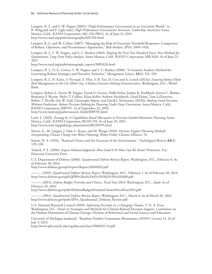Lempert, R. J., and S. W. Popper (2005). "High-Performance Government in an Uncertain World," in R. Klitgaard and P. Light (eds.), *High Performance Government: Structure, Leadership, Incentives*, Santa Monica, Calif., RAND Corporation, MG-256-PRGS. As of June 21, 2015: <http://www.rand.org/pubs/monographs/MG256.html>

Lempert, R. J., and M. Collins (2007). "Managing the Risk of Uncertain Threshold Responses: Comparison of Robust, Optimum, and Precautionary Approaches," *Risk Analysis,* **27**(4): 1009–1026.

Lempert, R. J., S. W. Popper, and S. C. Bankes (2003). *Shaping the Next One Hundred Years: New Methods for Quantitative, Long-Term Policy Analysis*, Santa Monica, Calif.: RAND Corporation, MR-1626. As of June 21, 2015:

[http://www.rand.org/pubs/monograph\\_reports/MR1626.html](http://www.rand.org/pubs/monograph_reports/MR1626.html)

Lempert, R. J., D. G. Groves, S. W. Popper, and S. C. Bankes (2006). "A General, Analytic Method for Generating Robust Strategies and Narrative Scenarios," *Management Science*, **52**(4): 514–528.

Lempert, R. J., N. Kalra, S. Peyraud, Z. Mao, S. B. Tan, D. Cira and A. Lotsch (2013a). *Ensuring Robust Flood Risk Management in Ho Chi Minh City: A Robust Decision Making Demonstration*, Washington, D.C.: World Bank.

Lempert, Robert J., Steven W. Popper, David G. Groves, Nidhi Kalra, Jordan R. Fischbach, Steven C. Bankes, Benjamin P. Bryant, Myles T. Collins, Klaus Keller, Andrew Hackbarth, Lloyd Dixon, Tom LaTourrette, Robert T. Reville, Jim W. Hall, Christophe Mijere, and David J. McInerney (2013b). *Making Good Decisions Without Predictions: Robust Decision Making for Planning Under Deep Uncertainty*. Santa Monica, Calif.: RAND Corporation, RB9701. As of September 22, 2015: [http://www.rand.org/pubs/research\\_briefs/RB9701.html](http://www.rand.org/pubs/research_briefs/RB9701.html) 

Loeb, S. (2005). *Zeroing In: A Capabilities-Based Alternative to Precision Guided Munitions Planning*, Santa Monica, Calif.: RAND Corporation, RGSD-195. As of June 25, 2015: [http://www.rand.org/pubs/rgs\\_](http://www.rand.org/pubs/rgs_dissertations/RGSD195.html)dissertations/RGSD195.html

Means, E., M. Laugier, J. Daw, L. Kaatz, and M. Waage (2010). *Decision Support Planning Methods: Incorporating Climate Change into Water Planning*, Water Utility Climate Alliance: 76.

Simon, H. A. (1956). "Rational Choice and the Structure of the Environment," *Psychological Revie*w, **63**(2): 129–138.

Tetlock, P. E. (2006). *Expert Political Judgment: How Good Is It? How Can We Know?* Princeton, N.J.: Princeton University Press.

U.S. Department of Defense (2006). *Quadrennial Defense Review Report,* Washington, D.C., February 6. As of February 10, 2014:

<http://www.defense.gov/qdr/report/Report20060203.pdf>

——— (2010). *Quadrennial Defense Review Report,* Washington, D.C., February 1. As of February 10, 2014: <http://www.defense.gov/qdr/QDR%20as%20of%2029JAN10%201600.pdf>

——— (2013), *Defense Budget Priorities and Choices, Fiscal Year 2014,* Washington, D.C., April. As of February 10, 2014:

<http://www.defense.gov/pubs/DefenseBudgetPrioritiesChoicesFiscalYear2014.pdf>

——— (2014). *Quadrennial Defense Review Report,* Washington, D.C., March 4. As of March 18, 2014: [http://www.defense.gov/pubs/2014\\_Quadrennial\\_Defense\\_Review.pdf](http://www.defense.gov/pubs/2014_Quadrennial_Defense_Review.pdf) 

U.S. National Research Council (2009). *Informing Decisions in a Changing Climate,* T. N. A. Press. Washington, D.C.: Panel on Strategies and Methods for Climate-Related Decision Support, Committee on the Human Dimensions of Climate Change, Division of Behavioral and Social Sciences and Education.

University of Michigan (undated). "Random Number Generation; Biostatistics, 615/815, Lecture 14. As of July 5, 2013:

<http://www.sph.umich.edu/csg/abecasis/class/2006/615.14.pdf>